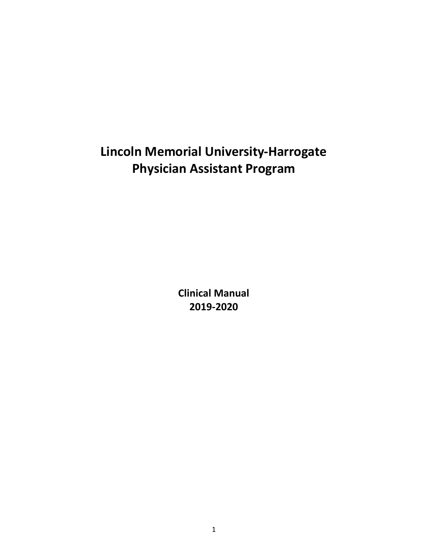# **Lincoln Memorial University-Harrogate Physician Assistant Program**

**Clinical Manual 2019-2020**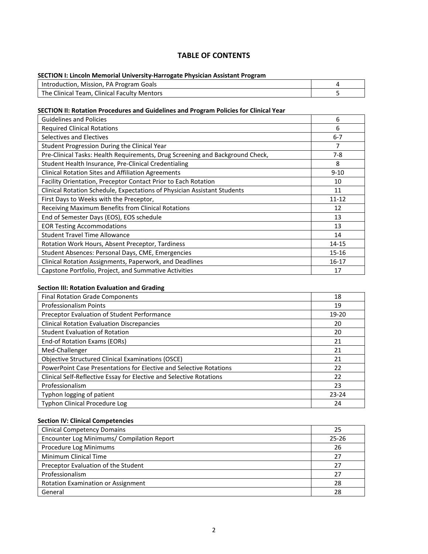#### **TABLE OF CONTENTS**

#### **SECTION I: Lincoln Memorial University-Harrogate Physician Assistant Program**

| Introduction, Mission, PA Program Goals     |  |  |
|---------------------------------------------|--|--|
| The Clinical Team, Clinical Faculty Mentors |  |  |

#### **SECTION II: Rotation Procedures and Guidelines and Program Policies for Clinical Year**

| 6         |
|-----------|
| 6         |
| $6 - 7$   |
| 7         |
| $7-8$     |
| 8         |
| $9 - 10$  |
| 10        |
| 11        |
| $11 - 12$ |
| 12        |
| 13        |
| 13        |
| 14        |
| 14-15     |
| 15-16     |
| 16-17     |
| 17        |
|           |

#### **Section III: Rotation Evaluation and Grading**

| <b>Final Rotation Grade Components</b>                              | 18        |
|---------------------------------------------------------------------|-----------|
| <b>Professionalism Points</b>                                       | 19        |
| Preceptor Evaluation of Student Performance                         | 19-20     |
| <b>Clinical Rotation Evaluation Discrepancies</b>                   | 20        |
| <b>Student Evaluation of Rotation</b>                               | 20        |
| End-of Rotation Exams (EORs)                                        | 21        |
| Med-Challenger                                                      | 21        |
| Objective Structured Clinical Examinations (OSCE)                   | 21        |
| PowerPoint Case Presentations for Elective and Selective Rotations  | 22        |
| Clinical Self-Reflective Essay for Elective and Selective Rotations | 22        |
| Professionalism                                                     | 23        |
| Typhon logging of patient                                           | $23 - 24$ |
| <b>Typhon Clinical Procedure Log</b>                                | 24        |

#### **Section IV: Clinical Competencies**

| <b>Clinical Competency Domains</b>         | 25        |
|--------------------------------------------|-----------|
| Encounter Log Minimums/ Compilation Report | $25 - 26$ |
| Procedure Log Minimums                     | 26        |
| Minimum Clinical Time                      | 27        |
| Preceptor Evaluation of the Student        |           |
| Professionalism                            | 27        |
| Rotation Examination or Assignment         | 28        |
| General                                    | 28        |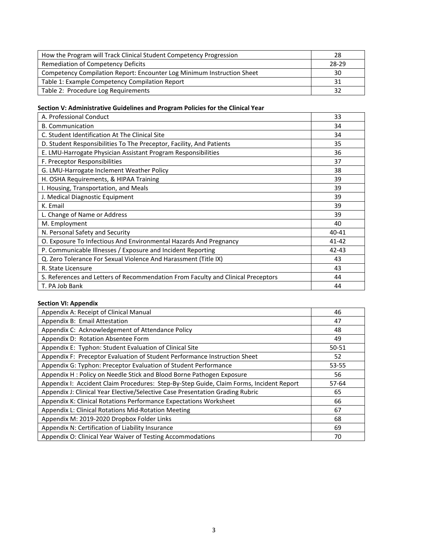| How the Program will Track Clinical Student Competency Progression     | -28   |
|------------------------------------------------------------------------|-------|
| Remediation of Competency Deficits                                     | 28-29 |
| Competency Compilation Report: Encounter Log Minimum Instruction Sheet | 30    |
| Table 1: Example Competency Compilation Report                         | 31    |
| Table 2: Procedure Log Requirements                                    | 32    |

#### **Section V: Administrative Guidelines and Program Policies for the Clinical Year**

| A. Professional Conduct                                                          | 33        |
|----------------------------------------------------------------------------------|-----------|
| <b>B.</b> Communication                                                          | 34        |
| C. Student Identification At The Clinical Site                                   | 34        |
| D. Student Responsibilities To The Preceptor, Facility, And Patients             | 35        |
| E. LMU-Harrogate Physician Assistant Program Responsibilities                    | 36        |
| F. Preceptor Responsibilities                                                    | 37        |
| G. LMU-Harrogate Inclement Weather Policy                                        | 38        |
| H. OSHA Requirements, & HIPAA Training                                           | 39        |
| I. Housing, Transportation, and Meals                                            | 39        |
| J. Medical Diagnostic Equipment                                                  | 39        |
| K. Email                                                                         | 39        |
| L. Change of Name or Address                                                     | 39        |
| M. Employment                                                                    | 40        |
| N. Personal Safety and Security                                                  | $40 - 41$ |
| O. Exposure To Infectious And Environmental Hazards And Pregnancy                | $41 - 42$ |
| P. Communicable Illnesses / Exposure and Incident Reporting                      | $42 - 43$ |
| Q. Zero Tolerance For Sexual Violence And Harassment (Title IX)                  | 43        |
| R. State Licensure                                                               | 43        |
| S. References and Letters of Recommendation From Faculty and Clinical Preceptors | 44        |
| T. PA Job Bank                                                                   | 44        |

#### **Section VI: Appendix**

| Appendix A: Receipt of Clinical Manual                                                  | 46    |
|-----------------------------------------------------------------------------------------|-------|
| Appendix B: Email Attestation                                                           | 47    |
| Appendix C: Acknowledgement of Attendance Policy                                        | 48    |
| Appendix D: Rotation Absentee Form                                                      | 49    |
| Appendix E: Typhon: Student Evaluation of Clinical Site                                 | 50-51 |
| Appendix F: Preceptor Evaluation of Student Performance Instruction Sheet               | 52    |
| Appendix G: Typhon: Preceptor Evaluation of Student Performance                         | 53-55 |
| Appendix H: Policy on Needle Stick and Blood Borne Pathogen Exposure                    | 56    |
| Appendix I: Accident Claim Procedures: Step-By-Step Guide, Claim Forms, Incident Report | 57-64 |
| Appendix J: Clinical Year Elective/Selective Case Presentation Grading Rubric           | 65    |
| Appendix K: Clinical Rotations Performance Expectations Worksheet                       | 66    |
| Appendix L: Clinical Rotations Mid-Rotation Meeting                                     | 67    |
| Appendix M: 2019-2020 Dropbox Folder Links                                              | 68    |
| Appendix N: Certification of Liability Insurance                                        | 69    |
| Appendix O: Clinical Year Waiver of Testing Accommodations                              | 70    |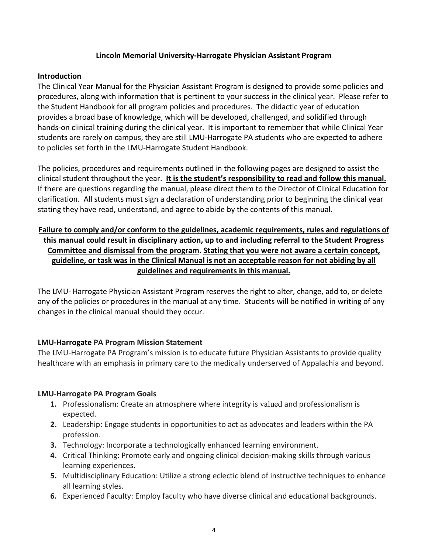#### **Lincoln Memorial University-Harrogate Physician Assistant Program**

#### **Introduction**

The Clinical Year Manual for the Physician Assistant Program is designed to provide some policies and procedures, along with information that is pertinent to your success in the clinical year. Please refer to the Student Handbook for all program policies and procedures. The didactic year of education provides a broad base of knowledge, which will be developed, challenged, and solidified through hands-on clinical training during the clinical year. It is important to remember that while Clinical Year students are rarely on campus, they are still LMU-Harrogate PA students who are expected to adhere to policies set forth in the LMU-Harrogate Student Handbook.

The policies, procedures and requirements outlined in the following pages are designed to assist the clinical student throughout the year. **It is the student's responsibility to read and follow this manual.** If there are questions regarding the manual, please direct them to the Director of Clinical Education for clarification. All students must sign a declaration of understanding prior to beginning the clinical year stating they have read, understand, and agree to abide by the contents of this manual.

#### **Failure to comply and/or conform to the guidelines, academic requirements, rules and regulations of this manual could result in disciplinary action, up to and including referral to the Student Progress Committee and dismissal from the program. Stating that you were not aware a certain concept, guideline, or task was in the Clinical Manual is not an acceptable reason for not abiding by all guidelines and requirements in this manual.**

The LMU- Harrogate Physician Assistant Program reserves the right to alter, change, add to, or delete any of the policies or procedures in the manual at any time. Students will be notified in writing of any changes in the clinical manual should they occur.

#### **LMU-Harrogate PA Program Mission Statement**

The LMU-Harrogate PA Program's mission is to educate future Physician Assistants to provide quality healthcare with an emphasis in primary care to the medically underserved of Appalachia and beyond.

#### **LMU-Harrogate PA Program Goals**

- **1.** Professionalism: Create an atmosphere where integrity is valued and professionalism is expected.
- **2.** Leadership: Engage students in opportunities to act as advocates and leaders within the PA profession.
- **3.** Technology: Incorporate a technologically enhanced learning environment.
- **4.** Critical Thinking: Promote early and ongoing clinical decision-making skills through various learning experiences.
- **5.** Multidisciplinary Education: Utilize a strong eclectic blend of instructive techniques to enhance all learning styles.
- **6.** Experienced Faculty: Employ faculty who have diverse clinical and educational backgrounds.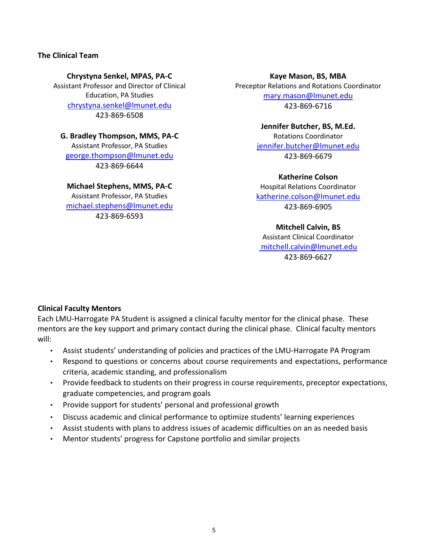#### **The Clinical Team**

**Chrystyna Senkel, MPAS, PA-C** Assistant Professor and Director of Clinical Education, PA Studies [chrystyna.senkel@lmunet.edu](mailto:chrystyna.senkel@lmunet.edu) 423-869-6508

**G. Bradley Thompson, MMS, PA-C** Assistant Professor, PA Studies [george.thompson@lmunet.edu](mailto:george.thompson@lmunet.edu) 423-869-6644

**Michael Stephens, MMS, PA-C** Assistant Professor, PA Studies [michael.stephens@lmunet.edu](mailto:michael.stephens@lmunet.edu) 423-869-6593

**Kaye Mason, BS, MBA** Preceptor Relations and Rotations Coordinator [mary.mason@lmunet.edu](mailto:mary.mason@lmunet.edu) 423-869-6716

> **Jennifer Butcher, BS, M.Ed.** Rotations Coordinator [jennifer.butcher@lmunet.edu](mailto:jennifer.butcher@lmunet.edu) 423-869-6679

> **Katherine Colson** Hospital Relations Coordinator [katherine.colson@lmunet.edu](mailto:katherine.colson@lmunet.edu) 423-869-6905

**Mitchell Calvin, BS** Assistant Clinical Coordinator [mitchell.calvin@lmunet.edu](mailto:%20mitchell.calvin@lmunet.edu) 423-869-6627

#### **Clinical Faculty Mentors**

Each LMU-Harrogate PA Student is assigned a clinical faculty mentor for the clinical phase. These mentors are the key support and primary contact during the clinical phase. Clinical faculty mentors will:

- Assist students' understanding of policies and practices of the LMU-Harrogate PA Program
- Respond to questions or concerns about course requirements and expectations, performance criteria, academic standing, and professionalism
- Provide feedback to students on their progress in course requirements, preceptor expectations, graduate competencies, and program goals
- Provide support for students' personal and professional growth
- Discuss academic and clinical performance to optimize students' learning experiences
- Assist students with plans to address issues of academic difficulties on an as needed basis
- Mentor students' progress for Capstone portfolio and similar projects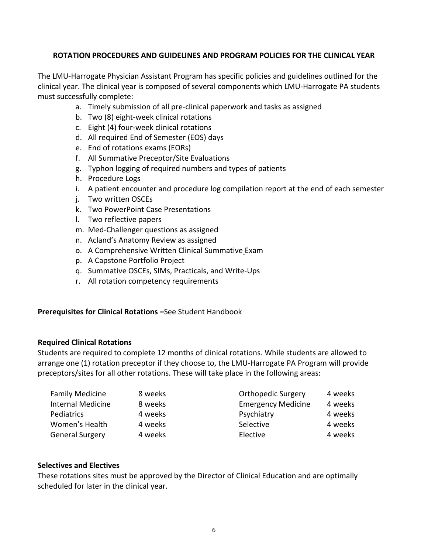#### **ROTATION PROCEDURES AND GUIDELINES AND PROGRAM POLICIES FOR THE CLINICAL YEAR**

The LMU-Harrogate Physician Assistant Program has specific policies and guidelines outlined for the clinical year. The clinical year is composed of several components which LMU-Harrogate PA students must successfully complete:

- a. Timely submission of all pre-clinical paperwork and tasks as assigned
- b. Two (8) eight-week clinical rotations
- c. Eight (4) four-week clinical rotations
- d. All required End of Semester (EOS) days
- e. End of rotations exams (EORs)
- f. All Summative Preceptor/Site Evaluations
- g. Typhon logging of required numbers and types of patients
- h. Procedure Logs
- i. A patient encounter and procedure log compilation report at the end of each semester
- j. Two written OSCEs
- k. Two PowerPoint Case Presentations
- l. Two reflective papers
- m. Med-Challenger questions as assigned
- n. Acland's Anatomy Review as assigned
- o. A Comprehensive Written Clinical Summative Exam
- p. A Capstone Portfolio Project
- q. Summative OSCEs, SIMs, Practicals, and Write-Ups
- r. All rotation competency requirements

#### **Prerequisites for Clinical Rotations –**See Student Handbook

#### **Required Clinical Rotations**

Students are required to complete 12 months of clinical rotations. While students are allowed to arrange one (1) rotation preceptor if they choose to, the LMU-Harrogate PA Program will provide preceptors/sites for all other rotations. These will take place in the following areas:

| <b>Family Medicine</b>   | 8 weeks | <b>Orthopedic Surgery</b> | 4 weeks |
|--------------------------|---------|---------------------------|---------|
| <b>Internal Medicine</b> | 8 weeks | <b>Emergency Medicine</b> | 4 weeks |
| Pediatrics               | 4 weeks | Psychiatry                | 4 weeks |
| Women's Health           | 4 weeks | Selective                 | 4 weeks |
| <b>General Surgery</b>   | 4 weeks | Elective                  | 4 weeks |

#### **Selectives and Electives**

These rotations sites must be approved by the Director of Clinical Education and are optimally scheduled for later in the clinical year.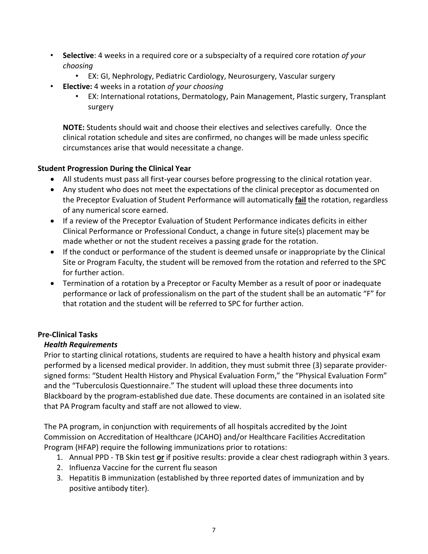- **Selective**: 4 weeks in a required core or a subspecialty of a required core rotation *of your choosing*
	- EX: GI, Nephrology, Pediatric Cardiology, Neurosurgery, Vascular surgery
- **Elective:** 4 weeks in a rotation *of your choosing*
	- EX: International rotations, Dermatology, Pain Management, Plastic surgery, Transplant surgery

**NOTE:** Students should wait and choose their electives and selectives carefully. Once the clinical rotation schedule and sites are confirmed, no changes will be made unless specific circumstances arise that would necessitate a change.

#### **Student Progression During the Clinical Year**

- All students must pass all first-year courses before progressing to the clinical rotation year.
- Any student who does not meet the expectations of the clinical preceptor as documented on the Preceptor Evaluation of Student Performance will automatically **fail** the rotation, regardless of any numerical score earned.
- If a review of the Preceptor Evaluation of Student Performance indicates deficits in either Clinical Performance or Professional Conduct, a change in future site(s) placement may be made whether or not the student receives a passing grade for the rotation.
- If the conduct or performance of the student is deemed unsafe or inappropriate by the Clinical Site or Program Faculty, the student will be removed from the rotation and referred to the SPC for further action.
- Termination of a rotation by a Preceptor or Faculty Member as a result of poor or inadequate performance or lack of professionalism on the part of the student shall be an automatic "F" for that rotation and the student will be referred to SPC for further action.

#### **Pre-Clinical Tasks**

#### *Health Requirements*

Prior to starting clinical rotations, students are required to have a health history and physical exam performed by a licensed medical provider. In addition, they must submit three (3) separate providersigned forms: "Student Health History and Physical Evaluation Form," the "Physical Evaluation Form" and the "Tuberculosis Questionnaire." The student will upload these three documents into Blackboard by the program-established due date. These documents are contained in an isolated site that PA Program faculty and staff are not allowed to view.

The PA program, in conjunction with requirements of all hospitals accredited by the Joint Commission on Accreditation of Healthcare (JCAHO) and/or Healthcare Facilities Accreditation Program (HFAP) require the following immunizations prior to rotations:

- 1. Annual PPD TB Skin test **or** if positive results: provide a clear chest radiograph within 3 years.
- 2. Influenza Vaccine for the current flu season
- 3. Hepatitis B immunization (established by three reported dates of immunization and by positive antibody titer).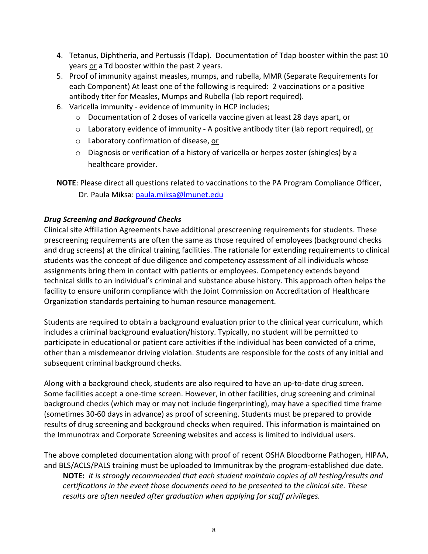- 4. Tetanus, Diphtheria, and Pertussis (Tdap). Documentation of Tdap booster within the past 10 years or a Td booster within the past 2 years.
- 5. Proof of immunity against measles, mumps, and rubella, MMR (Separate Requirements for each Component) At least one of the following is required: 2 vaccinations or a positive antibody titer for Measles, Mumps and Rubella (lab report required).
- 6. Varicella immunity evidence of immunity in HCP includes;
	- $\circ$  Documentation of 2 doses of varicella vaccine given at least 28 days apart, or
	- $\circ$  Laboratory evidence of immunity A positive antibody titer (lab report required), or
	- o Laboratory confirmation of disease, or
	- $\circ$  Diagnosis or verification of a history of varicella or herpes zoster (shingles) by a healthcare provider.
- **NOTE**: Please direct all questions related to vaccinations to the PA Program Compliance Officer, Dr. Paula Miksa: [paula.miksa@lmunet.edu](mailto:paula.miksa@lmunet.edu)

#### *Drug Screening and Background Checks*

Clinical site Affiliation Agreements have additional prescreening requirements for students. These prescreening requirements are often the same as those required of employees (background checks and drug screens) at the clinical training facilities. The rationale for extending requirements to clinical students was the concept of due diligence and competency assessment of all individuals whose assignments bring them in contact with patients or employees. Competency extends beyond technical skills to an individual's criminal and substance abuse history. This approach often helps the facility to ensure uniform compliance with the Joint Commission on Accreditation of Healthcare Organization standards pertaining to human resource management.

Students are required to obtain a background evaluation prior to the clinical year curriculum, which includes a criminal background evaluation/history. Typically, no student will be permitted to participate in educational or patient care activities if the individual has been convicted of a crime, other than a misdemeanor driving violation. Students are responsible for the costs of any initial and subsequent criminal background checks.

Along with a background check, students are also required to have an up-to-date drug screen. Some facilities accept a one-time screen. However, in other facilities, drug screening and criminal background checks (which may or may not include fingerprinting), may have a specified time frame (sometimes 30-60 days in advance) as proof of screening. Students must be prepared to provide results of drug screening and background checks when required. This information is maintained on the Immunotrax and Corporate Screening websites and access is limited to individual users.

The above completed documentation along with proof of recent OSHA Bloodborne Pathogen, HIPAA, and BLS/ACLS/PALS training must be uploaded to Immunitrax by the program-established due date. **NOTE:** *It is strongly recommended that each student maintain copies of all testing/results and* 

*certifications in the event those documents need to be presented to the clinical site. These results are often needed after graduation when applying for staff privileges.*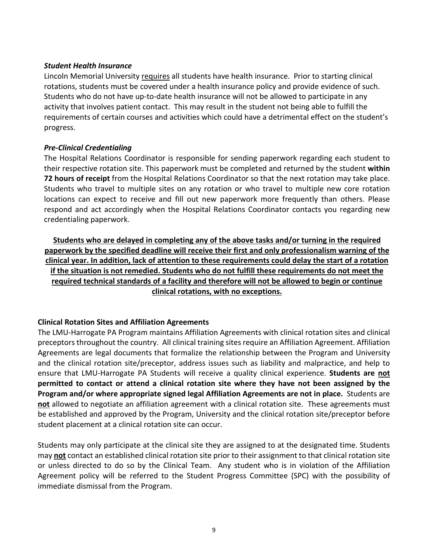#### *Student Health Insurance*

Lincoln Memorial University requires all students have health insurance. Prior to starting clinical rotations, students must be covered under a health insurance policy and provide evidence of such. Students who do not have up-to-date health insurance will not be allowed to participate in any activity that involves patient contact. This may result in the student not being able to fulfill the requirements of certain courses and activities which could have a detrimental effect on the student's progress.

#### *Pre-Clinical Credentialing*

The Hospital Relations Coordinator is responsible for sending paperwork regarding each student to their respective rotation site. This paperwork must be completed and returned by the student **within 72 hours of receipt** from the Hospital Relations Coordinator so that the next rotation may take place. Students who travel to multiple sites on any rotation or who travel to multiple new core rotation locations can expect to receive and fill out new paperwork more frequently than others. Please respond and act accordingly when the Hospital Relations Coordinator contacts you regarding new credentialing paperwork.

**Students who are delayed in completing any of the above tasks and/or turning in the required paperwork by the specified deadline will receive their first and only professionalism warning of the clinical year. In addition, lack of attention to these requirements could delay the start of a rotation if the situation is not remedied. Students who do not fulfill these requirements do not meet the required technical standards of a facility and therefore will not be allowed to begin or continue clinical rotations, with no exceptions.**

#### **Clinical Rotation Sites and Affiliation Agreements**

The LMU-Harrogate PA Program maintains Affiliation Agreements with clinical rotation sites and clinical preceptors throughout the country. All clinical training sites require an Affiliation Agreement. Affiliation Agreements are legal documents that formalize the relationship between the Program and University and the clinical rotation site/preceptor, address issues such as liability and malpractice, and help to ensure that LMU-Harrogate PA Students will receive a quality clinical experience. **Students are not permitted to contact or attend a clinical rotation site where they have not been assigned by the Program and/or where appropriate signed legal Affiliation Agreements are not in place.** Students are **not** allowed to negotiate an affiliation agreement with a clinical rotation site. These agreements must be established and approved by the Program, University and the clinical rotation site/preceptor before student placement at a clinical rotation site can occur.

Students may only participate at the clinical site they are assigned to at the designated time. Students may **not** contact an established clinical rotation site prior to their assignment to that clinical rotation site or unless directed to do so by the Clinical Team. Any student who is in violation of the Affiliation Agreement policy will be referred to the Student Progress Committee (SPC) with the possibility of immediate dismissal from the Program.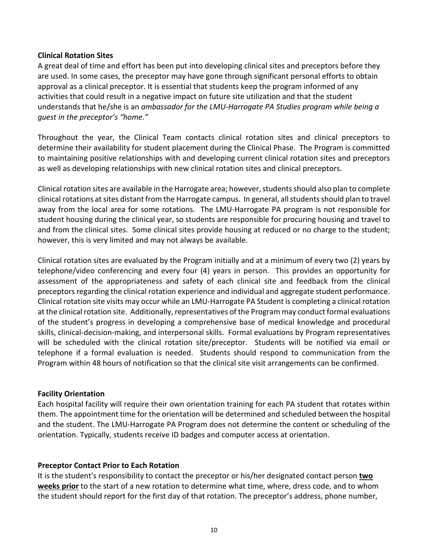#### **Clinical Rotation Sites**

A great deal of time and effort has been put into developing clinical sites and preceptors before they are used. In some cases, the preceptor may have gone through significant personal efforts to obtain approval as a clinical preceptor. It is essential that students keep the program informed of any activities that could result in a negative impact on future site utilization and that the student understands that he/she is an *ambassador for the LMU-Harrogate PA Studies program while being a guest in the preceptor's "home."*

Throughout the year, the Clinical Team contacts clinical rotation sites and clinical preceptors to determine their availability for student placement during the Clinical Phase. The Program is committed to maintaining positive relationships with and developing current clinical rotation sites and preceptors as well as developing relationships with new clinical rotation sites and clinical preceptors.

Clinical rotation sites are available in the Harrogate area; however, students should also plan to complete clinical rotations at sites distant from the Harrogate campus. In general, all students should plan to travel away from the local area for some rotations. The LMU-Harrogate PA program is not responsible for student housing during the clinical year, so students are responsible for procuring housing and travel to and from the clinical sites. Some clinical sites provide housing at reduced or no charge to the student; however, this is very limited and may not always be available.

Clinical rotation sites are evaluated by the Program initially and at a minimum of every two (2) years by telephone/video conferencing and every four (4) years in person. This provides an opportunity for assessment of the appropriateness and safety of each clinical site and feedback from the clinical preceptors regarding the clinical rotation experience and individual and aggregate student performance. Clinical rotation site visits may occur while an LMU-Harrogate PA Student is completing a clinical rotation at the clinical rotation site. Additionally, representatives of the Program may conduct formal evaluations of the student's progress in developing a comprehensive base of medical knowledge and procedural skills, clinical-decision-making, and interpersonal skills. Formal evaluations by Program representatives will be scheduled with the clinical rotation site/preceptor. Students will be notified via email or telephone if a formal evaluation is needed. Students should respond to communication from the Program within 48 hours of notification so that the clinical site visit arrangements can be confirmed.

#### **Facility Orientation**

Each hospital facility will require their own orientation training for each PA student that rotates within them. The appointment time for the orientation will be determined and scheduled between the hospital and the student. The LMU-Harrogate PA Program does not determine the content or scheduling of the orientation. Typically, students receive ID badges and computer access at orientation.

#### **Preceptor Contact Prior to Each Rotation**

It is the student's responsibility to contact the preceptor or his/her designated contact person **two weeks prior** to the start of a new rotation to determine what time, where, dress code, and to whom the student should report for the first day of that rotation. The preceptor's address, phone number,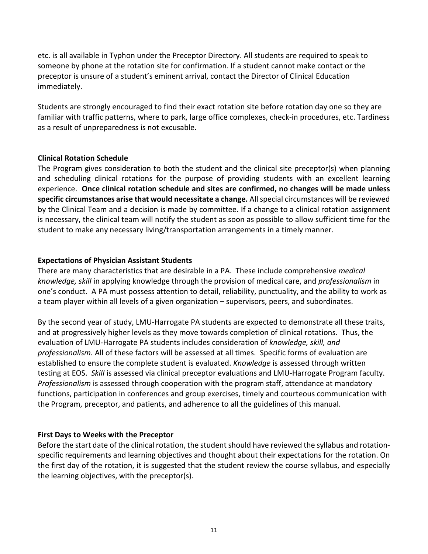etc. is all available in Typhon under the Preceptor Directory. All students are required to speak to someone by phone at the rotation site for confirmation. If a student cannot make contact or the preceptor is unsure of a student's eminent arrival, contact the Director of Clinical Education immediately.

Students are strongly encouraged to find their exact rotation site before rotation day one so they are familiar with traffic patterns, where to park, large office complexes, check-in procedures, etc. Tardiness as a result of unpreparedness is not excusable.

#### **Clinical Rotation Schedule**

The Program gives consideration to both the student and the clinical site preceptor(s) when planning and scheduling clinical rotations for the purpose of providing students with an excellent learning experience. **Once clinical rotation schedule and sites are confirmed, no changes will be made unless specific circumstances arise that would necessitate a change.** All special circumstances will be reviewed by the Clinical Team and a decision is made by committee. If a change to a clinical rotation assignment is necessary, the clinical team will notify the student as soon as possible to allow sufficient time for the student to make any necessary living/transportation arrangements in a timely manner.

#### **Expectations of Physician Assistant Students**

There are many characteristics that are desirable in a PA. These include comprehensive *medical knowledge, skill* in applying knowledge through the provision of medical care, and *professionalism* in one's conduct. A PA must possess attention to detail, reliability, punctuality, and the ability to work as a team player within all levels of a given organization – supervisors, peers, and subordinates.

By the second year of study, LMU-Harrogate PA students are expected to demonstrate all these traits, and at progressively higher levels as they move towards completion of clinical rotations. Thus, the evaluation of LMU-Harrogate PA students includes consideration of *knowledge, skill, and professionalism.* All of these factors will be assessed at all times. Specific forms of evaluation are established to ensure the complete student is evaluated. *Knowledge* is assessed through written testing at EOS. *Skill* is assessed via clinical preceptor evaluations and LMU-Harrogate Program faculty. *Professionalism* is assessed through cooperation with the program staff, attendance at mandatory functions, participation in conferences and group exercises, timely and courteous communication with the Program, preceptor, and patients, and adherence to all the guidelines of this manual.

#### **First Days to Weeks with the Preceptor**

Before the start date of the clinical rotation, the student should have reviewed the syllabus and rotationspecific requirements and learning objectives and thought about their expectations for the rotation. On the first day of the rotation, it is suggested that the student review the course syllabus, and especially the learning objectives, with the preceptor(s).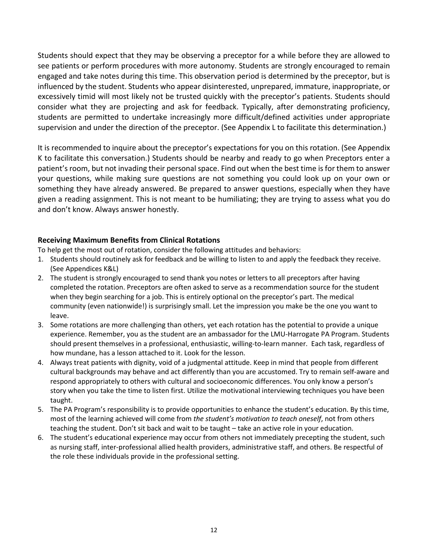Students should expect that they may be observing a preceptor for a while before they are allowed to see patients or perform procedures with more autonomy. Students are strongly encouraged to remain engaged and take notes during this time. This observation period is determined by the preceptor, but is influenced by the student. Students who appear disinterested, unprepared, immature, inappropriate, or excessively timid will most likely not be trusted quickly with the preceptor's patients. Students should consider what they are projecting and ask for feedback. Typically, after demonstrating proficiency, students are permitted to undertake increasingly more difficult/defined activities under appropriate supervision and under the direction of the preceptor. (See Appendix L to facilitate this determination.)

It is recommended to inquire about the preceptor's expectations for you on this rotation. (See Appendix K to facilitate this conversation.) Students should be nearby and ready to go when Preceptors enter a patient's room, but not invading their personal space. Find out when the best time is for them to answer your questions, while making sure questions are not something you could look up on your own or something they have already answered. Be prepared to answer questions, especially when they have given a reading assignment. This is not meant to be humiliating; they are trying to assess what you do and don't know. Always answer honestly.

#### **Receiving Maximum Benefits from Clinical Rotations**

To help get the most out of rotation, consider the following attitudes and behaviors:

- 1. Students should routinely ask for feedback and be willing to listen to and apply the feedback they receive. (See Appendices K&L)
- 2. The student is strongly encouraged to send thank you notes or letters to all preceptors after having completed the rotation. Preceptors are often asked to serve as a recommendation source for the student when they begin searching for a job. This is entirely optional on the preceptor's part. The medical community (even nationwide!) is surprisingly small. Let the impression you make be the one you want to leave.
- 3. Some rotations are more challenging than others, yet each rotation has the potential to provide a unique experience. Remember, you as the student are an ambassador for the LMU-Harrogate PA Program. Students should present themselves in a professional, enthusiastic, willing-to-learn manner. Each task, regardless of how mundane, has a lesson attached to it. Look for the lesson.
- 4. Always treat patients with dignity, void of a judgmental attitude. Keep in mind that people from different cultural backgrounds may behave and act differently than you are accustomed. Try to remain self-aware and respond appropriately to others with cultural and socioeconomic differences. You only know a person's story when you take the time to listen first. Utilize the motivational interviewing techniques you have been taught.
- 5. The PA Program's responsibility is to provide opportunities to enhance the student's education. By this time, most of the learning achieved will come from *the student's motivation to teach oneself*, not from others teaching the student. Don't sit back and wait to be taught – take an active role in your education.
- 6. The student's educational experience may occur from others not immediately precepting the student, such as nursing staff, inter-professional allied health providers, administrative staff, and others. Be respectful of the role these individuals provide in the professional setting.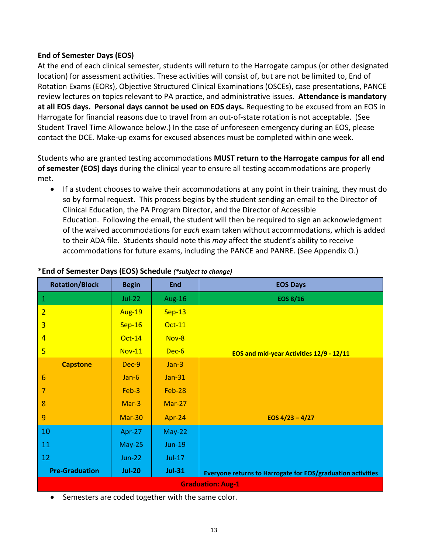#### **End of Semester Days (EOS)**

At the end of each clinical semester, students will return to the Harrogate campus (or other designated location) for assessment activities. These activities will consist of, but are not be limited to, End of Rotation Exams (EORs), Objective Structured Clinical Examinations (OSCEs), case presentations, PANCE review lectures on topics relevant to PA practice, and administrative issues. **Attendance is mandatory at all EOS days. Personal days cannot be used on EOS days.** Requesting to be excused from an EOS in Harrogate for financial reasons due to travel from an out-of-state rotation is not acceptable.(See Student Travel Time Allowance below.) In the case of unforeseen emergency during an EOS, please contact the DCE. Make-up exams for excused absences must be completed within one week.

Students who are granted testing accommodations **MUST return to the Harrogate campus for all end of semester (EOS) days** during the clinical year to ensure all testing accommodations are properly met.

• If a student chooses to waive their accommodations at any point in their training, they must do so by formal request. This process begins by the student sending an email to the Director of Clinical Education, the PA Program Director, and the Director of Accessible Education. Following the email, the student will then be required to sign an acknowledgment of the waived accommodations for *each* exam taken without accommodations, which is added to their ADA file. Students should note this *may* affect the student's ability to receive accommodations for future exams, including the PANCE and PANRE. (See Appendix O.)

| <b>Rotation/Block</b>    | <b>Begin</b>  | <b>End</b>    | <b>EOS Days</b>                                             |  |  |  |
|--------------------------|---------------|---------------|-------------------------------------------------------------|--|--|--|
| $\mathbf 1$              | $Jul-22$      | Aug-16        | <b>EOS 8/16</b>                                             |  |  |  |
| $\overline{2}$           | <b>Aug-19</b> | $Sep-13$      |                                                             |  |  |  |
| $\overline{\mathbf{3}}$  | $Sep-16$      | <b>Oct-11</b> |                                                             |  |  |  |
| $\overline{4}$           | <b>Oct-14</b> | Nov-8         |                                                             |  |  |  |
| 5                        | <b>Nov-11</b> | Dec-6         | EOS and mid-year Activities 12/9 - 12/11                    |  |  |  |
| <b>Capstone</b>          | Dec-9         | $Jan-3$       |                                                             |  |  |  |
| $6\phantom{1}6$          | $Jan-6$       | <b>Jan-31</b> |                                                             |  |  |  |
| 7                        | Feb-3         | Feb-28        |                                                             |  |  |  |
| 8                        | Mar-3         | $Mar-27$      |                                                             |  |  |  |
| 9                        | <b>Mar-30</b> | Apr-24        | EOS $4/23 - 4/27$                                           |  |  |  |
| 10                       | Apr-27        | $May-22$      |                                                             |  |  |  |
| 11                       | $May-25$      | <b>Jun-19</b> |                                                             |  |  |  |
| 12                       | <b>Jun-22</b> | <b>Jul-17</b> |                                                             |  |  |  |
| <b>Pre-Graduation</b>    | <b>Jul-20</b> | <b>Jul-31</b> | Everyone returns to Harrogate for EOS/graduation activities |  |  |  |
| <b>Graduation: Aug-1</b> |               |               |                                                             |  |  |  |

#### **\*End of Semester Days (EOS) Schedule** *(\*subject to change)*

• Semesters are coded together with the same color.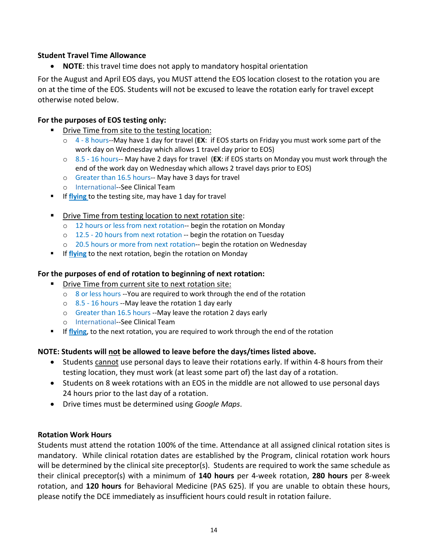#### **Student Travel Time Allowance**

• **NOTE**: this travel time does not apply to mandatory hospital orientation

For the August and April EOS days, you MUST attend the EOS location closest to the rotation you are on at the time of the EOS. Students will not be excused to leave the rotation early for travel except otherwise noted below.

#### **For the purposes of EOS testing only:**

- **Part Chrive Time from site to the testing location:** 
	- o 4 8 hours--May have 1 day for travel (**EX**: if EOS starts on Friday you must work some part of the work day on Wednesday which allows 1 travel day prior to EOS)
	- o 8.5 16 hours-- May have 2 days for travel (**EX**: if EOS starts on Monday you must work through the end of the work day on Wednesday which allows 2 travel days prior to EOS)
	- o Greater than 16.5 hours-- May have 3 days for travel
	- o International--See Clinical Team
- **If flying** to the testing site, may have 1 day for travel
- **•** Drive Time from testing location to next rotation site:
	- o 12 hours or less from next rotation-- begin the rotation on Monday
	- o 12.5 20 hours from next rotation -- begin the rotation on Tuesday
	- o 20.5 hours or more from next rotation-- begin the rotation on Wednesday
- **If flying** to the next rotation, begin the rotation on Monday

#### **For the purposes of end of rotation to beginning of next rotation:**

- **Drive Time from current site to next rotation site:** 
	- o 8 or less hours --You are required to work through the end of the rotation
	- o 8.5 16 hours --May leave the rotation 1 day early
	- o Greater than 16.5 hours --May leave the rotation 2 days early
	- o International--See Clinical Team
- **If flying**, to the next rotation, you are required to work through the end of the rotation

#### **NOTE: Students will not be allowed to leave before the days/times listed above.**

- Students cannot use personal days to leave their rotations early. If within 4-8 hours from their testing location, they must work (at least some part of) the last day of a rotation.
- Students on 8 week rotations with an EOS in the middle are not allowed to use personal days 24 hours prior to the last day of a rotation.
- Drive times must be determined using *Google Maps*.

#### **Rotation Work Hours**

Students must attend the rotation 100% of the time. Attendance at all assigned clinical rotation sites is mandatory. While clinical rotation dates are established by the Program, clinical rotation work hours will be determined by the clinical site preceptor(s). Students are required to work the same schedule as their clinical preceptor(s) with a minimum of **140 hours** per 4-week rotation, **280 hours** per 8-week rotation, and **120 hours** for Behavioral Medicine (PAS 625). If you are unable to obtain these hours, please notify the DCE immediately as insufficient hours could result in rotation failure.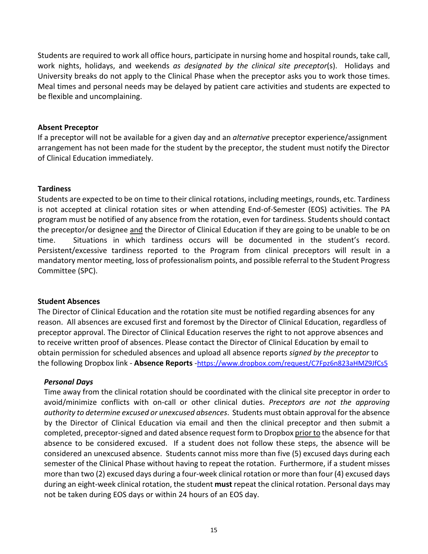Students are required to work all office hours, participate in nursing home and hospital rounds, take call, work nights, holidays, and weekends *as designated by the clinical site preceptor*(s). Holidays and University breaks do not apply to the Clinical Phase when the preceptor asks you to work those times. Meal times and personal needs may be delayed by patient care activities and students are expected to be flexible and uncomplaining.

#### **Absent Preceptor**

If a preceptor will not be available for a given day and an *alternative* preceptor experience/assignment arrangement has not been made for the student by the preceptor, the student must notify the Director of Clinical Education immediately.

#### **Tardiness**

Students are expected to be on time to their clinical rotations, including meetings, rounds, etc. Tardiness is not accepted at clinical rotation sites or when attending End-of-Semester (EOS) activities. The PA program must be notified of any absence from the rotation, even for tardiness. Students should contact the preceptor/or designee and the Director of Clinical Education if they are going to be unable to be on time. Situations in which tardiness occurs will be documented in the student's record. Persistent/excessive tardiness reported to the Program from clinical preceptors will result in a mandatory mentor meeting, loss of professionalism points, and possible referral to the Student Progress Committee (SPC).

#### **Student Absences**

The Director of Clinical Education and the rotation site must be notified regarding absences for any reason. All absences are excused first and foremost by the Director of Clinical Education, regardless of preceptor approval. The Director of Clinical Education reserves the right to not approve absences and to receive written proof of absences. Please contact the Director of Clinical Education by email to obtain permission for scheduled absences and upload all absence reports *signed by the preceptor* to the following Dropbox link - **Absence Reports** [-https://www.dropbox.com/request/C7Fpz6n823aHMZ9JfCs5](https://www.dropbox.com/request/C7Fpz6n823aHMZ9JfCs5)

#### *Personal Days*

Time away from the clinical rotation should be coordinated with the clinical site preceptor in order to avoid/minimize conflicts with on-call or other clinical duties. *Preceptors are not the approving authority to determine excused or unexcused absences*. Students must obtain approval for the absence by the Director of Clinical Education via email and then the clinical preceptor and then submit a completed, preceptor-signed and dated absence request form to Dropbox prior to the absence for that absence to be considered excused. If a student does not follow these steps, the absence will be considered an unexcused absence. Students cannot miss more than five (5) excused days during each semester of the Clinical Phase without having to repeat the rotation. Furthermore, if a student misses more than two (2) excused days during a four-week clinical rotation or more than four (4) excused days during an eight-week clinical rotation, the student **must** repeat the clinical rotation. Personal days may not be taken during EOS days or within 24 hours of an EOS day.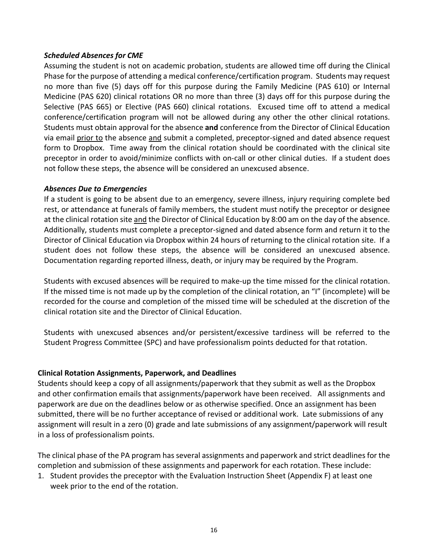#### *Scheduled Absences for CME*

Assuming the student is not on academic probation, students are allowed time off during the Clinical Phase for the purpose of attending a medical conference/certification program. Students may request no more than five (5) days off for this purpose during the Family Medicine (PAS 610) or Internal Medicine (PAS 620) clinical rotations OR no more than three (3) days off for this purpose during the Selective (PAS 665) or Elective (PAS 660) clinical rotations. Excused time off to attend a medical conference/certification program will not be allowed during any other the other clinical rotations. Students must obtain approval for the absence **and** conference from the Director of Clinical Education via email prior to the absence and submit a completed, preceptor-signed and dated absence request form to Dropbox. Time away from the clinical rotation should be coordinated with the clinical site preceptor in order to avoid/minimize conflicts with on-call or other clinical duties. If a student does not follow these steps, the absence will be considered an unexcused absence.

#### *Absences Due to Emergencies*

If a student is going to be absent due to an emergency, severe illness, injury requiring complete bed rest, or attendance at funerals of family members, the student must notify the preceptor or designee at the clinical rotation site and the Director of Clinical Education by 8:00 am on the day of the absence. Additionally, students must complete a preceptor-signed and dated absence form and return it to the Director of Clinical Education via Dropbox within 24 hours of returning to the clinical rotation site. If a student does not follow these steps, the absence will be considered an unexcused absence. Documentation regarding reported illness, death, or injury may be required by the Program.

Students with excused absences will be required to make-up the time missed for the clinical rotation. If the missed time is not made up by the completion of the clinical rotation, an "I" (incomplete) will be recorded for the course and completion of the missed time will be scheduled at the discretion of the clinical rotation site and the Director of Clinical Education.

Students with unexcused absences and/or persistent/excessive tardiness will be referred to the Student Progress Committee (SPC) and have professionalism points deducted for that rotation.

#### **Clinical Rotation Assignments, Paperwork, and Deadlines**

Students should keep a copy of all assignments/paperwork that they submit as well as the Dropbox and other confirmation emails that assignments/paperwork have been received. All assignments and paperwork are due on the deadlines below or as otherwise specified. Once an assignment has been submitted, there will be no further acceptance of revised or additional work. Late submissions of any assignment will result in a zero (0) grade and late submissions of any assignment/paperwork will result in a loss of professionalism points.

The clinical phase of the PA program has several assignments and paperwork and strict deadlines for the completion and submission of these assignments and paperwork for each rotation. These include:

1. Student provides the preceptor with the Evaluation Instruction Sheet (Appendix F) at least one week prior to the end of the rotation.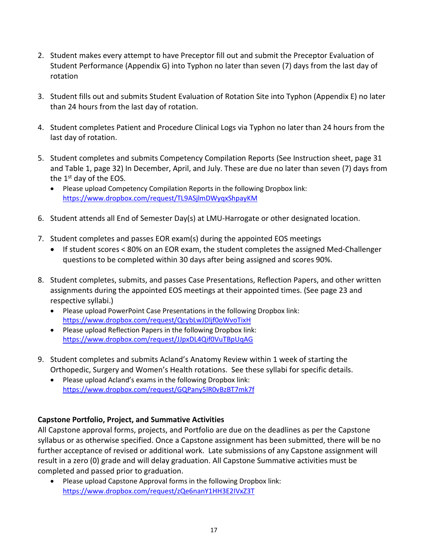- 2. Student makes every attempt to have Preceptor fill out and submit the Preceptor Evaluation of Student Performance (Appendix G) into Typhon no later than seven (7) days from the last day of rotation
- 3. Student fills out and submits Student Evaluation of Rotation Site into Typhon (Appendix E) no later than 24 hours from the last day of rotation.
- 4. Student completes Patient and Procedure Clinical Logs via Typhon no later than 24 hours from the last day of rotation.
- 5. Student completes and submits Competency Compilation Reports (See Instruction sheet, page 31 and Table 1, page 32) In December, April, and July. These are due no later than seven (7) days from the 1<sup>st</sup> day of the EOS.
	- Please upload Competency Compilation Reports in the following Dropbox link: <https://www.dropbox.com/request/TL9ASjlmDWyqxShpayKM>
- 6. Student attends all End of Semester Day(s) at LMU-Harrogate or other designated location.
- 7. Student completes and passes EOR exam(s) during the appointed EOS meetings
	- If student scores < 80% on an EOR exam, the student completes the assigned Med-Challenger questions to be completed within 30 days after being assigned and scores 90%.
- 8. Student completes, submits, and passes Case Presentations, Reflection Papers, and other written assignments during the appointed EOS meetings at their appointed times. (See page 23 and respective syllabi.)
	- Please upload PowerPoint Case Presentations in the following Dropbox link: <https://www.dropbox.com/request/QcybLwJDljf0oWvoTixH>
	- Please upload Reflection Papers in the following Dropbox link: <https://www.dropbox.com/request/JJpxDL4Qif0VuTBpUqAG>
- 9. Student completes and submits Acland's Anatomy Review within 1 week of starting the Orthopedic, Surgery and Women's Health rotations. See these syllabi for specific details.
	- Please upload Acland's exams in the following Dropbox link: <https://www.dropbox.com/request/GQPany5lR0vBzBT7mk7f>

#### **Capstone Portfolio, Project, and Summative Activities**

All Capstone approval forms, projects, and Portfolio are due on the deadlines as per the Capstone syllabus or as otherwise specified. Once a Capstone assignment has been submitted, there will be no further acceptance of revised or additional work. Late submissions of any Capstone assignment will result in a zero (0) grade and will delay graduation. All Capstone Summative activities must be completed and passed prior to graduation.

• Please upload Capstone Approval forms in the following Dropbox link: <https://www.dropbox.com/request/zQe6nanY1HH3E2IVxZ3T>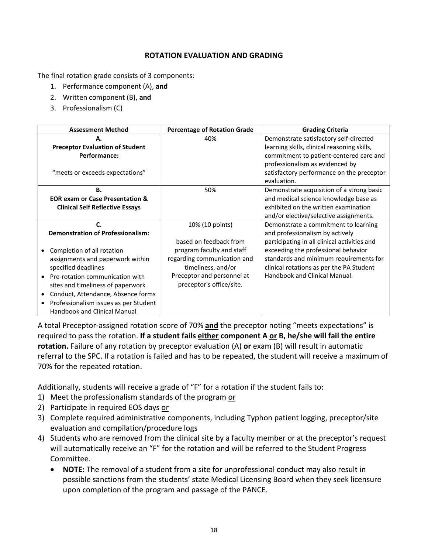#### **ROTATION EVALUATION AND GRADING**

The final rotation grade consists of 3 components:

- 1. Performance component (A), **and**
- 2. Written component (B), **and**
- 3. Professionalism (C)

| <b>Assessment Method</b>                   | <b>Percentage of Rotation Grade</b> | <b>Grading Criteria</b>                      |
|--------------------------------------------|-------------------------------------|----------------------------------------------|
| А.                                         | 40%                                 | Demonstrate satisfactory self-directed       |
| <b>Preceptor Evaluation of Student</b>     |                                     | learning skills, clinical reasoning skills,  |
| Performance:                               |                                     | commitment to patient-centered care and      |
|                                            |                                     | professionalism as evidenced by              |
| "meets or exceeds expectations"            |                                     | satisfactory performance on the preceptor    |
|                                            |                                     | evaluation.                                  |
| В.                                         | 50%                                 | Demonstrate acquisition of a strong basic    |
| <b>EOR exam or Case Presentation &amp;</b> |                                     | and medical science knowledge base as        |
| <b>Clinical Self Reflective Essays</b>     |                                     | exhibited on the written examination         |
|                                            |                                     | and/or elective/selective assignments.       |
|                                            | 10% (10 points)                     | Demonstrate a commitment to learning         |
| <b>Demonstration of Professionalism:</b>   |                                     | and professionalism by actively              |
|                                            | based on feedback from              | participating in all clinical activities and |
| Completion of all rotation                 | program faculty and staff           | exceeding the professional behavior          |
| assignments and paperwork within           | regarding communication and         | standards and minimum requirements for       |
| specified deadlines                        | timeliness, and/or                  | clinical rotations as per the PA Student     |
| Pre-rotation communication with            | Preceptor and personnel at          | Handbook and Clinical Manual.                |
| sites and timeliness of paperwork          | preceptor's office/site.            |                                              |
| Conduct, Attendance, Absence forms         |                                     |                                              |
| Professionalism issues as per Student      |                                     |                                              |
| <b>Handbook and Clinical Manual</b>        |                                     |                                              |

A total Preceptor-assigned rotation score of 70% **and** the preceptor noting "meets expectations" is required to pass the rotation. **If a student fails either component A or B, he/she will fail the entire rotation.** Failure of any rotation by preceptor evaluation (A) **or** exam (B) will result in automatic referral to the SPC. If a rotation is failed and has to be repeated, the student will receive a maximum of 70% for the repeated rotation.

Additionally, students will receive a grade of "F" for a rotation if the student fails to:

- 1) Meet the professionalism standards of the program or
- 2) Participate in required EOS days or
- 3) Complete required administrative components, including Typhon patient logging, preceptor/site evaluation and compilation/procedure logs
- 4) Students who are removed from the clinical site by a faculty member or at the preceptor's request will automatically receive an "F" for the rotation and will be referred to the Student Progress Committee.
	- **NOTE:** The removal of a student from a site for unprofessional conduct may also result in possible sanctions from the students' state Medical Licensing Board when they seek licensure upon completion of the program and passage of the PANCE.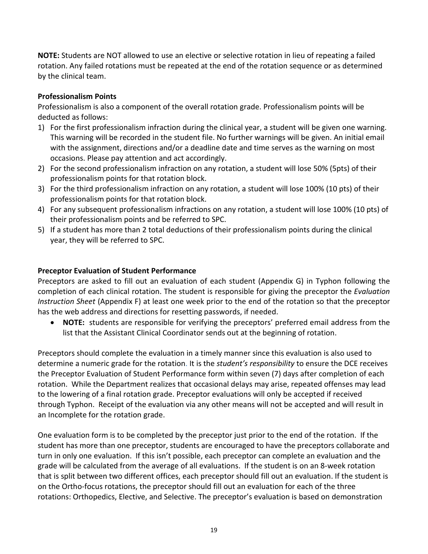**NOTE:** Students are NOT allowed to use an elective or selective rotation in lieu of repeating a failed rotation. Any failed rotations must be repeated at the end of the rotation sequence or as determined by the clinical team.

#### **Professionalism Points**

Professionalism is also a component of the overall rotation grade. Professionalism points will be deducted as follows:

- 1) For the first professionalism infraction during the clinical year, a student will be given one warning. This warning will be recorded in the student file. No further warnings will be given. An initial email with the assignment, directions and/or a deadline date and time serves as the warning on most occasions. Please pay attention and act accordingly.
- 2) For the second professionalism infraction on any rotation, a student will lose 50% (5pts) of their professionalism points for that rotation block.
- 3) For the third professionalism infraction on any rotation, a student will lose 100% (10 pts) of their professionalism points for that rotation block.
- 4) For any subsequent professionalism infractions on any rotation, a student will lose 100% (10 pts) of their professionalism points and be referred to SPC.
- 5) If a student has more than 2 total deductions of their professionalism points during the clinical year, they will be referred to SPC.

#### **Preceptor Evaluation of Student Performance**

Preceptors are asked to fill out an evaluation of each student (Appendix G) in Typhon following the completion of each clinical rotation. The student is responsible for giving the preceptor the *Evaluation Instruction Sheet* (Appendix F) at least one week prior to the end of the rotation so that the preceptor has the web address and directions for resetting passwords, if needed.

• **NOTE:** students are responsible for verifying the preceptors' preferred email address from the list that the Assistant Clinical Coordinator sends out at the beginning of rotation.

Preceptors should complete the evaluation in a timely manner since this evaluation is also used to determine a numeric grade for the rotation. It is the *student's responsibility* to ensure the DCE receives the Preceptor Evaluation of Student Performance form within seven (7) days after completion of each rotation. While the Department realizes that occasional delays may arise, repeated offenses may lead to the lowering of a final rotation grade. Preceptor evaluations will only be accepted if received through Typhon. Receipt of the evaluation via any other means will not be accepted and will result in an Incomplete for the rotation grade.

One evaluation form is to be completed by the preceptor just prior to the end of the rotation. If the student has more than one preceptor, students are encouraged to have the preceptors collaborate and turn in only one evaluation. If this isn't possible, each preceptor can complete an evaluation and the grade will be calculated from the average of all evaluations. If the student is on an 8-week rotation that is split between two different offices, each preceptor should fill out an evaluation. If the student is on the Ortho-focus rotations, the preceptor should fill out an evaluation for each of the three rotations: Orthopedics, Elective, and Selective. The preceptor's evaluation is based on demonstration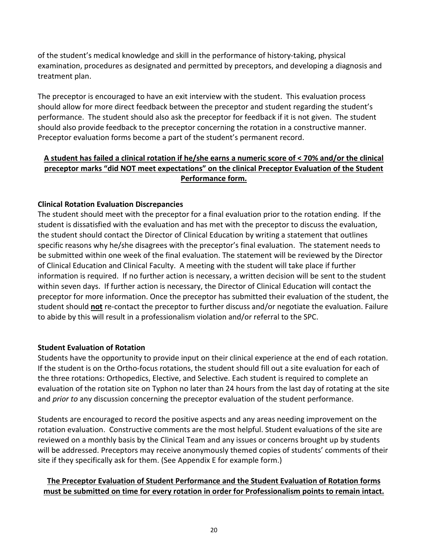of the student's medical knowledge and skill in the performance of history-taking, physical examination, procedures as designated and permitted by preceptors, and developing a diagnosis and treatment plan.

The preceptor is encouraged to have an exit interview with the student. This evaluation process should allow for more direct feedback between the preceptor and student regarding the student's performance. The student should also ask the preceptor for feedback if it is not given. The student should also provide feedback to the preceptor concerning the rotation in a constructive manner. Preceptor evaluation forms become a part of the student's permanent record.

#### **A student has failed a clinical rotation if he/she earns a numeric score of < 70% and/or the clinical preceptor marks "did NOT meet expectations" on the clinical Preceptor Evaluation of the Student Performance form.**

#### **Clinical Rotation Evaluation Discrepancies**

The student should meet with the preceptor for a final evaluation prior to the rotation ending. If the student is dissatisfied with the evaluation and has met with the preceptor to discuss the evaluation, the student should contact the Director of Clinical Education by writing a statement that outlines specific reasons why he/she disagrees with the preceptor's final evaluation. The statement needs to be submitted within one week of the final evaluation. The statement will be reviewed by the Director of Clinical Education and Clinical Faculty. A meeting with the student will take place if further information is required. If no further action is necessary, a written decision will be sent to the student within seven days. If further action is necessary, the Director of Clinical Education will contact the preceptor for more information. Once the preceptor has submitted their evaluation of the student, the student should **not** re-contact the preceptor to further discuss and/or negotiate the evaluation. Failure to abide by this will result in a professionalism violation and/or referral to the SPC.

#### **Student Evaluation of Rotation**

Students have the opportunity to provide input on their clinical experience at the end of each rotation. If the student is on the Ortho-focus rotations, the student should fill out a site evaluation for each of the three rotations: Orthopedics, Elective, and Selective. Each student is required to complete an evaluation of the rotation site on Typhon no later than 24 hours from the last day of rotating at the site and *prior to* any discussion concerning the preceptor evaluation of the student performance.

Students are encouraged to record the positive aspects and any areas needing improvement on the rotation evaluation. Constructive comments are the most helpful. Student evaluations of the site are reviewed on a monthly basis by the Clinical Team and any issues or concerns brought up by students will be addressed. Preceptors may receive anonymously themed copies of students' comments of their site if they specifically ask for them. (See Appendix E for example form.)

#### **The Preceptor Evaluation of Student Performance and the Student Evaluation of Rotation forms must be submitted on time for every rotation in order for Professionalism points to remain intact.**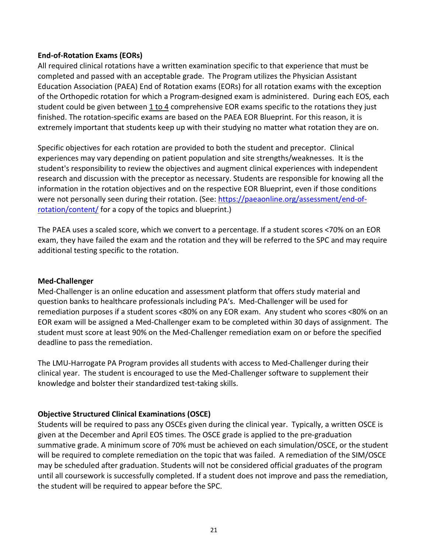#### **End-of-Rotation Exams (EORs)**

All required clinical rotations have a written examination specific to that experience that must be completed and passed with an acceptable grade. The Program utilizes the Physician Assistant Education Association (PAEA) End of Rotation exams (EORs) for all rotation exams with the exception of the Orthopedic rotation for which a Program-designed exam is administered. During each EOS, each student could be given between 1 to 4 comprehensive EOR exams specific to the rotations they just finished. The rotation-specific exams are based on the PAEA EOR Blueprint. For this reason, it is extremely important that students keep up with their studying no matter what rotation they are on.

Specific objectives for each rotation are provided to both the student and preceptor. Clinical experiences may vary depending on patient population and site strengths/weaknesses. It is the student's responsibility to review the objectives and augment clinical experiences with independent research and discussion with the preceptor as necessary. Students are responsible for knowing all the information in the rotation objectives and on the respective EOR Blueprint, even if those conditions were not personally seen during their rotation. (See: [https://paeaonline.org/assessment/end-of](https://paeaonline.org/assessment/end-of-rotation/content/)[rotation/content/](https://paeaonline.org/assessment/end-of-rotation/content/) for a copy of the topics and blueprint.)

The PAEA uses a scaled score, which we convert to a percentage. If a student scores <70% on an EOR exam, they have failed the exam and the rotation and they will be referred to the SPC and may require additional testing specific to the rotation.

#### **Med-Challenger**

Med-Challenger is an online education and assessment platform that offers study material and question banks to healthcare professionals including PA's. Med-Challenger will be used for remediation purposes if a student scores <80% on any EOR exam. Any student who scores <80% on an EOR exam will be assigned a Med-Challenger exam to be completed within 30 days of assignment. The student must score at least 90% on the Med-Challenger remediation exam on or before the specified deadline to pass the remediation.

The LMU-Harrogate PA Program provides all students with access to Med-Challenger during their clinical year. The student is encouraged to use the Med-Challenger software to supplement their knowledge and bolster their standardized test-taking skills.

#### **Objective Structured Clinical Examinations (OSCE)**

Students will be required to pass any OSCEs given during the clinical year. Typically, a written OSCE is given at the December and April EOS times. The OSCE grade is applied to the pre-graduation summative grade. A minimum score of 70% must be achieved on each simulation/OSCE, or the student will be required to complete remediation on the topic that was failed. A remediation of the SIM/OSCE may be scheduled after graduation. Students will not be considered official graduates of the program until all coursework is successfully completed. If a student does not improve and pass the remediation, the student will be required to appear before the SPC.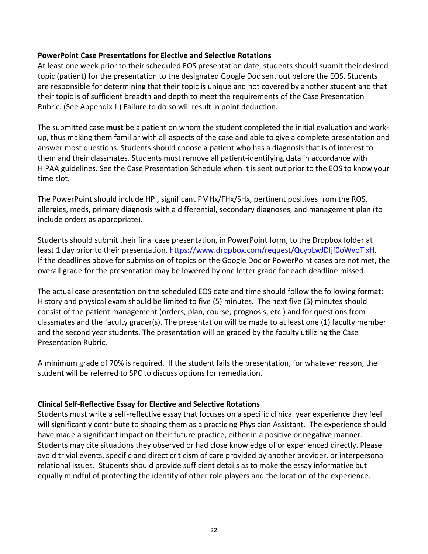#### **PowerPoint Case Presentations for Elective and Selective Rotations**

At least one week prior to their scheduled EOS presentation date, students should submit their desired topic (patient) for the presentation to the designated Google Doc sent out before the EOS. Students are responsible for determining that their topic is unique and not covered by another student and that their topic is of sufficient breadth and depth to meet the requirements of the Case Presentation Rubric. (See Appendix J.) Failure to do so will result in point deduction.

The submitted case **must** be a patient on whom the student completed the initial evaluation and workup, thus making them familiar with all aspects of the case and able to give a complete presentation and answer most questions. Students should choose a patient who has a diagnosis that is of interest to them and their classmates. Students must remove all patient-identifying data in accordance with HIPAA guidelines. See the Case Presentation Schedule when it is sent out prior to the EOS to know your time slot.

The PowerPoint should include HPI, significant PMHx/FHx/SHx, pertinent positives from the ROS, allergies, meds, primary diagnosis with a differential, secondary diagnoses, and management plan (to include orders as appropriate).

Students should submit their final case presentation, in PowerPoint form, to the Dropbox folder at least 1 day prior to their presentation[. https://www.dropbox.com/request/QcybLwJDljf0oWvoTixH.](https://www.dropbox.com/request/QcybLwJDljf0oWvoTixH) If the deadlines above for submission of topics on the Google Doc or PowerPoint cases are not met, the overall grade for the presentation may be lowered by one letter grade for each deadline missed.

The actual case presentation on the scheduled EOS date and time should follow the following format: History and physical exam should be limited to five (5) minutes. The next five (5) minutes should consist of the patient management (orders, plan, course, prognosis, etc.) and for questions from classmates and the faculty grader(s). The presentation will be made to at least one (1) faculty member and the second year students. The presentation will be graded by the faculty utilizing the Case Presentation Rubric.

A minimum grade of 70% is required. If the student fails the presentation, for whatever reason, the student will be referred to SPC to discuss options for remediation.

#### **Clinical Self-Reflective Essay for Elective and Selective Rotations**

Students must write a self-reflective essay that focuses on a specific clinical year experience they feel will significantly contribute to shaping them as a practicing Physician Assistant. The experience should have made a significant impact on their future practice, either in a positive or negative manner. Students may cite situations they observed or had close knowledge of or experienced directly. Please avoid trivial events, specific and direct criticism of care provided by another provider, or interpersonal relational issues. Students should provide sufficient details as to make the essay informative but equally mindful of protecting the identity of other role players and the location of the experience.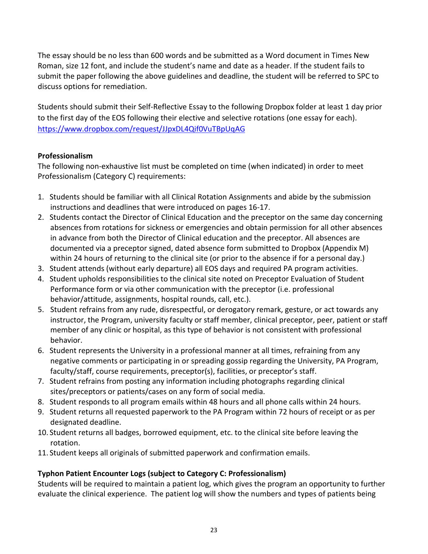The essay should be no less than 600 words and be submitted as a Word document in Times New Roman, size 12 font, and include the student's name and date as a header. If the student fails to submit the paper following the above guidelines and deadline, the student will be referred to SPC to discuss options for remediation.

Students should submit their Self-Reflective Essay to the following Dropbox folder at least 1 day prior to the first day of the EOS following their elective and selective rotations (one essay for each). <https://www.dropbox.com/request/JJpxDL4Qif0VuTBpUqAG>

#### **Professionalism**

The following non-exhaustive list must be completed on time (when indicated) in order to meet Professionalism (Category C) requirements:

- 1. Students should be familiar with all Clinical Rotation Assignments and abide by the submission instructions and deadlines that were introduced on pages 16-17.
- 2. Students contact the Director of Clinical Education and the preceptor on the same day concerning absences from rotations for sickness or emergencies and obtain permission for all other absences in advance from both the Director of Clinical education and the preceptor. All absences are documented via a preceptor signed, dated absence form submitted to Dropbox (Appendix M) within 24 hours of returning to the clinical site (or prior to the absence if for a personal day.)
- 3. Student attends (without early departure) all EOS days and required PA program activities.
- 4. Student upholds responsibilities to the clinical site noted on Preceptor Evaluation of Student Performance form or via other communication with the preceptor (i.e. professional behavior/attitude, assignments, hospital rounds, call, etc.).
- 5. Student refrains from any rude, disrespectful, or derogatory remark, gesture, or act towards any instructor, the Program, university faculty or staff member, clinical preceptor, peer, patient or staff member of any clinic or hospital, as this type of behavior is not consistent with professional behavior.
- 6. Student represents the University in a professional manner at all times, refraining from any negative comments or participating in or spreading gossip regarding the University, PA Program, faculty/staff, course requirements, preceptor(s), facilities, or preceptor's staff.
- 7. Student refrains from posting any information including photographs regarding clinical sites/preceptors or patients/cases on any form of social media.
- 8. Student responds to all program emails within 48 hours and all phone calls within 24 hours.
- 9. Student returns all requested paperwork to the PA Program within 72 hours of receipt or as per designated deadline.
- 10. Student returns all badges, borrowed equipment, etc. to the clinical site before leaving the rotation.
- 11. Student keeps all originals of submitted paperwork and confirmation emails.

#### **Typhon Patient Encounter Logs (subject to Category C: Professionalism)**

Students will be required to maintain a patient log, which gives the program an opportunity to further evaluate the clinical experience. The patient log will show the numbers and types of patients being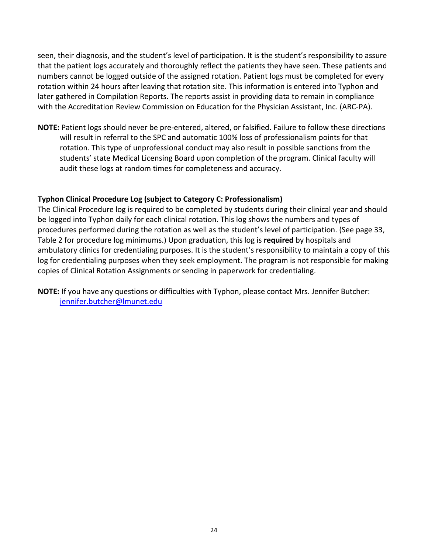seen, their diagnosis, and the student's level of participation. It is the student's responsibility to assure that the patient logs accurately and thoroughly reflect the patients they have seen. These patients and numbers cannot be logged outside of the assigned rotation. Patient logs must be completed for every rotation within 24 hours after leaving that rotation site. This information is entered into Typhon and later gathered in Compilation Reports. The reports assist in providing data to remain in compliance with the Accreditation Review Commission on Education for the Physician Assistant, Inc. (ARC-PA).

**NOTE:** Patient logs should never be pre-entered, altered, or falsified. Failure to follow these directions will result in referral to the SPC and automatic 100% loss of professionalism points for that rotation. This type of unprofessional conduct may also result in possible sanctions from the students' state Medical Licensing Board upon completion of the program. Clinical faculty will audit these logs at random times for completeness and accuracy.

#### **Typhon Clinical Procedure Log (subject to Category C: Professionalism)**

The Clinical Procedure log is required to be completed by students during their clinical year and should be logged into Typhon daily for each clinical rotation. This log shows the numbers and types of procedures performed during the rotation as well as the student's level of participation. (See page 33, Table 2 for procedure log minimums.) Upon graduation, this log is **required** by hospitals and ambulatory clinics for credentialing purposes. It is the student's responsibility to maintain a copy of this log for credentialing purposes when they seek employment. The program is not responsible for making copies of Clinical Rotation Assignments or sending in paperwork for credentialing.

**NOTE:** If you have any questions or difficulties with Typhon, please contact Mrs. Jennifer Butcher: [jennifer.butcher@lmunet.edu](mailto:jennifer.butcher@lmunet.edu)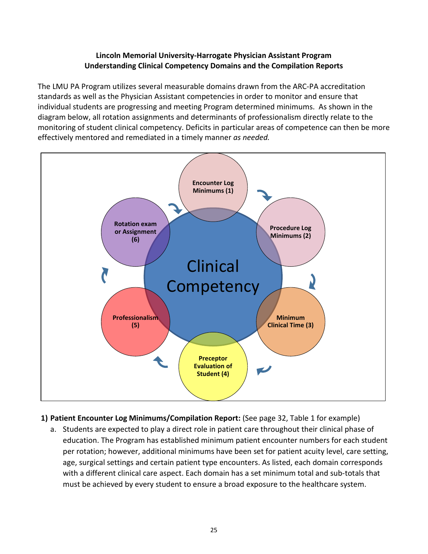#### **Lincoln Memorial University-Harrogate Physician Assistant Program Understanding Clinical Competency Domains and the Compilation Reports**

The LMU PA Program utilizes several measurable domains drawn from the ARC-PA accreditation standards as well as the Physician Assistant competencies in order to monitor and ensure that individual students are progressing and meeting Program determined minimums. As shown in the diagram below, all rotation assignments and determinants of professionalism directly relate to the monitoring of student clinical competency. Deficits in particular areas of competence can then be more effectively mentored and remediated in a timely manner *as needed.*



- **1) Patient Encounter Log Minimums/Compilation Report:** (See page 32, Table 1 for example)
	- a. Students are expected to play a direct role in patient care throughout their clinical phase of education. The Program has established minimum patient encounter numbers for each student per rotation; however, additional minimums have been set for patient acuity level, care setting, age, surgical settings and certain patient type encounters. As listed, each domain corresponds with a different clinical care aspect. Each domain has a set minimum total and sub-totals that must be achieved by every student to ensure a broad exposure to the healthcare system.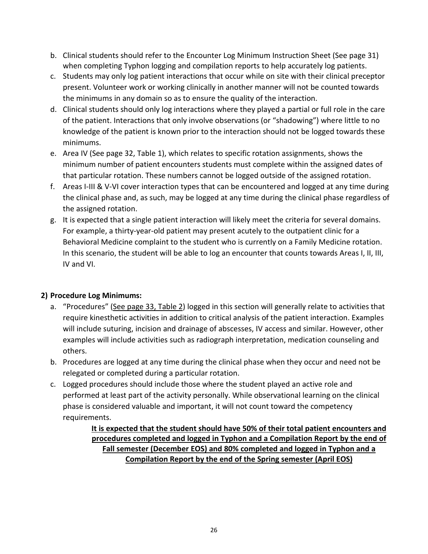- b. Clinical students should refer to the Encounter Log Minimum Instruction Sheet (See page 31) when completing Typhon logging and compilation reports to help accurately log patients.
- c. Students may only log patient interactions that occur while on site with their clinical preceptor present. Volunteer work or working clinically in another manner will not be counted towards the minimums in any domain so as to ensure the quality of the interaction.
- d. Clinical students should only log interactions where they played a partial or full role in the care of the patient. Interactions that only involve observations (or "shadowing") where little to no knowledge of the patient is known prior to the interaction should not be logged towards these minimums.
- e. Area IV (See page 32, Table 1), which relates to specific rotation assignments, shows the minimum number of patient encounters students must complete within the assigned dates of that particular rotation. These numbers cannot be logged outside of the assigned rotation.
- f. Areas I-III & V-VI cover interaction types that can be encountered and logged at any time during the clinical phase and, as such, may be logged at any time during the clinical phase regardless of the assigned rotation.
- g. It is expected that a single patient interaction will likely meet the criteria for several domains. For example, a thirty-year-old patient may present acutely to the outpatient clinic for a Behavioral Medicine complaint to the student who is currently on a Family Medicine rotation. In this scenario, the student will be able to log an encounter that counts towards Areas I, II, III, IV and VI.

#### **2) Procedure Log Minimums:**

- a. "Procedures" (See page 33, Table 2) logged in this section will generally relate to activities that require kinesthetic activities in addition to critical analysis of the patient interaction. Examples will include suturing, incision and drainage of abscesses, IV access and similar. However, other examples will include activities such as radiograph interpretation, medication counseling and others.
- b. Procedures are logged at any time during the clinical phase when they occur and need not be relegated or completed during a particular rotation.
- c. Logged procedures should include those where the student played an active role and performed at least part of the activity personally. While observational learning on the clinical phase is considered valuable and important, it will not count toward the competency requirements.

**It is expected that the student should have 50% of their total patient encounters and procedures completed and logged in Typhon and a Compilation Report by the end of Fall semester (December EOS) and 80% completed and logged in Typhon and a Compilation Report by the end of the Spring semester (April EOS)**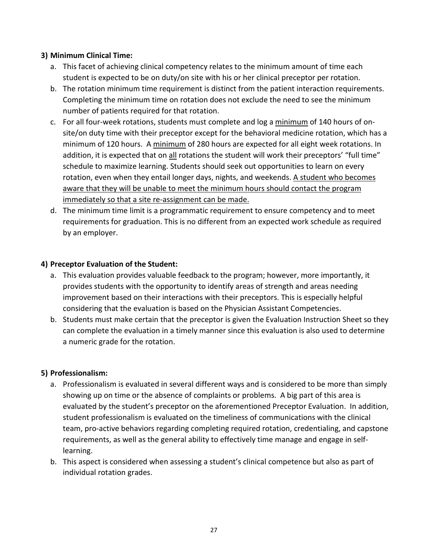#### **3) Minimum Clinical Time:**

- a. This facet of achieving clinical competency relates to the minimum amount of time each student is expected to be on duty/on site with his or her clinical preceptor per rotation.
- b. The rotation minimum time requirement is distinct from the patient interaction requirements. Completing the minimum time on rotation does not exclude the need to see the minimum number of patients required for that rotation.
- c. For all four-week rotations, students must complete and log a minimum of 140 hours of onsite/on duty time with their preceptor except for the behavioral medicine rotation, which has a minimum of 120 hours. A minimum of 280 hours are expected for all eight week rotations. In addition, it is expected that on all rotations the student will work their preceptors' "full time" schedule to maximize learning. Students should seek out opportunities to learn on every rotation, even when they entail longer days, nights, and weekends. A student who becomes aware that they will be unable to meet the minimum hours should contact the program immediately so that a site re-assignment can be made.
- d. The minimum time limit is a programmatic requirement to ensure competency and to meet requirements for graduation. This is no different from an expected work schedule as required by an employer.

#### **4) Preceptor Evaluation of the Student:**

- a. This evaluation provides valuable feedback to the program; however, more importantly, it provides students with the opportunity to identify areas of strength and areas needing improvement based on their interactions with their preceptors. This is especially helpful considering that the evaluation is based on the Physician Assistant Competencies.
- b. Students must make certain that the preceptor is given the Evaluation Instruction Sheet so they can complete the evaluation in a timely manner since this evaluation is also used to determine a numeric grade for the rotation.

#### **5) Professionalism:**

- a. Professionalism is evaluated in several different ways and is considered to be more than simply showing up on time or the absence of complaints or problems. A big part of this area is evaluated by the student's preceptor on the aforementioned Preceptor Evaluation. In addition, student professionalism is evaluated on the timeliness of communications with the clinical team, pro-active behaviors regarding completing required rotation, credentialing, and capstone requirements, as well as the general ability to effectively time manage and engage in selflearning.
- b. This aspect is considered when assessing a student's clinical competence but also as part of individual rotation grades.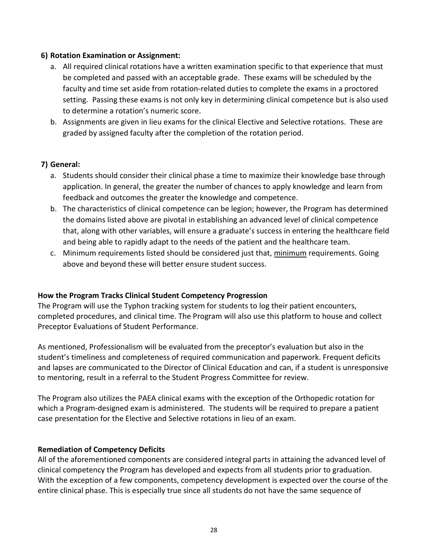#### **6) Rotation Examination or Assignment:**

- a. All required clinical rotations have a written examination specific to that experience that must be completed and passed with an acceptable grade. These exams will be scheduled by the faculty and time set aside from rotation-related duties to complete the exams in a proctored setting. Passing these exams is not only key in determining clinical competence but is also used to determine a rotation's numeric score.
- b. Assignments are given in lieu exams for the clinical Elective and Selective rotations. These are graded by assigned faculty after the completion of the rotation period.

#### **7) General:**

- a. Students should consider their clinical phase a time to maximize their knowledge base through application. In general, the greater the number of chances to apply knowledge and learn from feedback and outcomes the greater the knowledge and competence.
- b. The characteristics of clinical competence can be legion; however, the Program has determined the domains listed above are pivotal in establishing an advanced level of clinical competence that, along with other variables, will ensure a graduate's success in entering the healthcare field and being able to rapidly adapt to the needs of the patient and the healthcare team.
- c. Minimum requirements listed should be considered just that, minimum requirements. Going above and beyond these will better ensure student success.

#### **How the Program Tracks Clinical Student Competency Progression**

The Program will use the Typhon tracking system for students to log their patient encounters, completed procedures, and clinical time. The Program will also use this platform to house and collect Preceptor Evaluations of Student Performance.

As mentioned, Professionalism will be evaluated from the preceptor's evaluation but also in the student's timeliness and completeness of required communication and paperwork. Frequent deficits and lapses are communicated to the Director of Clinical Education and can, if a student is unresponsive to mentoring, result in a referral to the Student Progress Committee for review.

The Program also utilizes the PAEA clinical exams with the exception of the Orthopedic rotation for which a Program-designed exam is administered. The students will be required to prepare a patient case presentation for the Elective and Selective rotations in lieu of an exam.

#### **Remediation of Competency Deficits**

All of the aforementioned components are considered integral parts in attaining the advanced level of clinical competency the Program has developed and expects from all students prior to graduation. With the exception of a few components, competency development is expected over the course of the entire clinical phase. This is especially true since all students do not have the same sequence of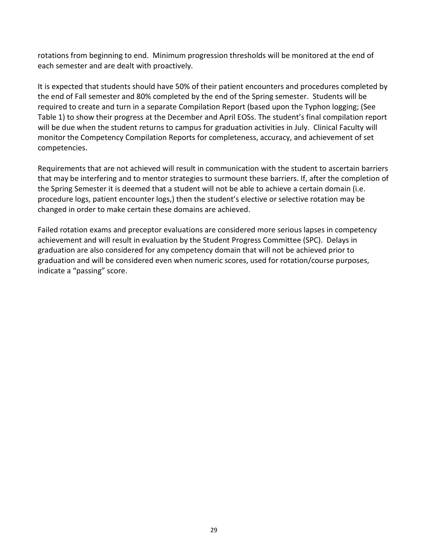rotations from beginning to end. Minimum progression thresholds will be monitored at the end of each semester and are dealt with proactively.

It is expected that students should have 50% of their patient encounters and procedures completed by the end of Fall semester and 80% completed by the end of the Spring semester. Students will be required to create and turn in a separate Compilation Report (based upon the Typhon logging; (See Table 1) to show their progress at the December and April EOSs. The student's final compilation report will be due when the student returns to campus for graduation activities in July. Clinical Faculty will monitor the Competency Compilation Reports for completeness, accuracy, and achievement of set competencies.

Requirements that are not achieved will result in communication with the student to ascertain barriers that may be interfering and to mentor strategies to surmount these barriers. If, after the completion of the Spring Semester it is deemed that a student will not be able to achieve a certain domain (i.e. procedure logs, patient encounter logs,) then the student's elective or selective rotation may be changed in order to make certain these domains are achieved.

Failed rotation exams and preceptor evaluations are considered more serious lapses in competency achievement and will result in evaluation by the Student Progress Committee (SPC). Delays in graduation are also considered for any competency domain that will not be achieved prior to graduation and will be considered even when numeric scores, used for rotation/course purposes, indicate a "passing" score.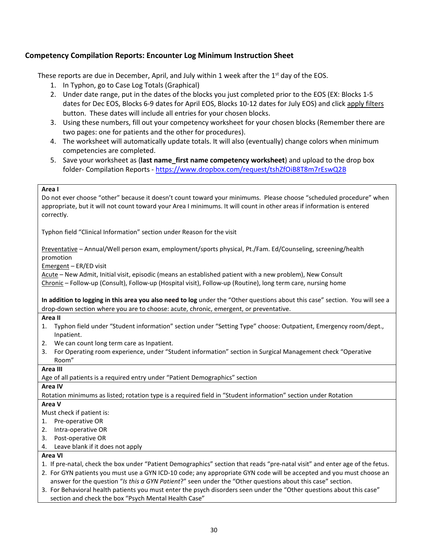#### **Competency Compilation Reports: Encounter Log Minimum Instruction Sheet**

These reports are due in December, April, and July within 1 week after the  $1<sup>st</sup>$  day of the EOS.

- 1. In Typhon, go to Case Log Totals (Graphical)
- 2. Under date range, put in the dates of the blocks you just completed prior to the EOS (EX: Blocks 1-5 dates for Dec EOS, Blocks 6-9 dates for April EOS, Blocks 10-12 dates for July EOS) and click apply filters button. These dates will include all entries for your chosen blocks.
- 3. Using these numbers, fill out your competency worksheet for your chosen blocks (Remember there are two pages: one for patients and the other for procedures).
- 4. The worksheet will automatically update totals. It will also (eventually) change colors when minimum competencies are completed.
- 5. Save your worksheet as (**last name\_first name competency worksheet**) and upload to the drop box folder- Compilation Reports - [https://www.dropbox.com/request/tshZfOiB8T8m7rEswQ2B](https://nam05.safelinks.protection.outlook.com/?url=https%3A%2F%2Fwww.dropbox.com%2Frequest%2FtshZfOiB8T8m7rEswQ2B&data=02%7C01%7Cchrystyna.senkel%40lmunet.edu%7Cf2784749b8374e1ff35508d6d2f6d243%7Cd3ef1a875daf4bdfa11b40412f4a2b3c%7C0%7C0%7C636928354883408468&sdata=ngURgQrMItPwdM2m1LSYNJ5sIJhF0xEi8mavlxKiRQk%3D&reserved=0)

#### **Area I**

Do not ever choose "other" because it doesn't count toward your minimums. Please choose "scheduled procedure" when appropriate, but it will not count toward your Area I minimums. It will count in other areas if information is entered correctly.

Typhon field "Clinical Information" section under Reason for the visit

Preventative – Annual/Well person exam, employment/sports physical, Pt./Fam. Ed/Counseling, screening/health promotion

Emergent – ER/ED visit

Acute – New Admit, Initial visit, episodic (means an established patient with a new problem), New Consult Chronic – Follow-up (Consult), Follow-up (Hospital visit), Follow-up (Routine), long term care, nursing home

**In addition to logging in this area you also need to log** under the "Other questions about this case" section. You will see a drop-down section where you are to choose: acute, chronic, emergent, or preventative.

#### **Area II**

- 1. Typhon field under "Student information" section under "Setting Type" choose: Outpatient, Emergency room/dept., Inpatient.
- 2. We can count long term care as Inpatient.
- 3. For Operating room experience, under "Student information" section in Surgical Management check "Operative Room"

#### **Area III**

Age of all patients is a required entry under "Patient Demographics" section

#### **Area IV**

Rotation minimums as listed; rotation type is a required field in "Student information" section under Rotation

#### **Area V**

Must check if patient is:

- 1. Pre-operative OR
- 2. Intra-operative OR
- 3. Post-operative OR
- 4. Leave blank if it does not apply

#### **Area VI**

- 1. If pre-natal, check the box under "Patient Demographics" section that reads "pre-natal visit" and enter age of the fetus.
- 2. For GYN patients you must use a GYN ICD-10 code; any appropriate GYN code will be accepted and you must choose an answer for the question "*Is this a GYN Patient*?" seen under the "Other questions about this case" section.
- 3. For Behavioral health patients you must enter the psych disorders seen under the "Other questions about this case" section and check the box "Psych Mental Health Case"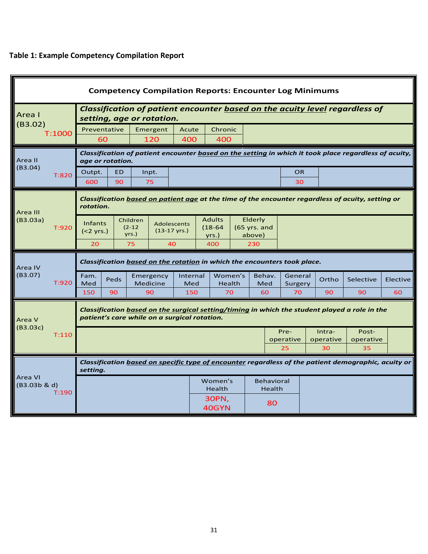## **Table 1: Example Competency Compilation Report**

| <b>Competency Compilation Reports: Encounter Log Minimums</b> |                                              |                                                                                                                                                                                                                             |                                              |                                                                                                                                               |     |                             |                          |  |               |  |                 |                 |                    |       |           |          |
|---------------------------------------------------------------|----------------------------------------------|-----------------------------------------------------------------------------------------------------------------------------------------------------------------------------------------------------------------------------|----------------------------------------------|-----------------------------------------------------------------------------------------------------------------------------------------------|-----|-----------------------------|--------------------------|--|---------------|--|-----------------|-----------------|--------------------|-------|-----------|----------|
| Area I                                                        |                                              | <b>Classification of patient encounter based on the acuity level regardless of</b><br>setting, age or rotation.                                                                                                             |                                              |                                                                                                                                               |     |                             |                          |  |               |  |                 |                 |                    |       |           |          |
| (B3.02)                                                       | T:1000                                       |                                                                                                                                                                                                                             | Preventative<br>Chronic<br>Emergent<br>Acute |                                                                                                                                               |     |                             |                          |  |               |  |                 |                 |                    |       |           |          |
|                                                               |                                              | 60                                                                                                                                                                                                                          |                                              | 120                                                                                                                                           | 400 |                             | 400                      |  |               |  |                 |                 |                    |       |           |          |
| Area II                                                       |                                              | age or rotation.                                                                                                                                                                                                            |                                              | Classification of patient encounter based on the setting in which it took place regardless of acuity,                                         |     |                             |                          |  |               |  |                 |                 |                    |       |           |          |
| (B3.04)                                                       | T:820                                        | Outpt.                                                                                                                                                                                                                      | <b>ED</b>                                    | Inpt.                                                                                                                                         |     |                             |                          |  |               |  | <b>OR</b>       |                 |                    |       |           |          |
|                                                               |                                              | 600                                                                                                                                                                                                                         | 90                                           | 75                                                                                                                                            |     |                             |                          |  |               |  | 30              |                 |                    |       |           |          |
| Area III                                                      |                                              | rotation.                                                                                                                                                                                                                   |                                              | Classification based on patient age at the time of the encounter regardless of acuity, setting or                                             |     |                             |                          |  |               |  |                 |                 |                    |       |           |          |
| (B3.03a)                                                      | T:920                                        | <b>Adults</b><br>Elderly<br>Children<br><b>Infants</b><br><b>Adolescents</b><br>$(2-12)$<br>$(18-64)$<br>$(65$ yrs. and<br>$(13-17 \text{ yrs.})$<br>$(2 yrs.)$<br>yrs.)<br>above)<br>yrs.)<br>20<br>75<br>40<br>400<br>230 |                                              |                                                                                                                                               |     |                             |                          |  |               |  |                 |                 |                    |       |           |          |
| Area IV                                                       |                                              |                                                                                                                                                                                                                             |                                              | Classification <b>based on the rotation</b> in which the encounters took place.                                                               |     |                             |                          |  |               |  |                 |                 |                    |       |           |          |
| (B3.07)                                                       | T:920                                        | Fam.<br>Med                                                                                                                                                                                                                 | Peds                                         | Emergency<br>Medicine                                                                                                                         |     | Internal<br>Med             | Women's<br><b>Health</b> |  | Behav.<br>Med |  |                 |                 | General<br>Surgery | Ortho | Selective | Elective |
|                                                               |                                              | 150                                                                                                                                                                                                                         | 90                                           | 90                                                                                                                                            |     | 150                         | 70                       |  | 60            |  | 70              | 90              | 90                 | 60    |           |          |
| Area V                                                        |                                              |                                                                                                                                                                                                                             |                                              | Classification based on the surgical setting/timing in which the student played a role in the<br>patient's care while on a surgical rotation. |     |                             |                          |  |               |  |                 |                 |                    |       |           |          |
| (B3.03c)                                                      | T:110                                        |                                                                                                                                                                                                                             |                                              |                                                                                                                                               |     |                             |                          |  |               |  | Pre-            | Intra-          | Post-              |       |           |          |
|                                                               |                                              |                                                                                                                                                                                                                             |                                              |                                                                                                                                               |     |                             |                          |  |               |  | operative<br>25 | operative<br>30 | operative<br>35    |       |           |          |
|                                                               |                                              | Classification based on specific type of encounter regardless of the patient demographic, acuity or<br>setting.                                                                                                             |                                              |                                                                                                                                               |     |                             |                          |  |               |  |                 |                 |                    |       |           |          |
|                                                               | Area VI<br>Women's<br>(B3.03b & d)<br>Health |                                                                                                                                                                                                                             |                                              |                                                                                                                                               |     | <b>Behavioral</b><br>Health |                          |  |               |  |                 |                 |                    |       |           |          |
|                                                               | T:190<br>30PN,<br>40GYN                      |                                                                                                                                                                                                                             |                                              | 80                                                                                                                                            |     |                             |                          |  |               |  |                 |                 |                    |       |           |          |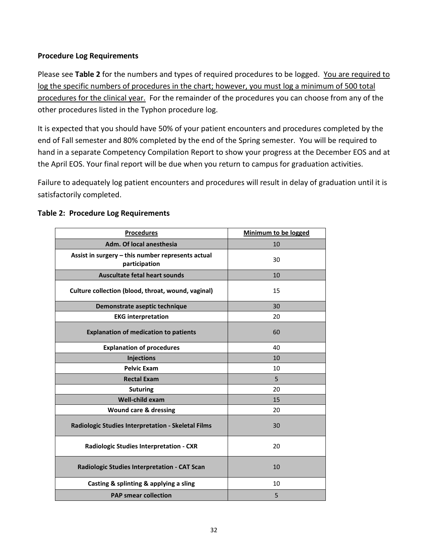#### **Procedure Log Requirements**

Please see **Table 2** for the numbers and types of required procedures to be logged. You are required to log the specific numbers of procedures in the chart; however, you must log a minimum of 500 total procedures for the clinical year. For the remainder of the procedures you can choose from any of the other procedures listed in the Typhon procedure log.

It is expected that you should have 50% of your patient encounters and procedures completed by the end of Fall semester and 80% completed by the end of the Spring semester. You will be required to hand in a separate Competency Compilation Report to show your progress at the December EOS and at the April EOS. Your final report will be due when you return to campus for graduation activities.

Failure to adequately log patient encounters and procedures will result in delay of graduation until it is satisfactorily completed.

| <b>Procedures</b>                                                  | Minimum to be logged |
|--------------------------------------------------------------------|----------------------|
| Adm. Of local anesthesia                                           | 10                   |
| Assist in surgery - this number represents actual<br>participation | 30                   |
| <b>Auscultate fetal heart sounds</b>                               | 10                   |
| Culture collection (blood, throat, wound, vaginal)                 | 15                   |
| Demonstrate aseptic technique                                      | 30                   |
| <b>EKG</b> interpretation                                          | 20                   |
| <b>Explanation of medication to patients</b>                       | 60                   |
| <b>Explanation of procedures</b>                                   | 40                   |
| <b>Injections</b>                                                  | 10                   |
| <b>Pelvic Exam</b>                                                 | 10                   |
| <b>Rectal Exam</b>                                                 | 5                    |
| <b>Suturing</b>                                                    | 20                   |
| <b>Well-child exam</b>                                             | 15                   |
| <b>Wound care &amp; dressing</b>                                   | 20                   |
| Radiologic Studies Interpretation - Skeletal Films                 | 30                   |
| <b>Radiologic Studies Interpretation - CXR</b>                     | 20                   |
| Radiologic Studies Interpretation - CAT Scan                       | 10                   |
| Casting & splinting & applying a sling                             | 10                   |
| <b>PAP smear collection</b>                                        | 5                    |

#### **Table 2: Procedure Log Requirements**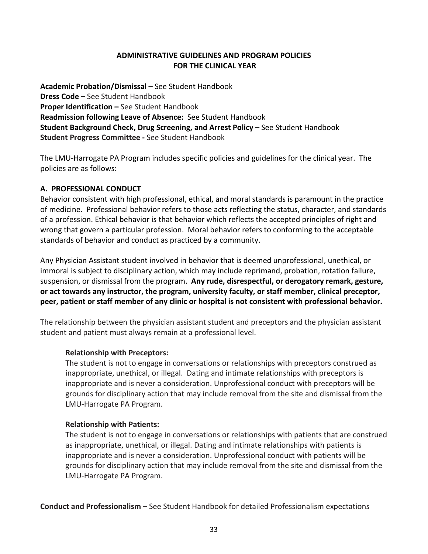#### **ADMINISTRATIVE GUIDELINES AND PROGRAM POLICIES FOR THE CLINICAL YEAR**

**Academic Probation/Dismissal –** See Student Handbook **Dress Code –** See Student Handbook **Proper Identification –** See Student Handbook **Readmission following Leave of Absence:** See Student Handbook **Student Background Check, Drug Screening, and Arrest Policy –** See Student Handbook **Student Progress Committee -** See Student Handbook

The LMU-Harrogate PA Program includes specific policies and guidelines for the clinical year. The policies are as follows:

#### **A. PROFESSIONAL CONDUCT**

Behavior consistent with high professional, ethical, and moral standards is paramount in the practice of medicine. Professional behavior refers to those acts reflecting the status, character, and standards of a profession. Ethical behavior is that behavior which reflects the accepted principles of right and wrong that govern a particular profession. Moral behavior refers to conforming to the acceptable standards of behavior and conduct as practiced by a community.

Any Physician Assistant student involved in behavior that is deemed unprofessional, unethical, or immoral is subject to disciplinary action, which may include reprimand, probation, rotation failure, suspension, or dismissal from the program. **Any rude, disrespectful, or derogatory remark, gesture, or act towards any instructor, the program, university faculty, or staff member, clinical preceptor, peer, patient or staff member of any clinic or hospital is not consistent with professional behavior.** 

The relationship between the physician assistant student and preceptors and the physician assistant student and patient must always remain at a professional level.

#### **Relationship with Preceptors:**

The student is not to engage in conversations or relationships with preceptors construed as inappropriate, unethical, or illegal. Dating and intimate relationships with preceptors is inappropriate and is never a consideration. Unprofessional conduct with preceptors will be grounds for disciplinary action that may include removal from the site and dismissal from the LMU-Harrogate PA Program.

#### **Relationship with Patients:**

The student is not to engage in conversations or relationships with patients that are construed as inappropriate, unethical, or illegal. Dating and intimate relationships with patients is inappropriate and is never a consideration. Unprofessional conduct with patients will be grounds for disciplinary action that may include removal from the site and dismissal from the LMU-Harrogate PA Program.

**Conduct and Professionalism –** See Student Handbook for detailed Professionalism expectations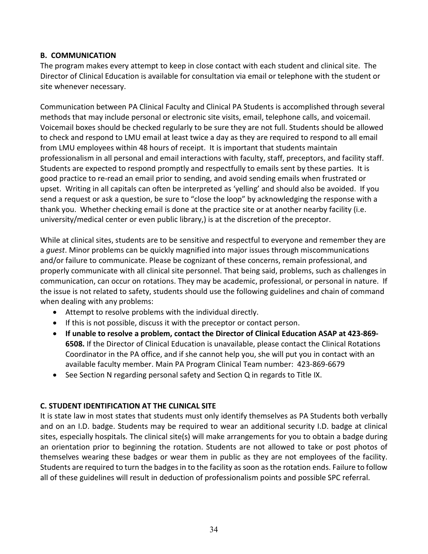#### **B. COMMUNICATION**

The program makes every attempt to keep in close contact with each student and clinical site. The Director of Clinical Education is available for consultation via email or telephone with the student or site whenever necessary.

Communication between PA Clinical Faculty and Clinical PA Students is accomplished through several methods that may include personal or electronic site visits, email, telephone calls, and voicemail. Voicemail boxes should be checked regularly to be sure they are not full. Students should be allowed to check and respond to LMU email at least twice a day as they are required to respond to all email from LMU employees within 48 hours of receipt. It is important that students maintain professionalism in all personal and email interactions with faculty, staff, preceptors, and facility staff. Students are expected to respond promptly and respectfully to emails sent by these parties. It is good practice to re-read an email prior to sending, and avoid sending emails when frustrated or upset. Writing in all capitals can often be interpreted as 'yelling' and should also be avoided. If you send a request or ask a question, be sure to "close the loop" by acknowledging the response with a thank you. Whether checking email is done at the practice site or at another nearby facility (i.e. university/medical center or even public library,) is at the discretion of the preceptor.

While at clinical sites, students are to be sensitive and respectful to everyone and remember they are a *guest*. Minor problems can be quickly magnified into major issues through miscommunications and/or failure to communicate. Please be cognizant of these concerns, remain professional, and properly communicate with all clinical site personnel. That being said, problems, such as challenges in communication, can occur on rotations. They may be academic, professional, or personal in nature. If the issue is not related to safety, students should use the following guidelines and chain of command when dealing with any problems:

- Attempt to resolve problems with the individual directly.
- If this is not possible, discuss it with the preceptor or contact person.
- **If unable to resolve a problem, contact the Director of Clinical Education ASAP at 423-869- 6508.** If the Director of Clinical Education is unavailable, please contact the Clinical Rotations Coordinator in the PA office, and if she cannot help you, she will put you in contact with an available faculty member. Main PA Program Clinical Team number: 423-869-6679
- See Section N regarding personal safety and Section Q in regards to Title IX.

#### **C. STUDENT IDENTIFICATION AT THE CLINICAL SITE**

It is state law in most states that students must only identify themselves as PA Students both verbally and on an I.D. badge. Students may be required to wear an additional security I.D. badge at clinical sites, especially hospitals. The clinical site(s) will make arrangements for you to obtain a badge during an orientation prior to beginning the rotation. Students are not allowed to take or post photos of themselves wearing these badges or wear them in public as they are not employees of the facility. Students are required to turn the badges in to the facility as soon as the rotation ends. Failure to follow all of these guidelines will result in deduction of professionalism points and possible SPC referral.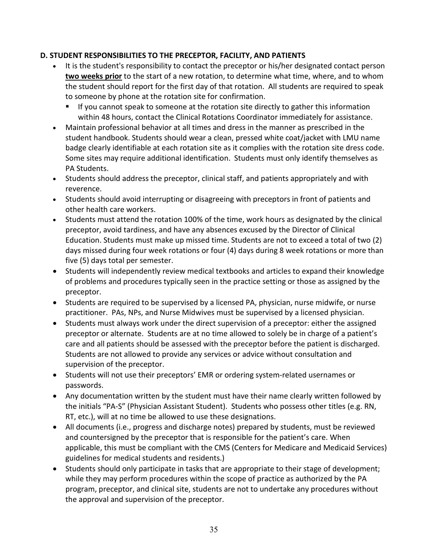#### **D. STUDENT RESPONSIBILITIES TO THE PRECEPTOR, FACILITY, AND PATIENTS**

- It is the student's responsibility to contact the preceptor or his/her designated contact person **two weeks prior** to the start of a new rotation, to determine what time, where, and to whom the student should report for the first day of that rotation. All students are required to speak to someone by phone at the rotation site for confirmation.
	- If you cannot speak to someone at the rotation site directly to gather this information within 48 hours, contact the Clinical Rotations Coordinator immediately for assistance.
- Maintain professional behavior at all times and dress in the manner as prescribed in the student handbook. Students should wear a clean, pressed white coat/jacket with LMU name badge clearly identifiable at each rotation site as it complies with the rotation site dress code. Some sites may require additional identification. Students must only identify themselves as PA Students.
- Students should address the preceptor, clinical staff, and patients appropriately and with reverence.
- Students should avoid interrupting or disagreeing with preceptors in front of patients and other health care workers.
- Students must attend the rotation 100% of the time, work hours as designated by the clinical preceptor, avoid tardiness, and have any absences excused by the Director of Clinical Education. Students must make up missed time. Students are not to exceed a total of two (2) days missed during four week rotations or four (4) days during 8 week rotations or more than five (5) days total per semester.
- Students will independently review medical textbooks and articles to expand their knowledge of problems and procedures typically seen in the practice setting or those as assigned by the preceptor.
- Students are required to be supervised by a licensed PA, physician, nurse midwife, or nurse practitioner. PAs, NPs, and Nurse Midwives must be supervised by a licensed physician.
- Students must always work under the direct supervision of a preceptor: either the assigned preceptor or alternate. Students are at no time allowed to solely be in charge of a patient's care and all patients should be assessed with the preceptor before the patient is discharged. Students are not allowed to provide any services or advice without consultation and supervision of the preceptor.
- Students will not use their preceptors' EMR or ordering system-related usernames or passwords.
- Any documentation written by the student must have their name clearly written followed by the initials "PA-S" (Physician Assistant Student). Students who possess other titles (e.g. RN, RT, etc.), will at no time be allowed to use these designations.
- All documents (i.e., progress and discharge notes) prepared by students, must be reviewed and countersigned by the preceptor that is responsible for the patient's care. When applicable, this must be compliant with the CMS (Centers for Medicare and Medicaid Services) guidelines for medical students and residents.)
- Students should only participate in tasks that are appropriate to their stage of development; while they may perform procedures within the scope of practice as authorized by the PA program, preceptor, and clinical site, students are not to undertake any procedures without the approval and supervision of the preceptor.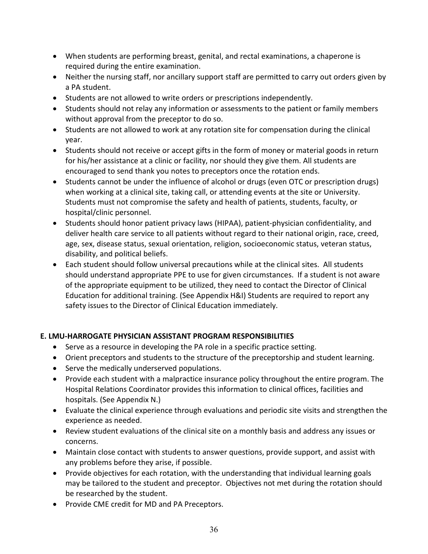- When students are performing breast, genital, and rectal examinations, a chaperone is required during the entire examination.
- Neither the nursing staff, nor ancillary support staff are permitted to carry out orders given by a PA student.
- Students are not allowed to write orders or prescriptions independently.
- Students should not relay any information or assessments to the patient or family members without approval from the preceptor to do so.
- Students are not allowed to work at any rotation site for compensation during the clinical year.
- Students should not receive or accept gifts in the form of money or material goods in return for his/her assistance at a clinic or facility, nor should they give them. All students are encouraged to send thank you notes to preceptors once the rotation ends.
- Students cannot be under the influence of alcohol or drugs (even OTC or prescription drugs) when working at a clinical site, taking call, or attending events at the site or University. Students must not compromise the safety and health of patients, students, faculty, or hospital/clinic personnel.
- Students should honor patient privacy laws (HIPAA), patient-physician confidentiality, and deliver health care service to all patients without regard to their national origin, race, creed, age, sex, disease status, sexual orientation, religion, socioeconomic status, veteran status, disability, and political beliefs.
- Each student should follow universal precautions while at the clinical sites. All students should understand appropriate PPE to use for given circumstances. If a student is not aware of the appropriate equipment to be utilized, they need to contact the Director of Clinical Education for additional training. (See Appendix H&I) Students are required to report any safety issues to the Director of Clinical Education immediately.

#### **E. LMU-HARROGATE PHYSICIAN ASSISTANT PROGRAM RESPONSIBILITIES**

- Serve as a resource in developing the PA role in a specific practice setting.
- Orient preceptors and students to the structure of the preceptorship and student learning.
- Serve the medically underserved populations.
- Provide each student with a malpractice insurance policy throughout the entire program. The Hospital Relations Coordinator provides this information to clinical offices, facilities and hospitals. (See Appendix N.)
- Evaluate the clinical experience through evaluations and periodic site visits and strengthen the experience as needed.
- Review student evaluations of the clinical site on a monthly basis and address any issues or concerns.
- Maintain close contact with students to answer questions, provide support, and assist with any problems before they arise, if possible.
- Provide objectives for each rotation, with the understanding that individual learning goals may be tailored to the student and preceptor. Objectives not met during the rotation should be researched by the student.
- Provide CME credit for MD and PA Preceptors.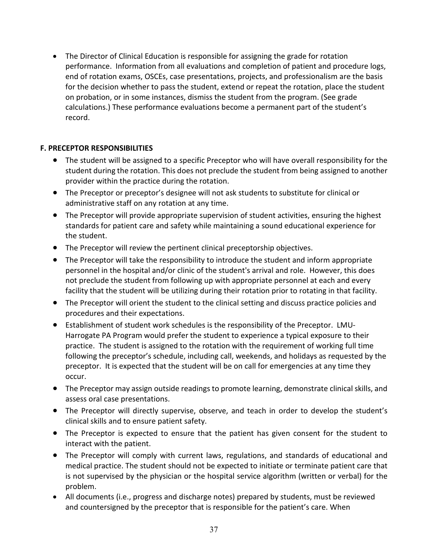• The Director of Clinical Education is responsible for assigning the grade for rotation performance. Information from all evaluations and completion of patient and procedure logs, end of rotation exams, OSCEs, case presentations, projects, and professionalism are the basis for the decision whether to pass the student, extend or repeat the rotation, place the student on probation, or in some instances, dismiss the student from the program. (See grade calculations.) These performance evaluations become a permanent part of the student's record.

#### **F. PRECEPTOR RESPONSIBILITIES**

- The student will be assigned to a specific Preceptor who will have overall responsibility for the student during the rotation. This does not preclude the student from being assigned to another provider within the practice during the rotation.
- The Preceptor or preceptor's designee will not ask students to substitute for clinical or administrative staff on any rotation at any time.
- The Preceptor will provide appropriate supervision of student activities, ensuring the highest standards for patient care and safety while maintaining a sound educational experience for the student.
- The Preceptor will review the pertinent clinical preceptorship objectives.
- The Preceptor will take the responsibility to introduce the student and inform appropriate personnel in the hospital and/or clinic of the student's arrival and role. However, this does not preclude the student from following up with appropriate personnel at each and every facility that the student will be utilizing during their rotation prior to rotating in that facility.
- The Preceptor will orient the student to the clinical setting and discuss practice policies and procedures and their expectations.
- Establishment of student work schedules is the responsibility of the Preceptor. LMU-Harrogate PA Program would prefer the student to experience a typical exposure to their practice. The student is assigned to the rotation with the requirement of working full time following the preceptor's schedule, including call, weekends, and holidays as requested by the preceptor. It is expected that the student will be on call for emergencies at any time they occur.
- The Preceptor may assign outside readings to promote learning, demonstrate clinical skills, and assess oral case presentations.
- The Preceptor will directly supervise, observe, and teach in order to develop the student's clinical skills and to ensure patient safety.
- The Preceptor is expected to ensure that the patient has given consent for the student to interact with the patient.
- The Preceptor will comply with current laws, regulations, and standards of educational and medical practice. The student should not be expected to initiate or terminate patient care that is not supervised by the physician or the hospital service algorithm (written or verbal) for the problem.
- All documents (i.e., progress and discharge notes) prepared by students, must be reviewed and countersigned by the preceptor that is responsible for the patient's care. When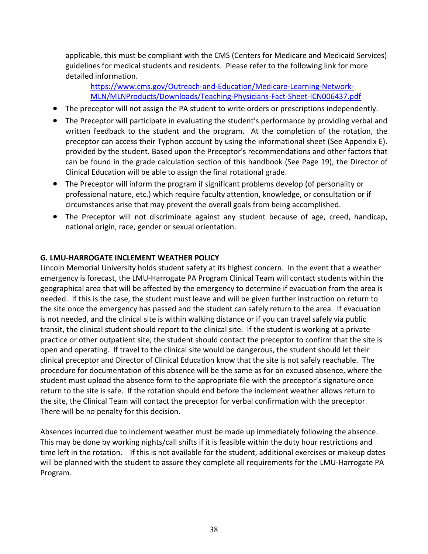applicable, this must be compliant with the CMS (Centers for Medicare and Medicaid Services) guidelines for medical students and residents. Please refer to the following link for more detailed information.

[https://www.cms.gov/Outreach-and-Education/Medicare-Learning-Network-](https://www.cms.gov/Outreach-and-Education/Medicare-Learning-Network-MLN/MLNProducts/Downloads/Teaching-Physicians-Fact-Sheet-ICN006437.pdf)[MLN/MLNProducts/Downloads/Teaching-Physicians-Fact-Sheet-ICN006437.pdf](https://www.cms.gov/Outreach-and-Education/Medicare-Learning-Network-MLN/MLNProducts/Downloads/Teaching-Physicians-Fact-Sheet-ICN006437.pdf)

- The preceptor will not assign the PA student to write orders or prescriptions independently.
- The Preceptor will participate in evaluating the student's performance by providing verbal and written feedback to the student and the program. At the completion of the rotation, the preceptor can access their Typhon account by using the informational sheet (See Appendix E). provided by the student. Based upon the Preceptor's recommendations and other factors that can be found in the grade calculation section of this handbook (See Page 19), the Director of Clinical Education will be able to assign the final rotational grade.
- The Preceptor will inform the program if significant problems develop (of personality or professional nature, etc.) which require faculty attention, knowledge, or consultation or if circumstances arise that may prevent the overall goals from being accomplished.
- The Preceptor will not discriminate against any student because of age, creed, handicap, national origin, race, gender or sexual orientation.

#### **G. LMU-HARROGATE INCLEMENT WEATHER POLICY**

Lincoln Memorial University holds student safety at its highest concern. In the event that a weather emergency is forecast, the LMU-Harrogate PA Program Clinical Team will contact students within the geographical area that will be affected by the emergency to determine if evacuation from the area is needed. If this is the case, the student must leave and will be given further instruction on return to the site once the emergency has passed and the student can safely return to the area. If evacuation is not needed, and the clinical site is within walking distance or if you can travel safely via public transit, the clinical student should report to the clinical site. If the student is working at a private practice or other outpatient site, the student should contact the preceptor to confirm that the site is open and operating. If travel to the clinical site would be dangerous, the student should let their clinical preceptor and Director of Clinical Education know that the site is not safely reachable. The procedure for documentation of this absence will be the same as for an excused absence, where the student must upload the absence form to the appropriate file with the preceptor's signature once return to the site is safe. If the rotation should end before the inclement weather allows return to the site, the Clinical Team will contact the preceptor for verbal confirmation with the preceptor. There will be no penalty for this decision.

Absences incurred due to inclement weather must be made up immediately following the absence. This may be done by working nights/call shifts if it is feasible within the duty hour restrictions and time left in the rotation. If this is not available for the student, additional exercises or makeup dates will be planned with the student to assure they complete all requirements for the LMU-Harrogate PA Program.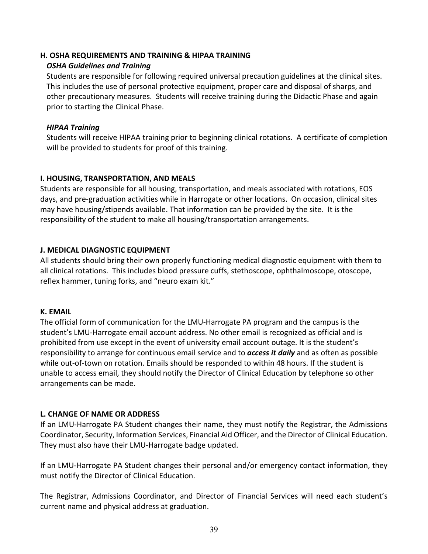#### **H. OSHA REQUIREMENTS AND TRAINING & HIPAA TRAINING**

#### *OSHA Guidelines and Training*

Students are responsible for following required universal precaution guidelines at the clinical sites. This includes the use of personal protective equipment, proper care and disposal of sharps, and other precautionary measures. Students will receive training during the Didactic Phase and again prior to starting the Clinical Phase.

#### *HIPAA Training*

Students will receive HIPAA training prior to beginning clinical rotations. A certificate of completion will be provided to students for proof of this training.

#### **I. HOUSING, TRANSPORTATION, AND MEALS**

Students are responsible for all housing, transportation, and meals associated with rotations, EOS days, and pre-graduation activities while in Harrogate or other locations. On occasion, clinical sites may have housing/stipends available. That information can be provided by the site. It is the responsibility of the student to make all housing/transportation arrangements.

#### **J. MEDICAL DIAGNOSTIC EQUIPMENT**

All students should bring their own properly functioning medical diagnostic equipment with them to all clinical rotations. This includes blood pressure cuffs, stethoscope, ophthalmoscope, otoscope, reflex hammer, tuning forks, and "neuro exam kit."

#### **K. EMAIL**

The official form of communication for the LMU-Harrogate PA program and the campus is the student's LMU-Harrogate email account address. No other email is recognized as official and is prohibited from use except in the event of university email account outage. It is the student's responsibility to arrange for continuous email service and to *access it daily* and as often as possible while out-of-town on rotation. Emails should be responded to within 48 hours. If the student is unable to access email, they should notify the Director of Clinical Education by telephone so other arrangements can be made.

#### **L. CHANGE OF NAME OR ADDRESS**

If an LMU-Harrogate PA Student changes their name, they must notify the Registrar, the Admissions Coordinator, Security, Information Services, Financial Aid Officer, and the Director of Clinical Education. They must also have their LMU-Harrogate badge updated.

If an LMU-Harrogate PA Student changes their personal and/or emergency contact information, they must notify the Director of Clinical Education.

The Registrar, Admissions Coordinator, and Director of Financial Services will need each student's current name and physical address at graduation.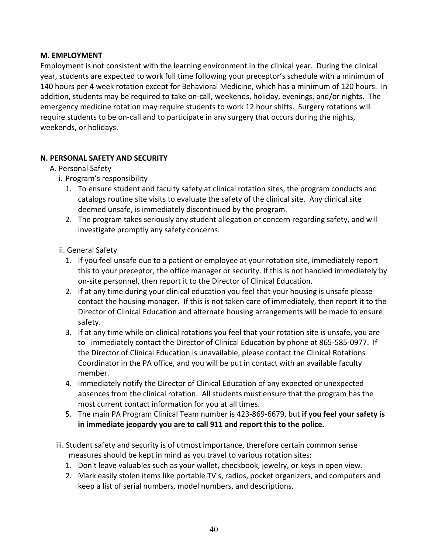#### **M. EMPLOYMENT**

Employment is not consistent with the learning environment in the clinical year. During the clinical year, students are expected to work full time following your preceptor's schedule with a minimum of 140 hours per 4 week rotation except for Behavioral Medicine, which has a minimum of 120 hours. In addition, students may be required to take on-call, weekends, holiday, evenings, and/or nights. The emergency medicine rotation may require students to work 12 hour shifts. Surgery rotations will require students to be on-call and to participate in any surgery that occurs during the nights, weekends, or holidays.

#### **N. PERSONAL SAFETY AND SECURITY**

- A. Personal Safety
	- i. Program's responsibility
		- 1. To ensure student and faculty safety at clinical rotation sites, the program conducts and catalogs routine site visits to evaluate the safety of the clinical site. Any clinical site deemed unsafe, is immediately discontinued by the program.
		- 2. The program takes seriously any student allegation or concern regarding safety, and will investigate promptly any safety concerns.
	- ii. General Safety
		- 1. If you feel unsafe due to a patient or employee at your rotation site, immediately report this to your preceptor, the office manager or security. If this is not handled immediately by on-site personnel, then report it to the Director of Clinical Education.
		- 2. If at any time during your clinical education you feel that your housing is unsafe please contact the housing manager. If this is not taken care of immediately, then report it to the Director of Clinical Education and alternate housing arrangements will be made to ensure safety.
		- 3. If at any time while on clinical rotations you feel that your rotation site is unsafe, you are to immediately contact the Director of Clinical Education by phone at 865-585-0977. If the Director of Clinical Education is unavailable, please contact the Clinical Rotations Coordinator in the PA office, and you will be put in contact with an available faculty member.
		- 4. Immediately notify the Director of Clinical Education of any expected or unexpected absences from the clinical rotation. All students must ensure that the program has the most current contact information for you at all times.
		- 5. The main PA Program Clinical Team number is 423-869-6679, but **if you feel your safety is in immediate jeopardy you are to call 911 and report this to the police.**
	- iii. Student safety and security is of utmost importance, therefore certain common sense measures should be kept in mind as you travel to various rotation sites:
		- 1. Don't leave valuables such as your wallet, checkbook, jewelry, or keys in open view.
		- 2. Mark easily stolen items like portable TV's, radios, pocket organizers, and computers and keep a list of serial numbers, model numbers, and descriptions.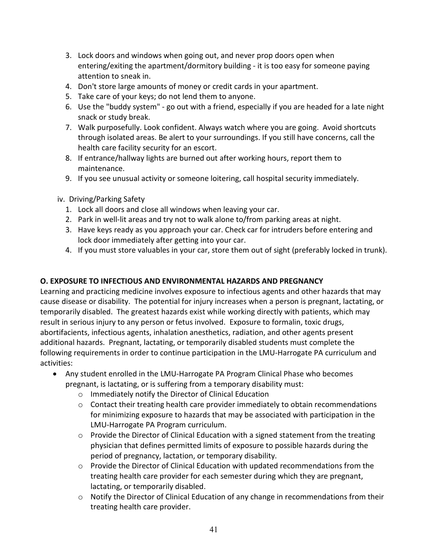- 3. Lock doors and windows when going out, and never prop doors open when entering/exiting the apartment/dormitory building - it is too easy for someone paying attention to sneak in.
- 4. Don't store large amounts of money or credit cards in your apartment.
- 5. Take care of your keys; do not lend them to anyone.
- 6. Use the "buddy system" go out with a friend, especially if you are headed for a late night snack or study break.
- 7. Walk purposefully. Look confident. Always watch where you are going. Avoid shortcuts through isolated areas. Be alert to your surroundings. If you still have concerns, call the health care facility security for an escort.
- 8. If entrance/hallway lights are burned out after working hours, report them to maintenance.
- 9. If you see unusual activity or someone loitering, call hospital security immediately.
- iv. Driving/Parking Safety
	- 1. Lock all doors and close all windows when leaving your car.
	- 2. Park in well-lit areas and try not to walk alone to/from parking areas at night.
	- 3. Have keys ready as you approach your car. Check car for intruders before entering and lock door immediately after getting into your car.
	- 4. If you must store valuables in your car, store them out of sight (preferably locked in trunk).

#### **O. EXPOSURE TO INFECTIOUS AND ENVIRONMENTAL HAZARDS AND PREGNANCY**

Learning and practicing medicine involves exposure to infectious agents and other hazards that may cause disease or disability. The potential for injury increases when a person is pregnant, lactating, or temporarily disabled. The greatest hazards exist while working directly with patients, which may result in serious injury to any person or fetus involved. Exposure to formalin, toxic drugs, abortifacients, infectious agents, inhalation anesthetics, radiation, and other agents present additional hazards. Pregnant, lactating, or temporarily disabled students must complete the following requirements in order to continue participation in the LMU-Harrogate PA curriculum and activities:

- Any student enrolled in the LMU-Harrogate PA Program Clinical Phase who becomes pregnant, is lactating, or is suffering from a temporary disability must:
	- o Immediately notify the Director of Clinical Education
	- $\circ$  Contact their treating health care provider immediately to obtain recommendations for minimizing exposure to hazards that may be associated with participation in the LMU-Harrogate PA Program curriculum.
	- $\circ$  Provide the Director of Clinical Education with a signed statement from the treating physician that defines permitted limits of exposure to possible hazards during the period of pregnancy, lactation, or temporary disability.
	- $\circ$  Provide the Director of Clinical Education with updated recommendations from the treating health care provider for each semester during which they are pregnant, lactating, or temporarily disabled.
	- $\circ$  Notify the Director of Clinical Education of any change in recommendations from their treating health care provider.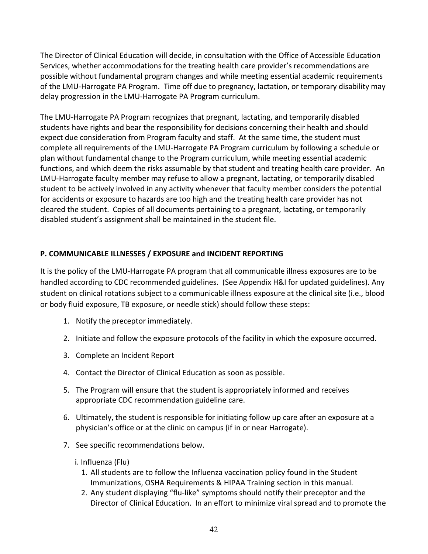The Director of Clinical Education will decide, in consultation with the Office of Accessible Education Services, whether accommodations for the treating health care provider's recommendations are possible without fundamental program changes and while meeting essential academic requirements of the LMU-Harrogate PA Program. Time off due to pregnancy, lactation, or temporary disability may delay progression in the LMU-Harrogate PA Program curriculum.

The LMU-Harrogate PA Program recognizes that pregnant, lactating, and temporarily disabled students have rights and bear the responsibility for decisions concerning their health and should expect due consideration from Program faculty and staff. At the same time, the student must complete all requirements of the LMU-Harrogate PA Program curriculum by following a schedule or plan without fundamental change to the Program curriculum, while meeting essential academic functions, and which deem the risks assumable by that student and treating health care provider. An LMU-Harrogate faculty member may refuse to allow a pregnant, lactating, or temporarily disabled student to be actively involved in any activity whenever that faculty member considers the potential for accidents or exposure to hazards are too high and the treating health care provider has not cleared the student. Copies of all documents pertaining to a pregnant, lactating, or temporarily disabled student's assignment shall be maintained in the student file.

#### **P. COMMUNICABLE ILLNESSES / EXPOSURE and INCIDENT REPORTING**

It is the policy of the LMU-Harrogate PA program that all communicable illness exposures are to be handled according to CDC recommended guidelines. (See Appendix H&I for updated guidelines). Any student on clinical rotations subject to a communicable illness exposure at the clinical site (i.e., blood or body fluid exposure, TB exposure, or needle stick) should follow these steps:

- 1. Notify the preceptor immediately.
- 2. Initiate and follow the exposure protocols of the facility in which the exposure occurred.
- 3. Complete an Incident Report
- 4. Contact the Director of Clinical Education as soon as possible.
- 5. The Program will ensure that the student is appropriately informed and receives appropriate CDC recommendation guideline care.
- 6. Ultimately, the student is responsible for initiating follow up care after an exposure at a physician's office or at the clinic on campus (if in or near Harrogate).
- 7. See specific recommendations below.
	- i. Influenza (Flu)
		- 1. All students are to follow the Influenza vaccination policy found in the Student Immunizations, OSHA Requirements & HIPAA Training section in this manual.
		- 2. Any student displaying "flu-like" symptoms should notify their preceptor and the Director of Clinical Education. In an effort to minimize viral spread and to promote the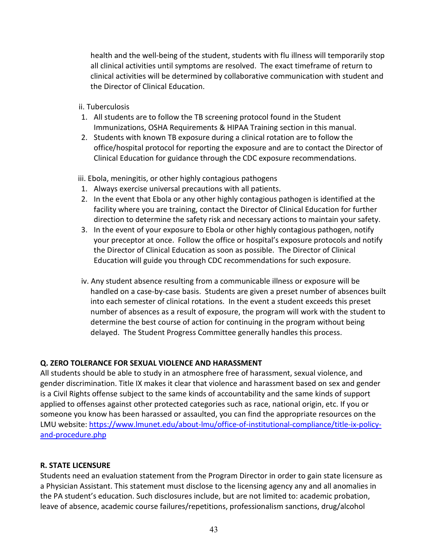health and the well-being of the student, students with flu illness will temporarily stop all clinical activities until symptoms are resolved. The exact timeframe of return to clinical activities will be determined by collaborative communication with student and the Director of Clinical Education.

ii. Tuberculosis

- 1. All students are to follow the TB screening protocol found in the Student Immunizations, OSHA Requirements & HIPAA Training section in this manual.
- 2. Students with known TB exposure during a clinical rotation are to follow the office/hospital protocol for reporting the exposure and are to contact the Director of Clinical Education for guidance through the CDC exposure recommendations.

iii. Ebola, meningitis, or other highly contagious pathogens

- 1. Always exercise universal precautions with all patients.
- 2. In the event that Ebola or any other highly contagious pathogen is identified at the facility where you are training, contact the Director of Clinical Education for further direction to determine the safety risk and necessary actions to maintain your safety.
- 3. In the event of your exposure to Ebola or other highly contagious pathogen, notify your preceptor at once. Follow the office or hospital's exposure protocols and notify the Director of Clinical Education as soon as possible. The Director of Clinical Education will guide you through CDC recommendations for such exposure.
- iv. Any student absence resulting from a communicable illness or exposure will be handled on a case-by-case basis. Students are given a preset number of absences built into each semester of clinical rotations. In the event a student exceeds this preset number of absences as a result of exposure, the program will work with the student to determine the best course of action for continuing in the program without being delayed. The Student Progress Committee generally handles this process.

#### **Q. ZERO TOLERANCE FOR SEXUAL VIOLENCE AND HARASSMENT**

All students should be able to study in an atmosphere free of harassment, sexual violence, and gender discrimination. Title IX makes it clear that violence and harassment based on sex and gender is a Civil Rights offense subject to the same kinds of accountability and the same kinds of support applied to offenses against other protected categories such as race, national origin, etc. If you or someone you know has been harassed or assaulted, you can find the appropriate resources on the LMU website: [https://www.lmunet.edu/about-lmu/office-of-institutional-compliance/title-ix-policy](https://www.lmunet.edu/about-lmu/office-of-institutional-compliance/title-ix-policy-and-procedure.php)[and-procedure.php](https://www.lmunet.edu/about-lmu/office-of-institutional-compliance/title-ix-policy-and-procedure.php)

#### **R. STATE LICENSURE**

Students need an evaluation statement from the Program Director in order to gain state licensure as a Physician Assistant. This statement must disclose to the licensing agency any and all anomalies in the PA student's education. Such disclosures include, but are not limited to: academic probation, leave of absence, academic course failures/repetitions, professionalism sanctions, drug/alcohol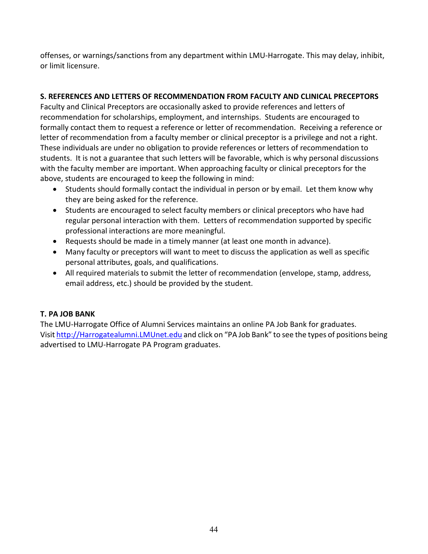offenses, or warnings/sanctions from any department within LMU-Harrogate. This may delay, inhibit, or limit licensure.

#### **S. REFERENCES AND LETTERS OF RECOMMENDATION FROM FACULTY AND CLINICAL PRECEPTORS**

Faculty and Clinical Preceptors are occasionally asked to provide references and letters of recommendation for scholarships, employment, and internships. Students are encouraged to formally contact them to request a reference or letter of recommendation. Receiving a reference or letter of recommendation from a faculty member or clinical preceptor is a privilege and not a right. These individuals are under no obligation to provide references or letters of recommendation to students. It is not a guarantee that such letters will be favorable, which is why personal discussions with the faculty member are important. When approaching faculty or clinical preceptors for the above, students are encouraged to keep the following in mind:

- Students should formally contact the individual in person or by email. Let them know why they are being asked for the reference.
- Students are encouraged to select faculty members or clinical preceptors who have had regular personal interaction with them. Letters of recommendation supported by specific professional interactions are more meaningful.
- Requests should be made in a timely manner (at least one month in advance).
- Many faculty or preceptors will want to meet to discuss the application as well as specific personal attributes, goals, and qualifications.
- All required materials to submit the letter of recommendation (envelope, stamp, address, email address, etc.) should be provided by the student.

#### **T. PA JOB BANK**

The LMU-Harrogate Office of Alumni Services maintains an online PA Job Bank for graduates. Visi[t http://Harrogatealumni.LMUnet.edu](http://dcomalumni.lmunet.edu/) and click on "PA Job Bank" to see the types of positions being advertised to LMU-Harrogate PA Program graduates.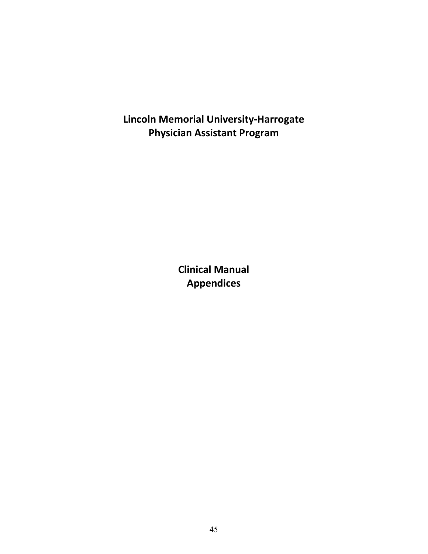**Lincoln Memorial University-Harrogate Physician Assistant Program**

> **Clinical Manual Appendices**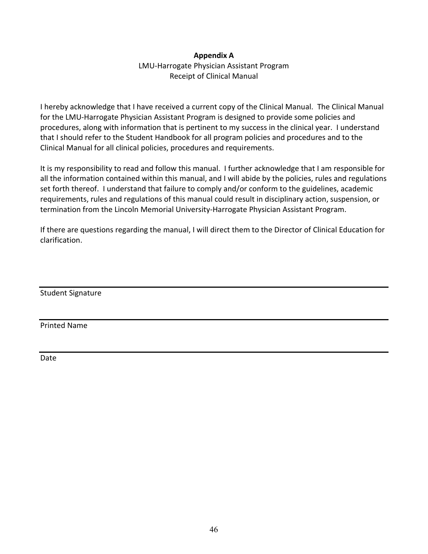#### **Appendix A**

LMU-Harrogate Physician Assistant Program Receipt of Clinical Manual

I hereby acknowledge that I have received a current copy of the Clinical Manual. The Clinical Manual for the LMU-Harrogate Physician Assistant Program is designed to provide some policies and procedures, along with information that is pertinent to my success in the clinical year. I understand that I should refer to the Student Handbook for all program policies and procedures and to the Clinical Manual for all clinical policies, procedures and requirements.

It is my responsibility to read and follow this manual. I further acknowledge that I am responsible for all the information contained within this manual, and I will abide by the policies, rules and regulations set forth thereof. I understand that failure to comply and/or conform to the guidelines, academic requirements, rules and regulations of this manual could result in disciplinary action, suspension, or termination from the Lincoln Memorial University-Harrogate Physician Assistant Program.

If there are questions regarding the manual, I will direct them to the Director of Clinical Education for clarification.

Student Signature

Printed Name

Date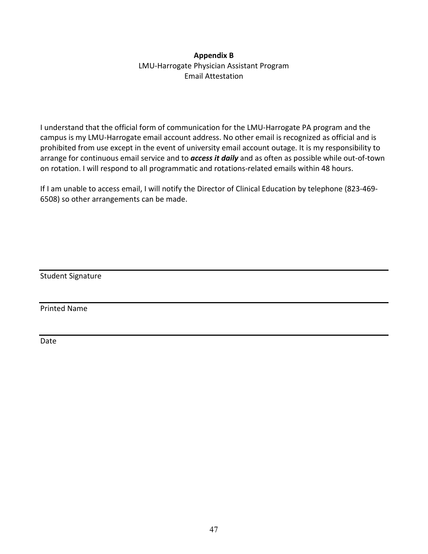#### **Appendix B**

LMU-Harrogate Physician Assistant Program Email Attestation

I understand that the official form of communication for the LMU-Harrogate PA program and the campus is my LMU-Harrogate email account address. No other email is recognized as official and is prohibited from use except in the event of university email account outage. It is my responsibility to arrange for continuous email service and to *access it daily* and as often as possible while out-of-town on rotation. I will respond to all programmatic and rotations-related emails within 48 hours.

If I am unable to access email, I will notify the Director of Clinical Education by telephone (823-469- 6508) so other arrangements can be made.

Student Signature

Printed Name

Date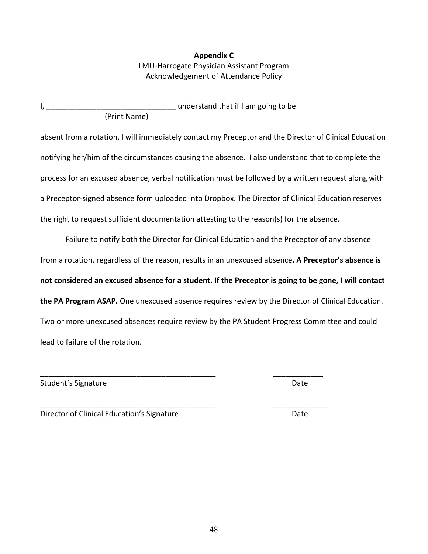48

#### **Appendix C** LMU-Harrogate Physician Assistant Program Acknowledgement of Attendance Policy

I, \_\_\_\_\_\_\_\_\_\_\_\_\_\_\_\_\_\_\_\_\_\_\_\_\_\_\_\_\_\_\_ understand that if I am going to be (Print Name)

absent from a rotation, I will immediately contact my Preceptor and the Director of Clinical Education notifying her/him of the circumstances causing the absence. I also understand that to complete the process for an excused absence, verbal notification must be followed by a written request along with a Preceptor-signed absence form uploaded into Dropbox. The Director of Clinical Education reserves the right to request sufficient documentation attesting to the reason(s) for the absence.

Failure to notify both the Director for Clinical Education and the Preceptor of any absence from a rotation, regardless of the reason, results in an unexcused absence**. A Preceptor's absence is not considered an excused absence for a student. If the Preceptor is going to be gone, I will contact the PA Program ASAP.** One unexcused absence requires review by the Director of Clinical Education. Two or more unexcused absences require review by the PA Student Progress Committee and could lead to failure of the rotation.

\_\_\_\_\_\_\_\_\_\_\_\_\_\_\_\_\_\_\_\_\_\_\_\_\_\_\_\_\_\_\_\_\_\_\_\_\_\_\_\_\_\_ \_\_\_\_\_\_\_\_\_\_\_\_

Student's Signature Date Date Communications and Date Date

Director of Clinical Education's Signature **Date** Date

\_\_\_\_\_\_\_\_\_\_\_\_\_\_\_\_\_\_\_\_\_\_\_\_\_\_\_\_\_\_\_\_\_\_\_\_\_\_\_\_\_\_ \_\_\_\_\_\_\_\_\_\_\_\_\_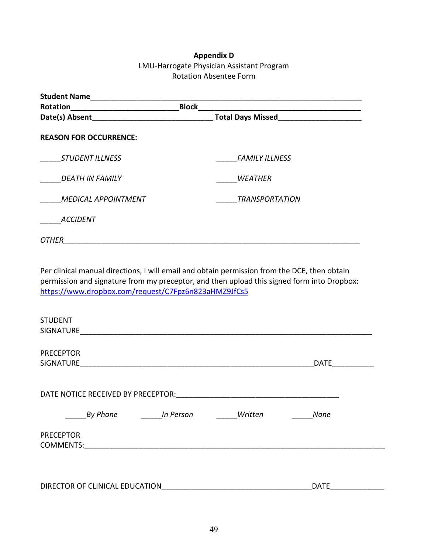#### **Appendix D** LMU-Harrogate Physician Assistant Program Rotation Absentee Form

| <b>Student Name</b>           |                                                                                                                                                                                            |
|-------------------------------|--------------------------------------------------------------------------------------------------------------------------------------------------------------------------------------------|
| Rotation                      | <b>Block</b>                                                                                                                                                                               |
| Date(s) Absent                | <b>Total Days Missed</b>                                                                                                                                                                   |
| <b>REASON FOR OCCURRENCE:</b> |                                                                                                                                                                                            |
| <b>STUDENT ILLNESS</b>        | <b>FAMILY ILLNESS</b>                                                                                                                                                                      |
| <b>DEATH IN FAMILY</b>        | <b>WEATHER</b>                                                                                                                                                                             |
| <b>MEDICAL APPOINTMENT</b>    | <b>TRANSPORTATION</b>                                                                                                                                                                      |
| <b>ACCIDENT</b>               |                                                                                                                                                                                            |
| OTHER                         |                                                                                                                                                                                            |
|                               | Per clinical manual directions, I will email and obtain permission from the DCE, then obtain<br>permission and signature from my preceptor, and then upload this signed form into Dropbox: |

<https://www.dropbox.com/request/C7Fpz6n823aHMZ9JfCs5>

| <b>STUDENT</b>   |                                    |           |         |             |  |
|------------------|------------------------------------|-----------|---------|-------------|--|
| SIGNATURE        |                                    |           |         |             |  |
|                  |                                    |           |         |             |  |
| <b>PRECEPTOR</b> |                                    |           |         |             |  |
| SIGNATURE        |                                    |           |         | <b>DATE</b> |  |
|                  |                                    |           |         |             |  |
|                  |                                    |           |         |             |  |
|                  | DATE NOTICE RECEIVED BY PRECEPTOR: |           |         |             |  |
|                  | <b>By Phone</b>                    | In Person | Written | <b>None</b> |  |
| <b>PRECEPTOR</b> |                                    |           |         |             |  |
| <b>COMMENTS:</b> |                                    |           |         |             |  |
|                  |                                    |           |         |             |  |
|                  | DIRECTOR OF CLINICAL EDUCATION     |           |         | <b>DATE</b> |  |
|                  |                                    |           |         |             |  |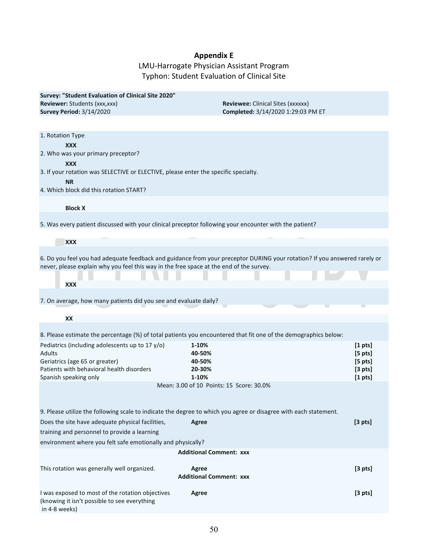## **Appendix E**

LMU-Harrogate Physician Assistant Program Typhon: Student Evaluation of Clinical Site

| Survey: "Student Evaluation of Clinical Site 2020"                                      |                                                                                                                           |                     |
|-----------------------------------------------------------------------------------------|---------------------------------------------------------------------------------------------------------------------------|---------------------|
| Reviewer: Students (xxx,xxx)<br><b>Survey Period: 3/14/2020</b>                         | <b>Reviewee:</b> Clinical Sites (xxxxxx)<br>Completed: 3/14/2020 1:29:03 PM ET                                            |                     |
|                                                                                         |                                                                                                                           |                     |
| 1. Rotation Type                                                                        |                                                                                                                           |                     |
| <b>XXX</b>                                                                              |                                                                                                                           |                     |
| 2. Who was your primary preceptor?<br><b>XXX</b>                                        |                                                                                                                           |                     |
| 3. If your rotation was SELECTIVE or ELECTIVE, please enter the specific specialty.     |                                                                                                                           |                     |
| <b>NR</b>                                                                               |                                                                                                                           |                     |
| 4. Which block did this rotation START?                                                 |                                                                                                                           |                     |
| <b>Block X</b>                                                                          |                                                                                                                           |                     |
|                                                                                         | 5. Was every patient discussed with your clinical preceptor following your encounter with the patient?                    |                     |
|                                                                                         |                                                                                                                           |                     |
| <b>XXX</b>                                                                              |                                                                                                                           |                     |
| never, please explain why you feel this way in the free space at the end of the survey. | 6. Do you feel you had adequate feedback and guidance from your preceptor DURING your rotation? If you answered rarely or |                     |
|                                                                                         |                                                                                                                           |                     |
| <b>XXX</b>                                                                              |                                                                                                                           |                     |
| 7. On average, how many patients did you see and evaluate daily?                        |                                                                                                                           |                     |
| XX                                                                                      |                                                                                                                           |                     |
|                                                                                         | 8. Please estimate the percentage (%) of total patients you encountered that fit one of the demographics below:           |                     |
| Pediatrics (including adolescents up to 17 y/o)                                         | 1-10%                                                                                                                     | $[1 \text{ pts}]$   |
| <b>Adults</b>                                                                           | 40-50%                                                                                                                    | $[5 \; pts]$        |
| Geriatrics (age 65 or greater)                                                          | 40-50%                                                                                                                    | $[5 \; pts]$        |
| Patients with behavioral health disorders                                               | 20-30%                                                                                                                    | [3 <sub>pts</sub> ] |
| Spanish speaking only                                                                   | 1-10%<br>Mean: 3.00 of 10 Points: 15 Score: 30.0%                                                                         | [1 <sub>pts</sub> ] |
|                                                                                         |                                                                                                                           |                     |
|                                                                                         | 9. Please utilize the following scale to indicate the degree to which you agree or disagree with each statement.          |                     |
| Does the site have adequate physical facilities,                                        | Agree                                                                                                                     | [3 <sub>pts</sub> ] |
| training and personnel to provide a learning                                            |                                                                                                                           |                     |
| environment where you felt safe emotionally and physically?                             |                                                                                                                           |                     |
|                                                                                         | <b>Additional Comment: XXX</b>                                                                                            |                     |
| This rotation was generally well organized.                                             | Agree                                                                                                                     | [3 <sub>pts</sub> ] |
|                                                                                         | <b>Additional Comment: xxx</b>                                                                                            |                     |
| I was exposed to most of the rotation objectives                                        | Agree                                                                                                                     | [3 <sub>pts</sub> ] |

(knowing it isn't possible to see everything

in 4-8 weeks)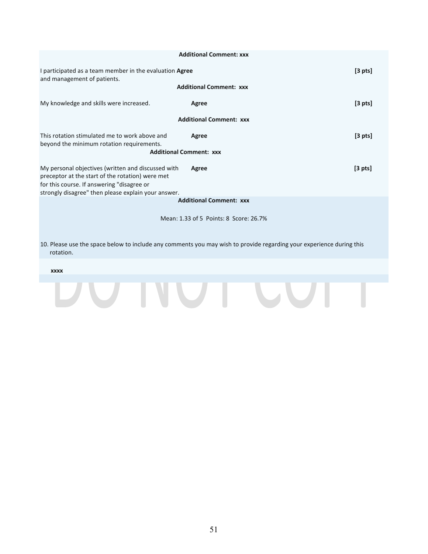|                                                                                                                                                                                                             | <b>Additional Comment: xxx</b>         |              |  |
|-------------------------------------------------------------------------------------------------------------------------------------------------------------------------------------------------------------|----------------------------------------|--------------|--|
| I participated as a team member in the evaluation <b>Agree</b><br>and management of patients.                                                                                                               |                                        | $[3 \; pts]$ |  |
|                                                                                                                                                                                                             | <b>Additional Comment: XXX</b>         |              |  |
| My knowledge and skills were increased.                                                                                                                                                                     | Agree                                  | $[3 \; pts]$ |  |
|                                                                                                                                                                                                             | <b>Additional Comment: XXX</b>         |              |  |
| This rotation stimulated me to work above and<br>beyond the minimum rotation requirements.                                                                                                                  | Agree                                  | $[3 \; pts]$ |  |
| <b>Additional Comment: XXX</b>                                                                                                                                                                              |                                        |              |  |
| My personal objectives (written and discussed with<br>preceptor at the start of the rotation) were met<br>for this course. If answering "disagree or<br>strongly disagree" then please explain your answer. | Agree                                  | $[3 \; pts]$ |  |
|                                                                                                                                                                                                             | <b>Additional Comment: xxx</b>         |              |  |
|                                                                                                                                                                                                             | Mean: 1.33 of 5 Points: 8 Score: 26.7% |              |  |

10. Please use the space below to include any comments you may wish to provide regarding your experience during this rotation.

# **xxxxTO THE TERM**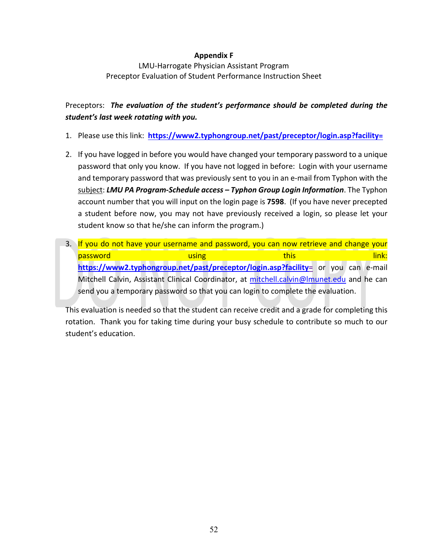#### **Appendix F**

LMU-Harrogate Physician Assistant Program Preceptor Evaluation of Student Performance Instruction Sheet

Preceptors: *The evaluation of the student's performance should be completed during the student's last week rotating with you.*

- 1. Please use this link: **[https://www2.typhongroup.net/past/preceptor/login.asp?facility=](https://www2.typhongroup.net/past/preceptor/login.asp?facility)**
- 2. If you have logged in before you would have changed your temporary password to a unique password that only you know. If you have not logged in before: Login with your username and temporary password that was previously sent to you in an e-mail from Typhon with the subject: *LMU PA Program-Schedule access – Typhon Group Login Information*. The Typhon account number that you will input on the login page is **7598**. (If you have never precepted a student before now, you may not have previously received a login, so please let your student know so that he/she can inform the program.)
- 3. If you do not have your username and password, you can now retrieve and change your password using this link: **[https://www2.typhongroup.net/past/preceptor/login.asp?facility=](https://www2.typhongroup.net/past/preceptor/login.asp?facility)** or you can e-mail Mitchell Calvin, Assistant Clinical Coordinator, at [mitchell.calvin@lmunet.edu](mailto:mitchell.calvin@lmunet.edu) and he can send you a temporary password so that you can login to complete the evaluation.

This evaluation is needed so that the student can receive credit and a grade for completing this rotation. Thank you for taking time during your busy schedule to contribute so much to our student's education.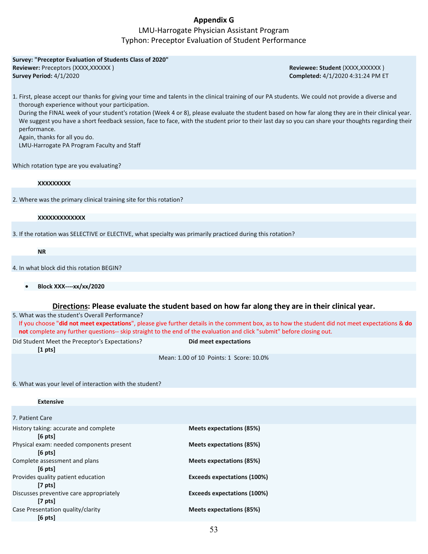#### **Appendix G**

#### LMU-Harrogate Physician Assistant Program Typhon: Preceptor Evaluation of Student Performance

| Survey: "Preceptor Evaluation of Students Class of 2020"                                                                                            |                                   |
|-----------------------------------------------------------------------------------------------------------------------------------------------------|-----------------------------------|
| Reviewer: Preceptors (XXXX, XXXXXX)                                                                                                                 | Reviewee: Student (XXXX, XXXXXX)  |
| Survey Period: 4/1/2020                                                                                                                             | Completed: 4/1/2020 4:31:24 PM ET |
|                                                                                                                                                     |                                   |
| 1. First, please accept our thanks for giving your time and talents in the clinical training of our PA students. We could not provide a diverse and |                                   |
| thorough experience without your participation.                                                                                                     |                                   |
| During the FINAL week of your student's rotation (Week 4 or 8), please evaluate the student based on how far along they are in their clinical year. |                                   |
| We suggest you have a short feedback session, face to face, with the student prior to their last day so you can share your thoughts regarding their |                                   |
| performance.                                                                                                                                        |                                   |
| Again, thanks for all you do.                                                                                                                       |                                   |
| LMU-Harrogate PA Program Faculty and Staff                                                                                                          |                                   |
|                                                                                                                                                     |                                   |
|                                                                                                                                                     |                                   |
| Which rotation type are you evaluating?                                                                                                             |                                   |

**XXXXXXXXX**

2. Where was the primary clinical training site for this rotation?

#### **XXXXXXXXXXXXX**

3. If the rotation was SELECTIVE or ELECTIVE, what specialty was primarily practiced during this rotation?

**NR**

4. In what block did this rotation BEGIN?

• **Block XXX----xx/xx/2020**

#### **Directions: Please evaluate the student based on how far along they are in their clinical year.**

5. What was the student's Overall Performance?

If you choose "**did not meet expectations**", please give further details in the comment box, as to how the student did not meet expectations & **do not** complete any further questions-- skip straight to the end of the evaluation and click "submit" before closing out.

Did Student Meet the Preceptor's Expectations? **Did meet expectations**

**[1 pts]**

**Extensive**

Mean: 1.00 of 10 Points: 1 Score: 10.0%

6. What was your level of interaction with the student?

| 7. Patient Care<br>History taking: accurate and complete<br>Meets expectations (85%)<br>$[6 \text{ pts}]$<br>Physical exam: needed components present<br>Meets expectations (85%)<br>$[6 \text{ pts}]$<br>Complete assessment and plans<br>Meets expectations (85%)<br>$[6 \text{ pts}]$<br>Provides quality patient education<br><b>Exceeds expectations (100%)</b><br>$[7 \text{ pts}]$<br>Discusses preventive care appropriately<br><b>Exceeds expectations (100%)</b><br>$[7 \text{ pts}]$<br>Case Presentation quality/clarity<br>Meets expectations (85%)<br>$[6 \text{ pts}]$ | <b>Extensive</b> |  |
|---------------------------------------------------------------------------------------------------------------------------------------------------------------------------------------------------------------------------------------------------------------------------------------------------------------------------------------------------------------------------------------------------------------------------------------------------------------------------------------------------------------------------------------------------------------------------------------|------------------|--|
|                                                                                                                                                                                                                                                                                                                                                                                                                                                                                                                                                                                       |                  |  |
|                                                                                                                                                                                                                                                                                                                                                                                                                                                                                                                                                                                       |                  |  |
|                                                                                                                                                                                                                                                                                                                                                                                                                                                                                                                                                                                       |                  |  |
|                                                                                                                                                                                                                                                                                                                                                                                                                                                                                                                                                                                       |                  |  |
|                                                                                                                                                                                                                                                                                                                                                                                                                                                                                                                                                                                       |                  |  |
|                                                                                                                                                                                                                                                                                                                                                                                                                                                                                                                                                                                       |                  |  |
|                                                                                                                                                                                                                                                                                                                                                                                                                                                                                                                                                                                       |                  |  |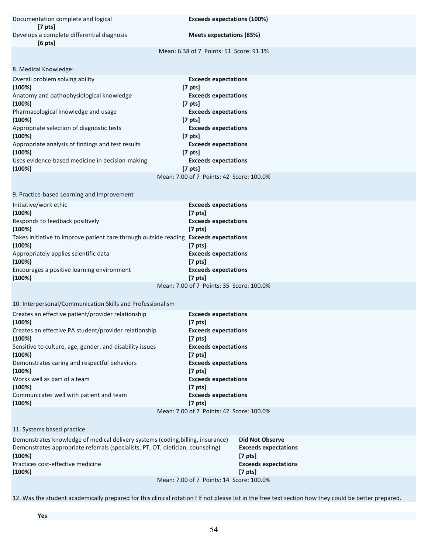Documentation complete and logical **Exceeds expectations (100%) [7 pts]** Develops a complete differential diagnosis **Meets expectations (85%) [6 pts]**

Mean: 6.38 of 7 Points: 51 Score: 91.1%

| 8. Medical Knowledge:                             |                   |
|---------------------------------------------------|-------------------|
| Overall problem solving ability                   | Exce              |
| (100%)                                            | $[7 \text{ pts}]$ |
| Anatomy and pathophysiological knowledge          | Exce              |
| (100%)                                            | $[7 \text{ pts}]$ |
| Pharmacological knowledge and usage               | Exce              |
| (100%)                                            | $[7 \text{ pts}]$ |
| Appropriate selection of diagnostic tests         | Exce              |
| (100%)                                            | $[7 \text{ pts}]$ |
| Appropriate analysis of findings and test results | Exce              |
| (100%)                                            | $[7 \text{ pts}]$ |
| Uses evidence-based medicine in decision-making   | Exce              |
| (100%)                                            | $[7 \text{ pts}]$ |
|                                                   |                   |

**Exceeds expectations (100%) [7 pts] Exceeds expectations Exceeds expectations Exceeds expectations Exceeds expectations Exceeds expectations (100%) [7 pts]** Mean: 7.00 of 7 Points: 42 Score: 100.0%

9. Practice-based Learning and Improvement

| Initiative/work ethic                                                                        | <b>Exceeds expectations</b>              |
|----------------------------------------------------------------------------------------------|------------------------------------------|
| (100%)                                                                                       | $[7 \text{ pts}]$                        |
| Responds to feedback positively                                                              | <b>Exceeds expectations</b>              |
| (100%)                                                                                       | $[7 \text{ pts}]$                        |
| Takes initiative to improve patient care through outside reading <b>Exceeds expectations</b> |                                          |
| (100%)                                                                                       | $[7 \text{ pts}]$                        |
| Appropriately applies scientific data                                                        | <b>Exceeds expectations</b>              |
| (100%)                                                                                       | $[7 \text{ pts}]$                        |
| Encourages a positive learning environment                                                   | <b>Exceeds expectations</b>              |
| (100%)                                                                                       | $[7 \text{ pts}]$                        |
|                                                                                              | Mean: 7.00 of 7 Points: 35 Score: 100.0% |

10. Interpersonal/Communication Skills and Professionalism

| Creates an effective patient/provider relationship       | <b>Exceeds expectations</b>              |  |
|----------------------------------------------------------|------------------------------------------|--|
| $(100\%)$                                                | $[7 \text{ pts}]$                        |  |
| Creates an effective PA student/provider relationship    | <b>Exceeds expectations</b>              |  |
| (100%)                                                   | $[7 \text{ pts}]$                        |  |
| Sensitive to culture, age, gender, and disability issues | <b>Exceeds expectations</b>              |  |
| (100%)                                                   | $[7 \text{ pts}]$                        |  |
| Demonstrates caring and respectful behaviors             | <b>Exceeds expectations</b>              |  |
| (100%)                                                   | $[7 \text{ pts}]$                        |  |
| Works well as part of a team                             | <b>Exceeds expectations</b>              |  |
| (100%)                                                   | $[7 \text{ pts}]$                        |  |
| Communicates well with patient and team                  | <b>Exceeds expectations</b>              |  |
| (100%)                                                   | $[7 \text{ pts}]$                        |  |
|                                                          | Mean: 7.00 of 7 Points: 42 Score: 100.0% |  |
|                                                          |                                          |  |

11. Systems based practice

| Demonstrates knowledge of medical delivery systems (coding, billing, insurance) | <b>Did Not Observe</b>                   |
|---------------------------------------------------------------------------------|------------------------------------------|
| Demonstrates appropriate referrals (specialists, PT, OT, dietician, counseling) | <b>Exceeds expectations</b>              |
| (100%)                                                                          | $[7 \text{ pts}]$                        |
| Practices cost-effective medicine                                               | <b>Exceeds expectations</b>              |
| (100%)                                                                          | $[7 \text{ pts}]$                        |
|                                                                                 | Mean: 7.00 of 7 Points: 14 Score: 100.0% |

12. Was the student academically prepared for this clinical rotation? If not please list in the free text section how they could be better prepared.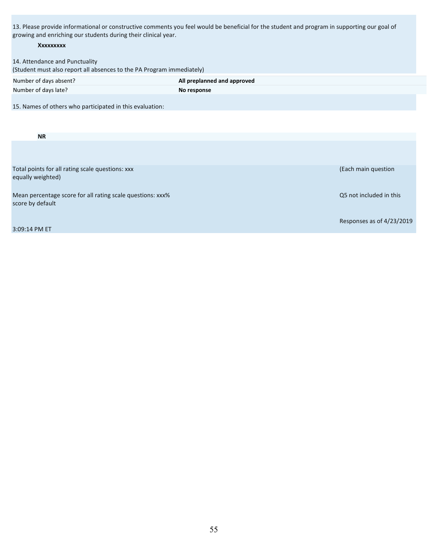13. Please provide informational or constructive comments you feel would be beneficial for the student and program in supporting our goal of growing and enriching our students during their clinical year.

| .<br>XXXXXXXXX                                                                                          |                             |                           |
|---------------------------------------------------------------------------------------------------------|-----------------------------|---------------------------|
| 14. Attendance and Punctuality<br>(Student must also report all absences to the PA Program immediately) |                             |                           |
| Number of days absent?                                                                                  | All preplanned and approved |                           |
| Number of days late?                                                                                    | No response                 |                           |
| 15. Names of others who participated in this evaluation:                                                |                             |                           |
|                                                                                                         |                             |                           |
| <b>NR</b>                                                                                               |                             |                           |
|                                                                                                         |                             |                           |
| Total points for all rating scale questions: xxx                                                        |                             | (Each main question       |
| equally weighted)                                                                                       |                             |                           |
| Mean percentage score for all rating scale questions: xxx%                                              |                             | Q5 not included in this   |
| score by default                                                                                        |                             |                           |
|                                                                                                         |                             | Responses as of 4/23/2019 |
| 3:09:14 PM ET                                                                                           |                             |                           |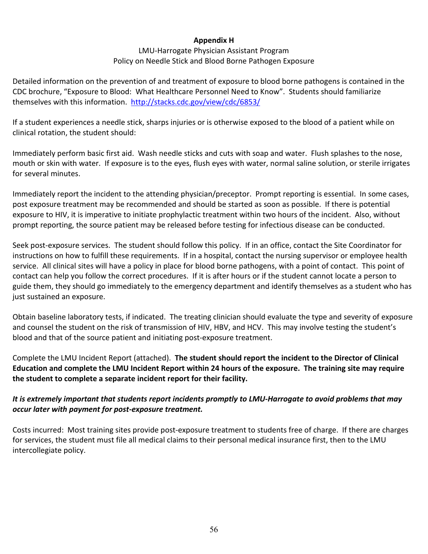#### **Appendix H**

#### LMU-Harrogate Physician Assistant Program Policy on Needle Stick and Blood Borne Pathogen Exposure

Detailed information on the prevention of and treatment of exposure to blood borne pathogens is contained in the CDC brochure, "Exposure to Blood: What Healthcare Personnel Need to Know". Students should familiarize themselves with this information. <http://stacks.cdc.gov/view/cdc/6853/>

If a student experiences a needle stick, sharps injuries or is otherwise exposed to the blood of a patient while on clinical rotation, the student should:

Immediately perform basic first aid. Wash needle sticks and cuts with soap and water. Flush splashes to the nose, mouth or skin with water. If exposure is to the eyes, flush eyes with water, normal saline solution, or sterile irrigates for several minutes.

Immediately report the incident to the attending physician/preceptor. Prompt reporting is essential. In some cases, post exposure treatment may be recommended and should be started as soon as possible. If there is potential exposure to HIV, it is imperative to initiate prophylactic treatment within two hours of the incident. Also, without prompt reporting, the source patient may be released before testing for infectious disease can be conducted.

Seek post-exposure services. The student should follow this policy. If in an office, contact the Site Coordinator for instructions on how to fulfill these requirements. If in a hospital, contact the nursing supervisor or employee health service. All clinical sites will have a policy in place for blood borne pathogens, with a point of contact. This point of contact can help you follow the correct procedures. If it is after hours or if the student cannot locate a person to guide them, they should go immediately to the emergency department and identify themselves as a student who has just sustained an exposure.

Obtain baseline laboratory tests, if indicated. The treating clinician should evaluate the type and severity of exposure and counsel the student on the risk of transmission of HIV, HBV, and HCV. This may involve testing the student's blood and that of the source patient and initiating post-exposure treatment.

Complete the LMU Incident Report (attached). **The student should report the incident to the Director of Clinical Education and complete the LMU Incident Report within 24 hours of the exposure. The training site may require the student to complete a separate incident report for their facility.** 

#### *It is extremely important that students report incidents promptly to LMU-Harrogate to avoid problems that may occur later with payment for post-exposure treatment.*

Costs incurred: Most training sites provide post-exposure treatment to students free of charge. If there are charges for services, the student must file all medical claims to their personal medical insurance first, then to the LMU intercollegiate policy.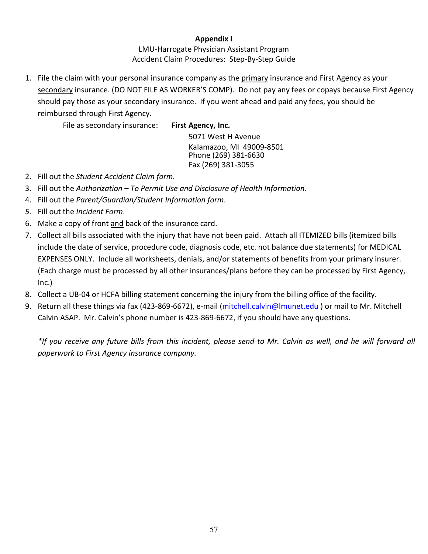#### **Appendix I**

LMU-Harrogate Physician Assistant Program Accident Claim Procedures: Step-By-Step Guide

1. File the claim with your personal insurance company as the primary insurance and First Agency as your secondary insurance. (DO NOT FILE AS WORKER'S COMP). Do not pay any fees or copays because First Agency should pay those as your secondary insurance. If you went ahead and paid any fees, you should be reimbursed through First Agency.

File as secondary insurance: **First Agency, Inc.**

5071 West H Avenue Kalamazoo, MI 49009-8501 Phone (269) 381-6630 Fax (269) 381-3055

- 2. Fill out the *Student Accident Claim form.*
- 3. Fill out the *Authorization – To Permit Use and Disclosure of Health Information.*
- 4. Fill out the *Parent/Guardian/Student Information form*.
- *5.* Fill out the *Incident Form*.
- 6. Make a copy of front and back of the insurance card.
- 7. Collect all bills associated with the injury that have not been paid. Attach all ITEMIZED bills (itemized bills include the date of service, procedure code, diagnosis code, etc. not balance due statements) for MEDICAL EXPENSES ONLY. Include all worksheets, denials, and/or statements of benefits from your primary insurer. (Each charge must be processed by all other insurances/plans before they can be processed by First Agency, Inc.)
- 8. Collect a UB-04 or HCFA billing statement concerning the injury from the billing office of the facility.
- 9. Return all these things via fax (423-869-6672), e-mail [\(mitchell.calvin@lmunet.edu](mailto:mitchell.calvin@lmunet.edu) ) or mail to Mr. Mitchell Calvin ASAP. Mr. Calvin's phone number is 423-869-6672, if you should have any questions.

*\*If you receive any future bills from this incident, please send to Mr. Calvin as well, and he will forward all paperwork to First Agency insurance company.*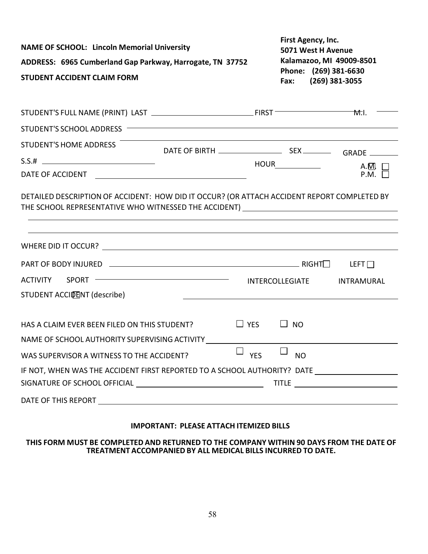| <b>NAME OF SCHOOL: Lincoln Memorial University</b><br>ADDRESS: 6965 Cumberland Gap Parkway, Harrogate, TN 37752<br><b>STUDENT ACCIDENT CLAIM FORM</b>                            |                                                                                  | First Agency, Inc.<br>5071 West H Avenue<br>Kalamazoo, MI 49009-8501<br>Phone: (269) 381-6630<br>Fax: (269) 381-3055 |           |                                    |
|----------------------------------------------------------------------------------------------------------------------------------------------------------------------------------|----------------------------------------------------------------------------------|----------------------------------------------------------------------------------------------------------------------|-----------|------------------------------------|
|                                                                                                                                                                                  |                                                                                  |                                                                                                                      |           | M.I.                               |
|                                                                                                                                                                                  |                                                                                  |                                                                                                                      |           |                                    |
| STUDENT'S HOME ADDRESS                                                                                                                                                           |                                                                                  |                                                                                                                      |           | A.M.                               |
|                                                                                                                                                                                  |                                                                                  |                                                                                                                      |           | $P.M. \Box$                        |
| DETAILED DESCRIPTION OF ACCIDENT: HOW DID IT OCCUR? (OR ATTACH ACCIDENT REPORT COMPLETED BY<br>THE SCHOOL REPRESENTATIVE WHO WITNESSED THE ACCIDENT) ___________________________ | ,我们也不能在这里的时候,我们也不能在这里的时候,我们也不能会在这里的时候,我们也不能会在这里的时候,我们也不能会在这里的时候,我们也不能会在这里的时候,我们也 |                                                                                                                      |           |                                    |
|                                                                                                                                                                                  |                                                                                  |                                                                                                                      |           |                                    |
| ACTIVITY SPORT <b>CONSUMING ACTIVITY</b>                                                                                                                                         |                                                                                  |                                                                                                                      |           | INTERCOLLEGIATE INTRAMURAL         |
| <b>STUDENT ACCIDENT (describe)</b>                                                                                                                                               | <u> 1989 - Johann Stoff, amerikansk politiker (</u>                              |                                                                                                                      |           |                                    |
| HAS A CLAIM EVER BEEN FILED ON THIS STUDENT?                                                                                                                                     |                                                                                  | $\Box$ YES                                                                                                           | $\Box$ No |                                    |
| NAME OF SCHOOL AUTHORITY SUPERVISING ACTIVITY                                                                                                                                    |                                                                                  |                                                                                                                      |           |                                    |
| WAS SUPERVISOR A WITNESS TO THE ACCIDENT?                                                                                                                                        |                                                                                  | $\overline{\phantom{a}}$ and $\overline{\phantom{a}}$ and $\overline{\phantom{a}}$<br><b>YES</b>                     | <b>NO</b> |                                    |
| IF NOT, WHEN WAS THE ACCIDENT FIRST REPORTED TO A SCHOOL AUTHORITY? DATE                                                                                                         |                                                                                  |                                                                                                                      |           |                                    |
|                                                                                                                                                                                  |                                                                                  |                                                                                                                      |           | TITLE ____________________________ |
|                                                                                                                                                                                  |                                                                                  |                                                                                                                      |           |                                    |

#### **IMPORTANT: PLEASE ATTACH ITEMIZED BILLS**

#### **THIS FORM MUST BE COMPLETED AND RETURNED TO THE COMPANY WITHIN 90 DAYS FROM THE DATE OF TREATMENT ACCOMPANIED BY ALL MEDICAL BILLS INCURRED TO DATE.**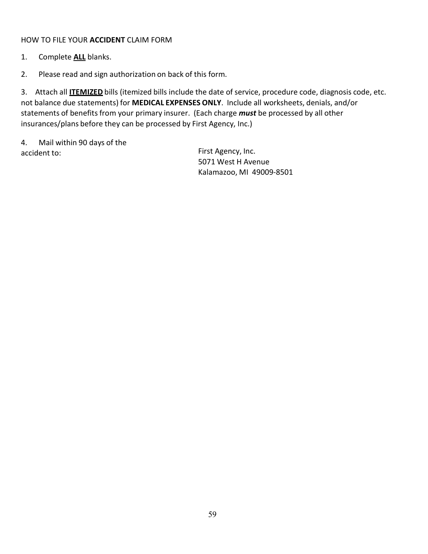#### HOW TO FILE YOUR **ACCIDENT** CLAIM FORM

- 1. Complete **ALL** blanks.
- 2. Please read and sign authorization on back of this form.

3. Attach all **ITEMIZED** bills (itemized bills include the date of service, procedure code, diagnosis code, etc. not balance due statements) for **MEDICAL EXPENSES ONLY**. Include all worksheets, denials, and/or statements of benefits from your primary insurer. (Each charge *must* be processed by all other insurances/plans before they can be processed by First Agency, Inc.)

4. Mail within 90 days of the accident to: The Contract of the Contract of the First Agency, Inc.

5071 West H Avenue Kalamazoo, MI 49009-8501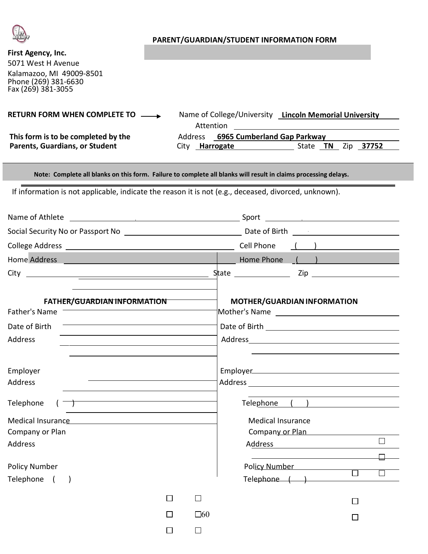

#### **PARENT/GUARDIAN/STUDENT INFORMATION FORM**

# **First Agency, Inc.**

5071 West H Avenue Kalamazoo, MI 49009-8501 Phone (269) 381-6630 Fax (269) 381-3055

| <b>RETURN FORM WHEN COMPLETE TO</b><br>$\sim$ 100 $\sim$                     | Name of College/University<br>Attention                  | <b>Lincoln Memorial University</b> |
|------------------------------------------------------------------------------|----------------------------------------------------------|------------------------------------|
| This form is to be completed by the<br><b>Parents, Guardians, or Student</b> | Address 6965 Cumberland Gap Parkway<br>Harrogate<br>City | 37752<br>Zip.<br>State <b>TN</b>   |

Note: Complete all blanks on this form. Failure to complete all blanks will result in claims processing delays.

If information is not applicable, indicate the reason it is not (e.g., deceased, divorced, unknown).

| Name of Athlete                                                                                                                                                                                                                    |         |              | Sport<br><u>and the contract of the contract of the contract of the contract of the contract of the contract of the contract of the contract of the contract of the contract of the contract of the contract of the contract of the contr</u> |                  |  |  |
|------------------------------------------------------------------------------------------------------------------------------------------------------------------------------------------------------------------------------------|---------|--------------|-----------------------------------------------------------------------------------------------------------------------------------------------------------------------------------------------------------------------------------------------|------------------|--|--|
| Social Security No or Passport No <b>Social Security</b> No                                                                                                                                                                        |         |              | Date of Birth <b>Exercise 2018</b>                                                                                                                                                                                                            |                  |  |  |
|                                                                                                                                                                                                                                    |         |              | Cell Phone<br>$\left(\begin{array}{cc} 1 & 1 \end{array}\right)$ and $\left(\begin{array}{cc} 1 & 1 \end{array}\right)$                                                                                                                       |                  |  |  |
| Home Address <b>Communication</b> and the contract of the contract of the contract of the contract of the contract of the contract of the contract of the contract of the contract of the contract of the contract of the contract |         |              | Home Phone<br>$\left(\begin{array}{c} \bullet \\ \bullet \end{array}\right)$                                                                                                                                                                  |                  |  |  |
|                                                                                                                                                                                                                                    |         |              |                                                                                                                                                                                                                                               |                  |  |  |
| <b>FATHER/GUARDIAN INFORMATION</b><br>Father's Name                                                                                                                                                                                |         |              | MOTHER/GUARDIAN INFORMATION                                                                                                                                                                                                                   |                  |  |  |
| Date of Birth                                                                                                                                                                                                                      |         |              |                                                                                                                                                                                                                                               |                  |  |  |
| Address                                                                                                                                                                                                                            |         |              |                                                                                                                                                                                                                                               |                  |  |  |
| Employer<br><b>Address</b>                                                                                                                                                                                                         |         |              |                                                                                                                                                                                                                                               |                  |  |  |
| Telephone                                                                                                                                                                                                                          |         |              | Telephone ( )                                                                                                                                                                                                                                 |                  |  |  |
| Medical Insurance Manual Medical Insurance<br>Company or Plan                                                                                                                                                                      |         |              | <b>Medical Insurance</b><br>Company or Plan                                                                                                                                                                                                   |                  |  |  |
| <b>Address</b>                                                                                                                                                                                                                     |         |              |                                                                                                                                                                                                                                               | $\Box$           |  |  |
| <b>Policy Number</b><br>Telephone ()                                                                                                                                                                                               |         |              | Pol <u>icy Number</u><br>$Telephone$ $( )$                                                                                                                                                                                                    | $\Box$<br>$\Box$ |  |  |
|                                                                                                                                                                                                                                    | $\perp$ | $\Box$       | $\perp$                                                                                                                                                                                                                                       |                  |  |  |
|                                                                                                                                                                                                                                    |         | $\square 60$ | П                                                                                                                                                                                                                                             |                  |  |  |
|                                                                                                                                                                                                                                    |         | $\Box$       |                                                                                                                                                                                                                                               |                  |  |  |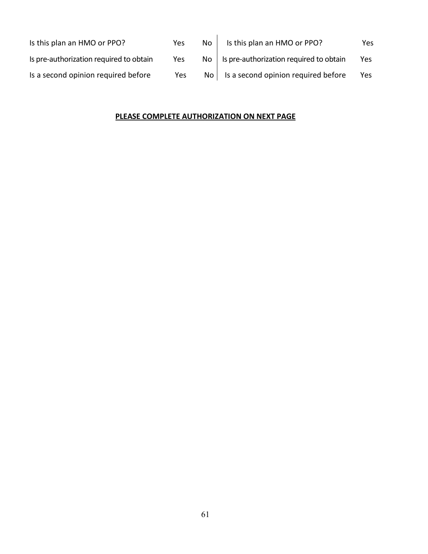| Is this plan an HMO or PPO?             | Yes | No.  | Is this plan an HMO or PPO?                     | Yes |
|-----------------------------------------|-----|------|-------------------------------------------------|-----|
| Is pre-authorization required to obtain | Yes | No l | Is pre-authorization required to obtain         | Yes |
| Is a second opinion required before     | Yes |      | $\text{No}$ Is a second opinion required before | Yes |

#### **PLEASE COMPLETE AUTHORIZATION ON NEXT PAGE**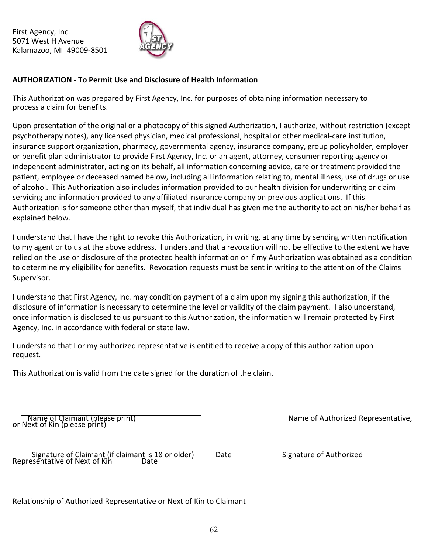First Agency, Inc. 5071 West H Avenue Kalamazoo, MI 49009-8501



#### **AUTHORIZATION - To Permit Use and Disclosure of Health Information**

This Authorization was prepared by First Agency, Inc. for purposes of obtaining information necessary to process a claim for benefits.

Upon presentation of the original or a photocopy of this signed Authorization, I authorize, without restriction (except psychotherapy notes), any licensed physician, medical professional, hospital or other medical-care institution, insurance support organization, pharmacy, governmental agency, insurance company, group policyholder, employer or benefit plan administrator to provide First Agency, Inc. or an agent, attorney, consumer reporting agency or independent administrator, acting on its behalf, all information concerning advice, care or treatment provided the patient, employee or deceased named below, including all information relating to, mental illness, use of drugs or use of alcohol. This Authorization also includes information provided to our health division for underwriting or claim servicing and information provided to any affiliated insurance company on previous applications. If this Authorization is for someone other than myself, that individual has given me the authority to act on his/her behalf as explained below.

I understand that I have the right to revoke this Authorization, in writing, at any time by sending written notification to my agent or to us at the above address. I understand that a revocation will not be effective to the extent we have relied on the use or disclosure of the protected health information or if my Authorization was obtained as a condition to determine my eligibility for benefits. Revocation requests must be sent in writing to the attention of the Claims Supervisor.

I understand that First Agency, Inc. may condition payment of a claim upon my signing this authorization, if the disclosure of information is necessary to determine the level or validity of the claim payment. I also understand, once information is disclosed to us pursuant to this Authorization, the information will remain protected by First Agency, Inc. in accordance with federal or state law.

I understand that I or my authorized representative is entitled to receive a copy of this authorization upon request.

This Authorization is valid from the date signed for the duration of the claim.

Name of Claimant (please print) Name of Authorized Representative, in Name of Authorized Representative, or Next of Kin (please print)

signature of Claimant (if claimant is 18 or older) Thate The Signature of Authorized Representative of Next of Kin Date

Relationship of Authorized Representative or Next of Kin to Claimant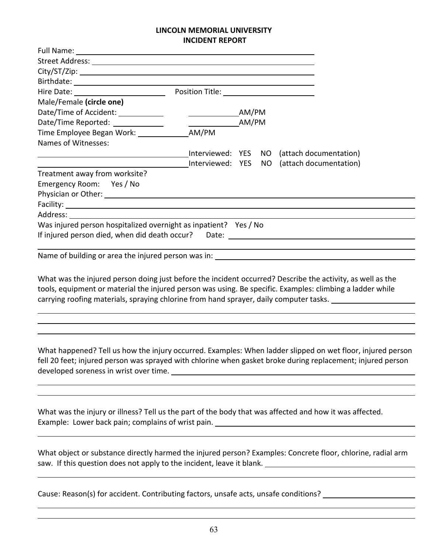#### **LINCOLN MEMORIAL UNIVERSITY INCIDENT REPORT**

| Male/Female (circle one)                                         |       |                                            |  |
|------------------------------------------------------------------|-------|--------------------------------------------|--|
|                                                                  |       |                                            |  |
| Date/Time Reported: _____________                                | AM/PM |                                            |  |
|                                                                  |       |                                            |  |
| Names of Witnesses:                                              |       |                                            |  |
|                                                                  |       | Interviewed: YES NO (attach documentation) |  |
|                                                                  |       | Interviewed: YES NO (attach documentation) |  |
| Treatment away from worksite?                                    |       |                                            |  |
| Emergency Room: Yes / No                                         |       |                                            |  |
|                                                                  |       |                                            |  |
|                                                                  |       |                                            |  |
|                                                                  |       |                                            |  |
| Was injured person hospitalized overnight as inpatient? Yes / No |       |                                            |  |
| If injured person died, when did death occur? Date: Date:        |       |                                            |  |
|                                                                  |       |                                            |  |

Name of building or area the injured person was in:

What was the injured person doing just before the incident occurred? Describe the activity, as well as the tools, equipment or material the injured person was using. Be specific. Examples: climbing a ladder while carrying roofing materials, spraying chlorine from hand sprayer, daily computer tasks.

What happened? Tell us how the injury occurred. Examples: When ladder slipped on wet floor, injured person fell 20 feet; injured person was sprayed with chlorine when gasket broke during replacement; injured person developed soreness in wrist over time.<br>
<u>examples</u> with the solution of the solution of the solution of the solution of the solution of the solution of the solution of the solution of the solution of the solution of the so

What was the injury or illness? Tell us the part of the body that was affected and how it was affected. Example: Lower back pain; complains of wrist pain.

What object or substance directly harmed the injured person? Examples: Concrete floor, chlorine, radial arm saw. If this question does not apply to the incident, leave it blank.

Cause: Reason(s) for accident. Contributing factors, unsafe acts, unsafe conditions?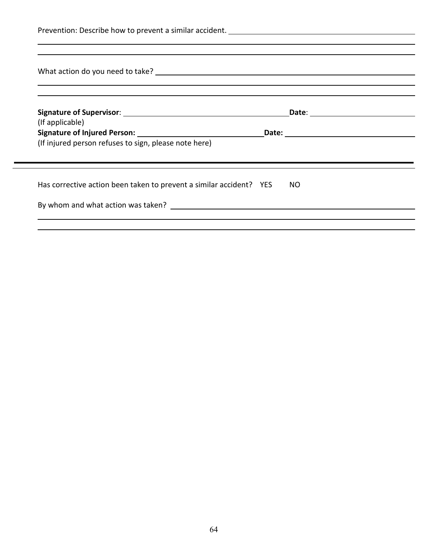| (If applicable)                                       |  |  |
|-------------------------------------------------------|--|--|
| (If injured person refuses to sign, please note here) |  |  |
|                                                       |  |  |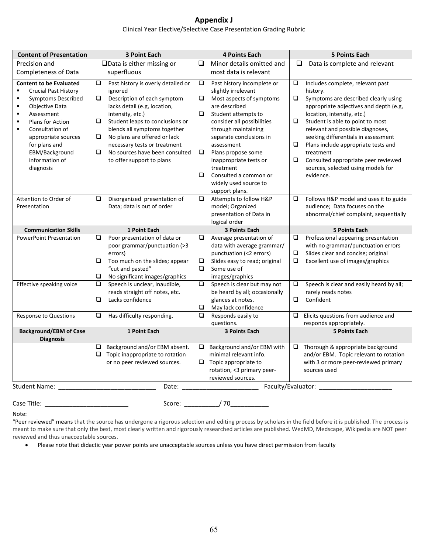## **Appendix J**

#### Clinical Year Elective/Selective Case Presentation Grading Rubric

| <b>Content of Presentation</b>                                                                                                                                                                                                | <b>3 Point Each</b>                                | <b>4 Points Each</b>                                                                                           | <b>5 Points Each</b>                                                     |
|-------------------------------------------------------------------------------------------------------------------------------------------------------------------------------------------------------------------------------|----------------------------------------------------|----------------------------------------------------------------------------------------------------------------|--------------------------------------------------------------------------|
| Precision and                                                                                                                                                                                                                 | $\Box$ Data is either missing or                   | Minor details omitted and<br>❏                                                                                 | Q<br>Data is complete and relevant                                       |
| <b>Completeness of Data</b>                                                                                                                                                                                                   | superfluous                                        | most data is relevant                                                                                          |                                                                          |
| <b>Content to be Evaluated</b>                                                                                                                                                                                                | $\Box$<br>Past history is overly detailed or       | $\Box$<br>Past history incomplete or                                                                           | $\Box$<br>Includes complete, relevant past                               |
| $\blacksquare$<br><b>Crucial Past History</b>                                                                                                                                                                                 | ignored                                            | slightly irrelevant                                                                                            | history.                                                                 |
| $\blacksquare$<br><b>Symptoms Described</b><br>٠                                                                                                                                                                              | $\Box$<br>Description of each symptom              | □<br>Most aspects of symptoms                                                                                  | $\Box$<br>Symptoms are described clearly using                           |
| Objective Data<br>Assessment<br>٠                                                                                                                                                                                             | lacks detail (e.g, location,<br>intensity, etc.)   | are described<br>Student attempts to<br>❏                                                                      | appropriate adjectives and depth (e.g,<br>location, intensity, etc.)     |
| $\blacksquare$<br>Plans for Action                                                                                                                                                                                            | O.<br>Student leaps to conclusions or              | consider all possibilities                                                                                     | $\Box$<br>Student is able to point to most                               |
| $\blacksquare$<br>Consultation of                                                                                                                                                                                             | blends all symptoms together                       | through maintaining                                                                                            | relevant and possible diagnoses,                                         |
| appropriate sources                                                                                                                                                                                                           | No plans are offered or lack                       | separate conclusions in                                                                                        | seeking differentials in assessment                                      |
| for plans and                                                                                                                                                                                                                 | necessary tests or treatment                       | assessment                                                                                                     | $\Box$<br>Plans include appropriate tests and                            |
| EBM/Background                                                                                                                                                                                                                | $\Box$<br>No sources have been consulted           | ❏<br>Plans propose some                                                                                        | treatment                                                                |
| information of                                                                                                                                                                                                                | to offer support to plans                          | inappropriate tests or                                                                                         | Consulted appropriate peer reviewed<br>$\Box$                            |
| diagnosis                                                                                                                                                                                                                     |                                                    | treatment                                                                                                      | sources, selected using models for                                       |
|                                                                                                                                                                                                                               |                                                    | □<br>Consulted a common or                                                                                     | evidence.                                                                |
|                                                                                                                                                                                                                               |                                                    | widely used source to                                                                                          |                                                                          |
|                                                                                                                                                                                                                               |                                                    | support plans.                                                                                                 |                                                                          |
| Attention to Order of                                                                                                                                                                                                         | Disorganized presentation of<br>□                  | Attempts to follow H&P<br>$\Box$                                                                               | Follows H&P model and uses it to guide<br>$\Box$                         |
| Presentation                                                                                                                                                                                                                  | Data; data is out of order                         | model; Organized                                                                                               | audience; Data focuses on the                                            |
|                                                                                                                                                                                                                               |                                                    | presentation of Data in                                                                                        | abnormal/chief complaint, sequentially                                   |
|                                                                                                                                                                                                                               |                                                    | logical order                                                                                                  |                                                                          |
| <b>Communication Skills</b><br><b>PowerPoint Presentation</b>                                                                                                                                                                 | 1 Point Each<br>Poor presentation of data or<br>O. | 3 Points Each<br>$\Box$<br>Average presentation of                                                             | <b>5 Points Each</b><br>$\Box$<br>Professional appearing presentation    |
|                                                                                                                                                                                                                               | poor grammar/punctuation (>3                       | data with average grammar/                                                                                     | with no grammar/punctuation errors                                       |
|                                                                                                                                                                                                                               | errors)                                            | punctuation (<2 errors)                                                                                        | Slides clear and concise; original<br>❏                                  |
|                                                                                                                                                                                                                               | $\Box$<br>Too much on the slides; appear           | $\Box$<br>Slides easy to read; original                                                                        | $\Box$<br>Excellent use of images/graphics                               |
|                                                                                                                                                                                                                               | "cut and pasted"                                   | □<br>Some use of                                                                                               |                                                                          |
|                                                                                                                                                                                                                               | $\Box$<br>No significant images/graphics           | images/graphics                                                                                                |                                                                          |
| Effective speaking voice                                                                                                                                                                                                      | Speech is unclear, inaudible,<br>O.                | Speech is clear but may not<br>❏                                                                               | $\Box$<br>Speech is clear and easily heard by all;                       |
|                                                                                                                                                                                                                               | reads straight off notes, etc.                     | be heard by all; occasionally                                                                                  | rarely reads notes                                                       |
|                                                                                                                                                                                                                               | $\Box$<br>Lacks confidence                         | glances at notes.                                                                                              | $\Box$<br>Confident                                                      |
|                                                                                                                                                                                                                               |                                                    | $\Box$<br>May lack confidence                                                                                  |                                                                          |
| <b>Response to Questions</b>                                                                                                                                                                                                  | Has difficulty responding.<br>$\Box$               | Responds easily to<br>$\Box$<br>questions.                                                                     | Elicits questions from audience and<br>$\Box$<br>responds appropriately. |
| <b>Background/EBM of Case</b>                                                                                                                                                                                                 | 1 Point Each                                       | <b>3 Points Each</b>                                                                                           | <b>5 Points Each</b>                                                     |
| <b>Diagnosis</b>                                                                                                                                                                                                              |                                                    |                                                                                                                |                                                                          |
|                                                                                                                                                                                                                               | Background and/or EBM absent.                      | Background and/or EBM with<br>Q.                                                                               | $\Box$ Thorough & appropriate background                                 |
|                                                                                                                                                                                                                               | $\Box$<br>Topic inappropriate to rotation          | minimal relevant info.                                                                                         | and/or EBM. Topic relevant to rotation                                   |
|                                                                                                                                                                                                                               | or no peer reviewed sources.                       | $\Box$ Topic appropriate to                                                                                    | with 3 or more peer-reviewed primary                                     |
|                                                                                                                                                                                                                               |                                                    | rotation, <3 primary peer-                                                                                     | sources used                                                             |
|                                                                                                                                                                                                                               |                                                    | reviewed sources.                                                                                              |                                                                          |
| Student Name: The Contract of the Contract of the Contract of the Contract of the Contract of the Contract of the Contract of the Contract of the Contract of the Contract of the Contract of the Contract of the Contract of |                                                    | Date: and the state of the state of the state of the state of the state of the state of the state of the state | Faculty/Evaluator:                                                       |

Case Title: \_\_\_\_\_\_\_\_\_\_\_\_\_\_\_\_\_\_\_\_\_\_\_\_ Score: \_\_\_\_\_\_\_\_\_\_/ 70\_\_\_\_\_\_\_\_\_\_\_

Note:

"Peer reviewed" means that the source has undergone a rigorous selection and editing process by scholars in the field before it is published. The process is meant to make sure that only the best, most clearly written and rigorously researched articles are published. WedMD, Medscape, Wikipedia are NOT peer reviewed and thus unacceptable sources.

• Please note that didactic year power points are unacceptable sources unless you have direct permission from faculty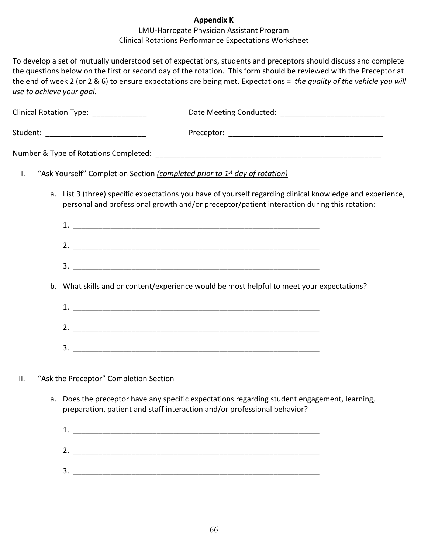#### **Appendix K**

#### LMU-Harrogate Physician Assistant Program Clinical Rotations Performance Expectations Worksheet

To develop a set of mutually understood set of expectations, students and preceptors should discuss and complete the questions below on the first or second day of the rotation. This form should be reviewed with the Preceptor at the end of week 2 (or 2 & 6) to ensure expectations are being met. Expectations = *the quality of the vehicle you will use to achieve your goal.* 

|                | Clinical Rotation Type: _____________                                                                                                                                                                    |  |
|----------------|----------------------------------------------------------------------------------------------------------------------------------------------------------------------------------------------------------|--|
|                | Student: ______________________________                                                                                                                                                                  |  |
|                |                                                                                                                                                                                                          |  |
| $\mathsf{I}$ . | "Ask Yourself" Completion Section (completed prior to 1st day of rotation)                                                                                                                               |  |
|                | a. List 3 (three) specific expectations you have of yourself regarding clinical knowledge and experience,<br>personal and professional growth and/or preceptor/patient interaction during this rotation: |  |
|                |                                                                                                                                                                                                          |  |
|                |                                                                                                                                                                                                          |  |
|                |                                                                                                                                                                                                          |  |
|                | b. What skills and or content/experience would be most helpful to meet your expectations?                                                                                                                |  |
|                |                                                                                                                                                                                                          |  |
|                |                                                                                                                                                                                                          |  |
|                |                                                                                                                                                                                                          |  |
| Ш.             | "Ask the Preceptor" Completion Section                                                                                                                                                                   |  |

a. Does the preceptor have any specific expectations regarding student engagement, learning, preparation, patient and staff interaction and/or professional behavior?

| л      |  |
|--------|--|
| 2.     |  |
| э<br>ت |  |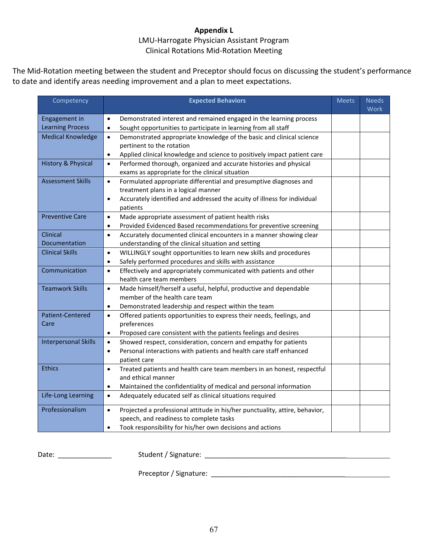#### **Appendix L**

#### LMU-Harrogate Physician Assistant Program Clinical Rotations Mid-Rotation Meeting

The Mid-Rotation meeting between the student and Preceptor should focus on discussing the student's performance to date and identify areas needing improvement and a plan to meet expectations.

| Competency                  | <b>Expected Behaviors</b>                                                                        | <b>Meets</b> | <b>Needs</b><br>Work |
|-----------------------------|--------------------------------------------------------------------------------------------------|--------------|----------------------|
| <b>Engagement in</b>        | Demonstrated interest and remained engaged in the learning process<br>$\bullet$                  |              |                      |
| <b>Learning Process</b>     | Sought opportunities to participate in learning from all staff<br>$\bullet$                      |              |                      |
| <b>Medical Knowledge</b>    | Demonstrated appropriate knowledge of the basic and clinical science<br>$\bullet$                |              |                      |
|                             | pertinent to the rotation                                                                        |              |                      |
|                             | Applied clinical knowledge and science to positively impact patient care<br>$\bullet$            |              |                      |
| History & Physical          | Performed thorough, organized and accurate histories and physical<br>$\bullet$                   |              |                      |
|                             | exams as appropriate for the clinical situation                                                  |              |                      |
| <b>Assessment Skills</b>    | Formulated appropriate differential and presumptive diagnoses and<br>$\bullet$                   |              |                      |
|                             | treatment plans in a logical manner                                                              |              |                      |
|                             | Accurately identified and addressed the acuity of illness for individual<br>$\bullet$            |              |                      |
|                             | patients                                                                                         |              |                      |
| <b>Preventive Care</b>      | Made appropriate assessment of patient health risks<br>$\bullet$                                 |              |                      |
|                             | Provided Evidenced Based recommendations for preventive screening<br>$\bullet$                   |              |                      |
| Clinical                    | Accurately documented clinical encounters in a manner showing clear<br>$\bullet$                 |              |                      |
| Documentation               | understanding of the clinical situation and setting                                              |              |                      |
| <b>Clinical Skills</b>      | WILLINGLY sought opportunities to learn new skills and procedures<br>$\bullet$                   |              |                      |
|                             | Safely performed procedures and skills with assistance<br>$\bullet$                              |              |                      |
| Communication               | Effectively and appropriately communicated with patients and other<br>$\bullet$                  |              |                      |
|                             | health care team members                                                                         |              |                      |
| <b>Teamwork Skills</b>      | Made himself/herself a useful, helpful, productive and dependable<br>$\bullet$                   |              |                      |
|                             | member of the health care team                                                                   |              |                      |
| Patient-Centered            | Demonstrated leadership and respect within the team<br>$\bullet$                                 |              |                      |
| Care                        | Offered patients opportunities to express their needs, feelings, and<br>$\bullet$<br>preferences |              |                      |
|                             | Proposed care consistent with the patients feelings and desires<br>$\bullet$                     |              |                      |
| <b>Interpersonal Skills</b> | Showed respect, consideration, concern and empathy for patients<br>$\bullet$                     |              |                      |
|                             | Personal interactions with patients and health care staff enhanced<br>$\bullet$                  |              |                      |
|                             | patient care                                                                                     |              |                      |
| <b>Ethics</b>               | Treated patients and health care team members in an honest, respectful<br>$\bullet$              |              |                      |
|                             | and ethical manner                                                                               |              |                      |
|                             | Maintained the confidentiality of medical and personal information<br>$\bullet$                  |              |                      |
| Life-Long Learning          | Adequately educated self as clinical situations required<br>$\bullet$                            |              |                      |
| Professionalism             | Projected a professional attitude in his/her punctuality, attire, behavior,<br>$\bullet$         |              |                      |
|                             | speech, and readiness to complete tasks                                                          |              |                      |
|                             | Took responsibility for his/her own decisions and actions<br>$\bullet$                           |              |                      |

Date: \_\_\_\_\_\_\_\_\_\_\_\_\_\_ Student / Signature: \_\_\_\_\_\_\_\_\_\_\_\_\_\_\_\_\_\_\_\_\_\_\_\_\_\_\_\_\_\_\_\_\_\_\_\_\_

Preceptor / Signature: \_\_\_\_\_\_\_\_\_\_\_\_\_\_\_\_\_\_\_\_\_\_\_\_\_\_\_\_\_\_\_\_\_\_\_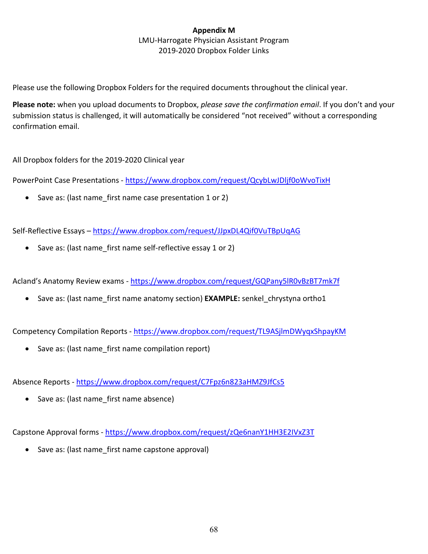# **Appendix M**

#### LMU-Harrogate Physician Assistant Program 2019-2020 Dropbox Folder Links

Please use the following Dropbox Folders for the required documents throughout the clinical year.

**Please note:** when you upload documents to Dropbox, *please save the confirmation email*. If you don't and your submission status is challenged, it will automatically be considered "not received" without a corresponding confirmation email.

All Dropbox folders for the 2019-2020 Clinical year

PowerPoint Case Presentations - <https://www.dropbox.com/request/QcybLwJDljf0oWvoTixH>

• Save as: (last name\_first name case presentation 1 or 2)

Self-Reflective Essays - <https://www.dropbox.com/request/JJpxDL4Qif0VuTBpUqAG>

• Save as: (last name\_first name self-reflective essay 1 or 2)

Acland's Anatomy Review exams - <https://www.dropbox.com/request/GQPany5lR0vBzBT7mk7f>

• Save as: (last name first name anatomy section) **EXAMPLE:** senkel chrystyna ortho1

Competency Compilation Reports - <https://www.dropbox.com/request/TL9ASjlmDWyqxShpayKM>

• Save as: (last name first name compilation report)

Absence Reports - <https://www.dropbox.com/request/C7Fpz6n823aHMZ9JfCs5>

• Save as: (last name first name absence)

Capstone Approval forms - <https://www.dropbox.com/request/zQe6nanY1HH3E2IVxZ3T>

• Save as: (last name first name capstone approval)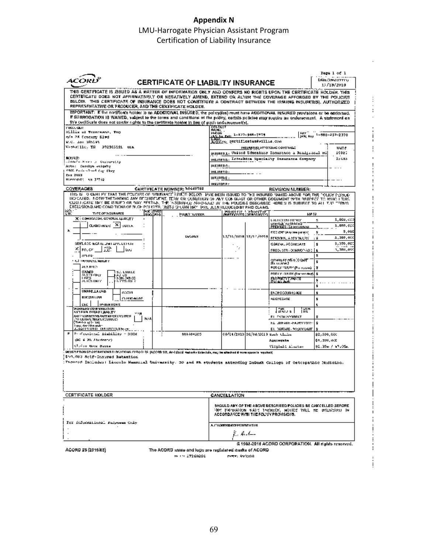## **Appendix N** LMU-Harrogate Physician Assistant Program Certification of Liability Insurance

 $\frac{1}{2}$ ÷,

ļ

Ţ

Ť

 $\vdots$ 

|                                                                                                                                                          | Page 1 of 1                                                                                                                                                                                                                                                                                                                                                                               |
|----------------------------------------------------------------------------------------------------------------------------------------------------------|-------------------------------------------------------------------------------------------------------------------------------------------------------------------------------------------------------------------------------------------------------------------------------------------------------------------------------------------------------------------------------------------|
| CERTIFICATE OF LIABILITY INSURANCE                                                                                                                       | <b>DATE (VNORVYYY)</b><br>12/13/2019                                                                                                                                                                                                                                                                                                                                                      |
| REPRESENTATIVE OR PRODUCER, AND THE CERTIFICATE HOLDER.                                                                                                  | THIS GERTIFIGATE IS JSSUED AS A MATTER OF INFORMATION CNILY AND CONFERS NO RIGHTS UPON THE CERTIFICATE HOLDER, YHIS<br>CERTIFICATE DOES NOT AFFIRMATIVELY OR NEGATIVELY AMEND, EXTEND OR ALTER THE COVERAGE AFFORDED BY THE POLICIES<br>BELOW. THIS CERTIFICATE OF INSURANCE DOES NOT CONSTITUTE A CONTRACT BETWEEN THE ISSUING INSURFITIST, AUTHORIZED                                   |
| this certificate does not confer rights to the certificate holder in list of auch endurement(s).                                                         | IMPORTANT: If the contriberts holder is an ADDITIONAL INSURED, the policy(las) must have ADDITIONAL INSURED provisions or be endorsed.<br>if SUBROGATION IS WAIVED, subject to the terms and canditions of the policy, certain policies may require an enderscription. A statement on                                                                                                     |
| пизовани                                                                                                                                                 | OCIVITAR<br>NAVE:<br>PHOSIS                                                                                                                                                                                                                                                                                                                                                               |
| Willie ut Toomseans, The<br>n/m PK Century Blwd                                                                                                          | <b>BAY</b><br>IAV. Au Euli: 1-AV7-948-7979<br>E-NAI.<br>JAN: Kor. 1-988-357-2378                                                                                                                                                                                                                                                                                                          |
| W.C. Sax SARLAI                                                                                                                                          | <b>ROBERS: gertificates@villie.com</b>                                                                                                                                                                                                                                                                                                                                                    |
| Kaphy: 11cy TH<br>972903101<br><b>UGA</b>                                                                                                                | INSURERIS  APPORANG COVERAGE<br><b>SMAR</b>                                                                                                                                                                                                                                                                                                                                               |
|                                                                                                                                                          | RSURESA: Veducd Educators Insurance a Realgeboal Hi<br>10020                                                                                                                                                                                                                                                                                                                              |
| 開発検査<br>.inneto Mason yn Gogograffy                                                                                                                      | $2 - 645$<br>MENSERS: Indusbace Specialty Insurance Company                                                                                                                                                                                                                                                                                                                               |
| Attn: Carolyn weigzhy<br>each formed out can they                                                                                                        | H31B53C                                                                                                                                                                                                                                                                                                                                                                                   |
| <b>Cox 2003</b>                                                                                                                                          | INS.INERD:                                                                                                                                                                                                                                                                                                                                                                                |
| Harrometi (19.31732                                                                                                                                      | IHAYABA E :<br>INSURER P.                                                                                                                                                                                                                                                                                                                                                                 |
| <b>CERTIFICATE NUMBER: he446769</b><br>COVERAGES                                                                                                         | REVISION NUMBER:                                                                                                                                                                                                                                                                                                                                                                          |
| EXCLOSIONS AND CONDITIONS OF SUCH POLICIES, LIMITS CHUVAN MAY LAVE JEAN REQUOLD BY PAID CLAIMS.                                                          | THIS IS TO CEHT FY THAT THE POLICIES OF WRITANCE HATCH BELOW. WHE BESN ISSUED TO THE INSURED NAMED ABOVE FOR THE TOLKY PERIOD.<br>IND CATED. NOTWITHE TANNING ANY REQUIREMENT, TERMICK CONDITION OF ANY CONTRACT OR OTHER DODUMENT WITH RESPECT TO WHICH THIS<br>cliculogie may be isbued or may pertan. The "aburance afforded by the policies descarbed here subjected and the trency's |
| क्रिकेट एक प्रा<br>鹽<br>TYPE OF INSURANCE<br>haso Lwe<br>Pous'r naveer.                                                                                  | דשמות של ידי הזה להלוויות.<br>בירושים פשוט: בירושים המשות<br>HM TJ                                                                                                                                                                                                                                                                                                                        |
| Х : самирлом, сечека, цласту<br>$\blacksquare$                                                                                                           | 1,000,00<br>и<br>LAGLED XXI SSPAIDE                                                                                                                                                                                                                                                                                                                                                       |
| ×<br>CLAINS WHO E<br>OBCOK                                                                                                                               | LMAVÁLÁS TO FÖRMI BÖTTITT<br>IPPEMISES (Ed occurring)<br>1,0NN, CC<br>×                                                                                                                                                                                                                                                                                                                   |
| λ                                                                                                                                                        | 5,000<br>MCC ZXP (Any and pickers)<br>ă.                                                                                                                                                                                                                                                                                                                                                  |
| DSAPPR                                                                                                                                                   | 12/16/2018 12/17/2019<br>1,300,000<br>FEROOM, SMW NUSY<br>ءَ :                                                                                                                                                                                                                                                                                                                            |
| GENUACO ECA ILIUMITAMO LETRITO<br>×                                                                                                                      | 3,000,000<br>GENERAL ACQUEDATE<br>l t<br>÷                                                                                                                                                                                                                                                                                                                                                |
| 12<br>FOLCY.<br>Los                                                                                                                                      | х, апи, лос<br>PRODUCTS - GONNOP AO 2   &<br>5                                                                                                                                                                                                                                                                                                                                            |
| OTHER:<br><b>CAU ENGRESCHEREN</b>                                                                                                                        | onvayer,sNo.30HM<br>ŝ                                                                                                                                                                                                                                                                                                                                                                     |
| <b>AMWHO</b>                                                                                                                                             | (Եւսանաց)<br>POD LY PUURY (Puususud).<br>Ŧ                                                                                                                                                                                                                                                                                                                                                |
| OAHED<br><b>SC. LOULED</b>                                                                                                                               | PDD LY -3 FIRY (For arc draft)<br>Ŧ                                                                                                                                                                                                                                                                                                                                                       |
| ALYSSONUM<br>LIBO<br>AU OS<br>XON XVIIGE<br>AUGS ONLY<br><b>LOCAL COLLAR</b>                                                                             | ይአንጀርና የተገለጸውን።<br>በባሪ ደር ታሪክ<br>¥                                                                                                                                                                                                                                                                                                                                                        |
|                                                                                                                                                          | Ŧ                                                                                                                                                                                                                                                                                                                                                                                         |
| UNRRELLA UAB<br>00019                                                                                                                                    | <b>EACH COOLIGEDIASE</b><br>ż                                                                                                                                                                                                                                                                                                                                                             |
| 80072351.199<br>CLARKS MADE                                                                                                                              | <b>ADGREGATE</b><br>Ŧ                                                                                                                                                                                                                                                                                                                                                                     |
| Testen nun s<br>じヒじ                                                                                                                                      | ι                                                                                                                                                                                                                                                                                                                                                                                         |
| AGREERS COMPERBATION<br>AND FWA DYSAS LIARK ITY                                                                                                          | ᇓ<br>វិធីសម                                                                                                                                                                                                                                                                                                                                                                               |
| ANYA WIPISITI DINAMETHER EXACUTEUR.<br>NJ A<br><b>MELRIUM LANDER SCUNDLES</b>                                                                            | ELL FACH ACCIDENT                                                                                                                                                                                                                                                                                                                                                                         |
| well of glassic<br>i yuq deration under                                                                                                                  | <b>EL JERASE-FAJRITURE</b><br>ŝ                                                                                                                                                                                                                                                                                                                                                           |
| LSARPLINEE DIA RUFLINAN OV<br>Professional mishility - DOCK<br>п                                                                                         | ET, DISEMBE, POLICY UNIT                                                                                                                                                                                                                                                                                                                                                                  |
| 001404505<br>(DC & 20. Students)                                                                                                                         | عطيتها المعادلة: 05/04/2010 05/21/2010<br>82,000,000<br>Aggergate<br>¢л, зун, асв                                                                                                                                                                                                                                                                                                         |
| Claire Mack Bause                                                                                                                                        | 92.35m / 97.05m<br>استحملت فلسلوقته                                                                                                                                                                                                                                                                                                                                                       |
| DESCRIPTION CO OPPRATICINS EL D'ATTORN L'UFA CLES (ACOSO 101, Ac-i Lista) Hadrinky Bela-Suis, may be abschud il mominante la require S                   |                                                                                                                                                                                                                                                                                                                                                                                           |
| \$50,000 Self-Insured Rebeation<br>: Thenred Includes: Lineoln Manneral University. 30 and PA students attending EnBush Collogo of Osteopathic Medicino. |                                                                                                                                                                                                                                                                                                                                                                                           |
|                                                                                                                                                          |                                                                                                                                                                                                                                                                                                                                                                                           |
| <b>CERTIFICATE HOLDER</b>                                                                                                                                | CANCELLATION                                                                                                                                                                                                                                                                                                                                                                              |
|                                                                                                                                                          | SHOULD ANY OF THE ABOVE DESCRIEED POLICIES BE CANCELLED SEFORE.<br>VNH HROMADION RATE THEREOF, NOTICE WILL BE DELIVERED IN<br>ACCORDANCE WITH THE FOUXY PROVISIONS.                                                                                                                                                                                                                       |
| For informational response Caky                                                                                                                          | <b>AUTHORIZATION TEPRAFMINITIUS</b>                                                                                                                                                                                                                                                                                                                                                       |
|                                                                                                                                                          | K. R.A.-                                                                                                                                                                                                                                                                                                                                                                                  |
|                                                                                                                                                          |                                                                                                                                                                                                                                                                                                                                                                                           |
| ACORD 25 (2016/03)                                                                                                                                       | © 1988-2016 ACORD CORPORATION. All rights reserved.<br>The ACORD iddine and logo are registered itsuffs of ACORD.                                                                                                                                                                                                                                                                         |

89.1.51.27260201 PIRE: 991200